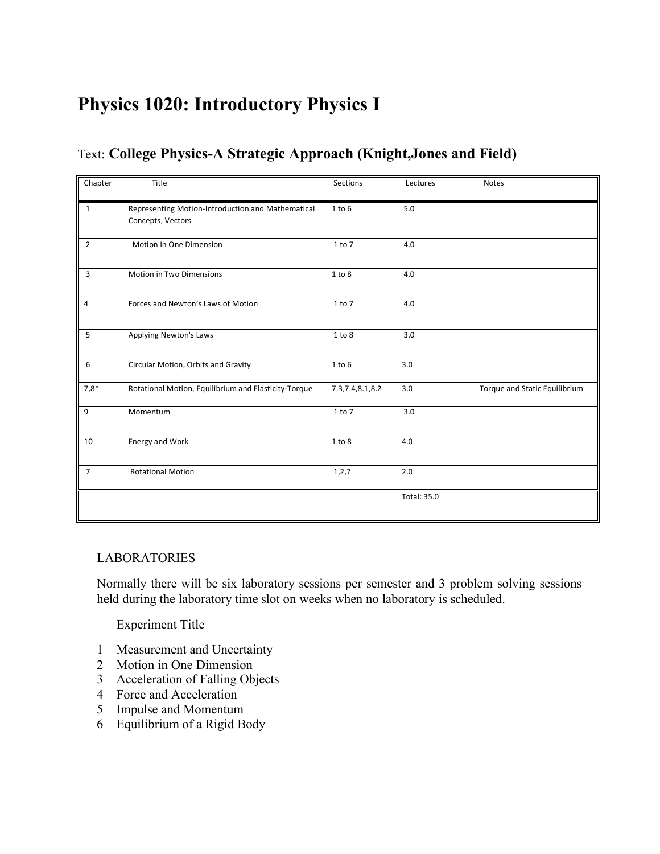# **Physics 1020: Introductory Physics I**

# Text: **College Physics-A Strategic Approach (Knight,Jones and Field)**

| Chapter        | Title                                                | Sections           | Lectures    | Notes                         |
|----------------|------------------------------------------------------|--------------------|-------------|-------------------------------|
|                |                                                      |                    |             |                               |
| $\mathbf{1}$   | Representing Motion-Introduction and Mathematical    | 1 to 6             | 5.0         |                               |
|                | Concepts, Vectors                                    |                    |             |                               |
| $\overline{2}$ | Motion In One Dimension                              | 1 to 7             | 4.0         |                               |
|                |                                                      |                    |             |                               |
| $\overline{3}$ | Motion in Two Dimensions                             | 1 to 8             | 4.0         |                               |
|                |                                                      |                    |             |                               |
| $\overline{4}$ | Forces and Newton's Laws of Motion                   | 1 to 7             | 4.0         |                               |
|                |                                                      |                    |             |                               |
| 5              | Applying Newton's Laws                               | 1 to 8             | 3.0         |                               |
|                |                                                      |                    |             |                               |
| 6              | Circular Motion, Orbits and Gravity                  | $1$ to $6$         | 3.0         |                               |
| $7,8*$         | Rotational Motion, Equilibrium and Elasticity-Torque | 7.3, 7.4, 8.1, 8.2 | 3.0         | Torque and Static Equilibrium |
| 9              | Momentum                                             | 1 to 7             | 3.0         |                               |
|                |                                                      |                    |             |                               |
| 10             | Energy and Work                                      | 1 to 8             | 4.0         |                               |
|                |                                                      |                    |             |                               |
| $\overline{7}$ | <b>Rotational Motion</b>                             | 1, 2, 7            | 2.0         |                               |
|                |                                                      |                    |             |                               |
|                |                                                      |                    | Total: 35.0 |                               |
|                |                                                      |                    |             |                               |

#### LABORATORIES

Normally there will be six laboratory sessions per semester and 3 problem solving sessions held during the laboratory time slot on weeks when no laboratory is scheduled.

Experiment Title

- 1 Measurement and Uncertainty
- 2 Motion in One Dimension
- 3 Acceleration of Falling Objects
- 4 Force and Acceleration
- 5 Impulse and Momentum
- 6 Equilibrium of a Rigid Body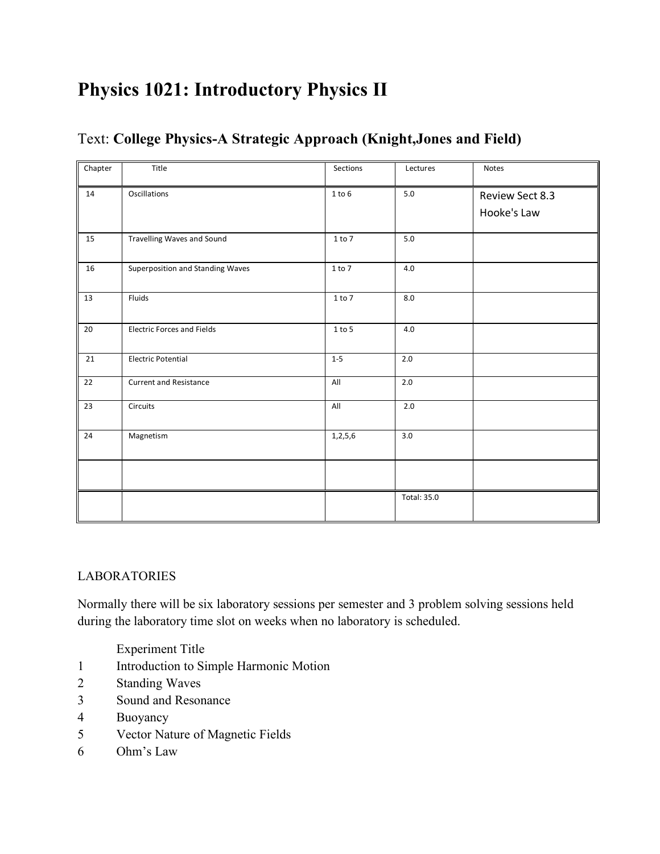# **Physics 1021: Introductory Physics II**

| Chapter | Title                             | Sections   | Lectures    | Notes                          |
|---------|-----------------------------------|------------|-------------|--------------------------------|
| 14      | Oscillations                      | $1$ to $6$ | $5.0\,$     | Review Sect 8.3<br>Hooke's Law |
| 15      | Travelling Waves and Sound        | 1 to 7     | $5.0\,$     |                                |
| 16      | Superposition and Standing Waves  | $1$ to $7$ | 4.0         |                                |
| 13      | Fluids                            | 1 to 7     | 8.0         |                                |
| 20      | <b>Electric Forces and Fields</b> | $1 to 5$   | 4.0         |                                |
| 21      | <b>Electric Potential</b>         | $1 - 5$    | $2.0\,$     |                                |
| 22      | <b>Current and Resistance</b>     | All        | 2.0         |                                |
| 23      | Circuits                          | All        | 2.0         |                                |
| 24      | Magnetism                         | 1,2,5,6    | 3.0         |                                |
|         |                                   |            |             |                                |
|         |                                   |            | Total: 35.0 |                                |

# Text: **College Physics-A Strategic Approach (Knight,Jones and Field)**

# LABORATORIES

Normally there will be six laboratory sessions per semester and 3 problem solving sessions held during the laboratory time slot on weeks when no laboratory is scheduled.

Experiment Title

- Introduction to Simple Harmonic Motion
- Standing Waves
- Sound and Resonance
- Buoyancy
- Vector Nature of Magnetic Fields
- Ohm's Law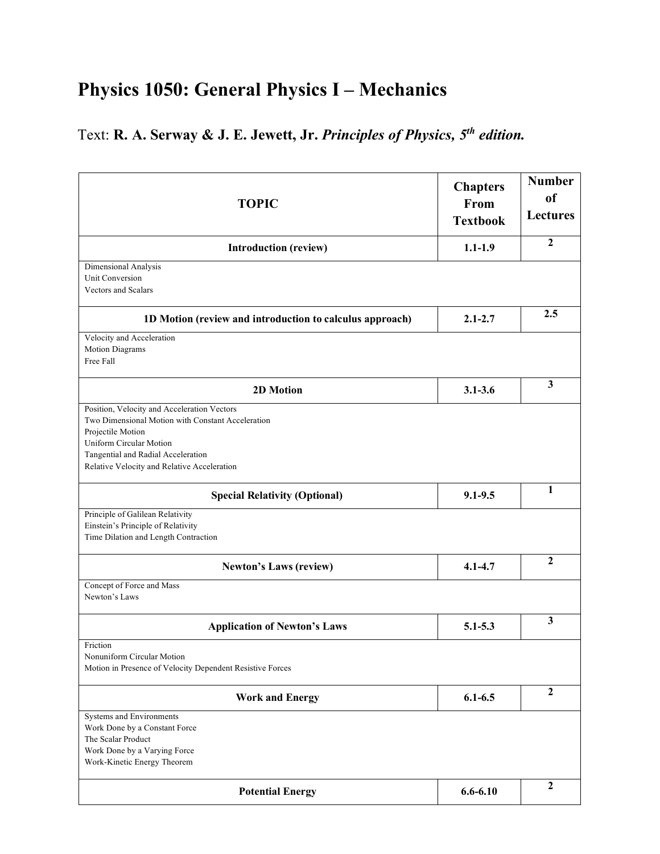# **Physics 1050: General Physics I – Mechanics**

# Text: **R. A. Serway & J. E. Jewett, Jr.** *Principles of Physics, 5th edition.*

| <b>TOPIC</b>                                                                                                                                                                                                                          | <b>Chapters</b><br>From<br><b>Textbook</b> | <b>Number</b><br><sub>of</sub><br><b>Lectures</b> |
|---------------------------------------------------------------------------------------------------------------------------------------------------------------------------------------------------------------------------------------|--------------------------------------------|---------------------------------------------------|
| <b>Introduction (review)</b>                                                                                                                                                                                                          | $1.1 - 1.9$                                | $\mathbf{2}$                                      |
| Dimensional Analysis<br>Unit Conversion<br>Vectors and Scalars                                                                                                                                                                        |                                            |                                                   |
| 1D Motion (review and introduction to calculus approach)                                                                                                                                                                              | $2.1 - 2.7$                                | 2.5                                               |
| Velocity and Acceleration<br>Motion Diagrams<br>Free Fall                                                                                                                                                                             |                                            |                                                   |
| 2D Motion                                                                                                                                                                                                                             | $3.1 - 3.6$                                | 3                                                 |
| Position, Velocity and Acceleration Vectors<br>Two Dimensional Motion with Constant Acceleration<br>Projectile Motion<br>Uniform Circular Motion<br>Tangential and Radial Acceleration<br>Relative Velocity and Relative Acceleration |                                            |                                                   |
| <b>Special Relativity (Optional)</b>                                                                                                                                                                                                  | $9.1 - 9.5$                                | $\mathbf{1}$                                      |
| Principle of Galilean Relativity<br>Einstein's Principle of Relativity<br>Time Dilation and Length Contraction                                                                                                                        |                                            |                                                   |
| <b>Newton's Laws (review)</b>                                                                                                                                                                                                         | $4.1 - 4.7$                                | $\overline{2}$                                    |
| Concept of Force and Mass<br>Newton's Laws                                                                                                                                                                                            |                                            |                                                   |
| <b>Application of Newton's Laws</b>                                                                                                                                                                                                   | $5.1 - 5.3$                                | 3                                                 |
| Friction<br>Nonuniform Circular Motion<br>Motion in Presence of Velocity Dependent Resistive Forces                                                                                                                                   |                                            |                                                   |
| <b>Work and Energy</b>                                                                                                                                                                                                                | $6.1 - 6.5$                                | $\mathbf{2}$                                      |
| Systems and Environments<br>Work Done by a Constant Force<br>The Scalar Product<br>Work Done by a Varying Force<br>Work-Kinetic Energy Theorem                                                                                        |                                            |                                                   |
| <b>Potential Energy</b>                                                                                                                                                                                                               | $6.6 - 6.10$                               | $\boldsymbol{2}$                                  |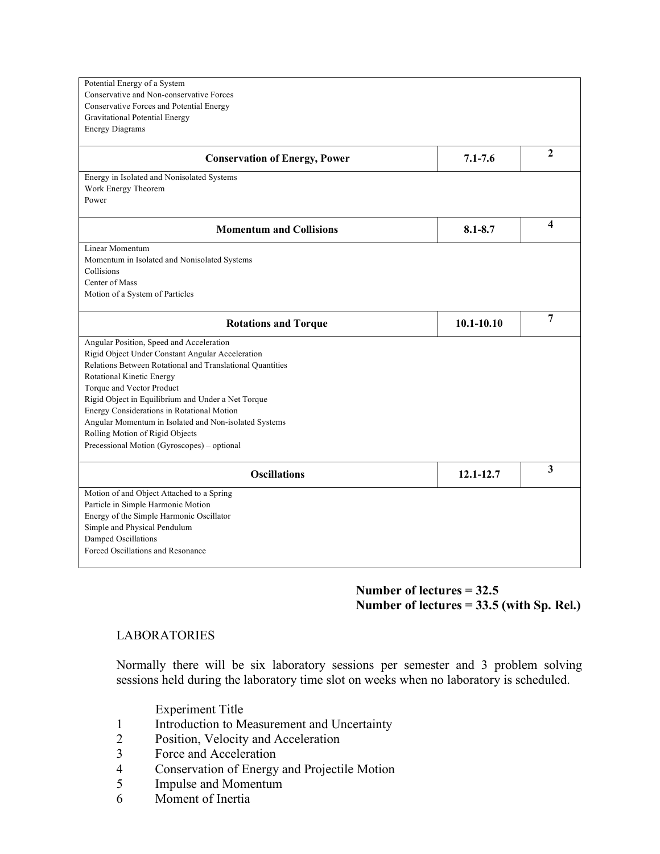| Potential Energy of a System                               |                |                |
|------------------------------------------------------------|----------------|----------------|
| Conservative and Non-conservative Forces                   |                |                |
| Conservative Forces and Potential Energy                   |                |                |
| Gravitational Potential Energy                             |                |                |
| <b>Energy Diagrams</b>                                     |                |                |
|                                                            |                |                |
| <b>Conservation of Energy, Power</b>                       | $7.1 - 7.6$    | 2              |
| Energy in Isolated and Nonisolated Systems                 |                |                |
| Work Energy Theorem                                        |                |                |
| Power                                                      |                |                |
| <b>Momentum and Collisions</b>                             | $8.1 - 8.7$    | 4              |
| Linear Momentum                                            |                |                |
|                                                            |                |                |
| Momentum in Isolated and Nonisolated Systems<br>Collisions |                |                |
| Center of Mass                                             |                |                |
| Motion of a System of Particles                            |                |                |
|                                                            |                |                |
| <b>Rotations and Torque</b>                                | $10.1 - 10.10$ | $\overline{7}$ |
| Angular Position, Speed and Acceleration                   |                |                |
| Rigid Object Under Constant Angular Acceleration           |                |                |
| Relations Between Rotational and Translational Quantities  |                |                |
| Rotational Kinetic Energy                                  |                |                |
| Torque and Vector Product                                  |                |                |
| Rigid Object in Equilibrium and Under a Net Torque         |                |                |
| Energy Considerations in Rotational Motion                 |                |                |
| Angular Momentum in Isolated and Non-isolated Systems      |                |                |
| Rolling Motion of Rigid Objects                            |                |                |
| Precessional Motion (Gyroscopes) - optional                |                |                |
| <b>Oscillations</b>                                        | 12.1-12.7      | 3              |
| Motion of and Object Attached to a Spring                  |                |                |
| Particle in Simple Harmonic Motion                         |                |                |
| Energy of the Simple Harmonic Oscillator                   |                |                |
| Simple and Physical Pendulum                               |                |                |
| Damped Oscillations                                        |                |                |
| Forced Oscillations and Resonance                          |                |                |
|                                                            |                |                |

#### **Number of lectures = 32.5 Number of lectures = 33.5 (with Sp. Rel.)**

#### LABORATORIES

Normally there will be six laboratory sessions per semester and 3 problem solving sessions held during the laboratory time slot on weeks when no laboratory is scheduled.

Experiment Title

- 1 Introduction to Measurement and Uncertainty
- 2 Position, Velocity and Acceleration
- 3 Force and Acceleration
- 4 Conservation of Energy and Projectile Motion<br>5 Impulse and Momentum
- 5 Impulse and Momentum
- 6 Moment of Inertia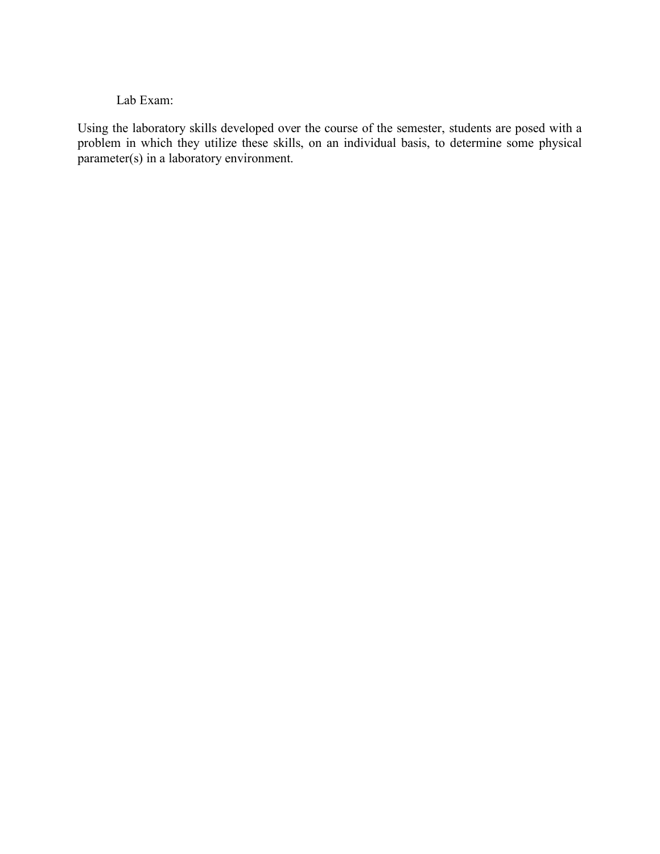## Lab Exam:

Using the laboratory skills developed over the course of the semester, students are posed with a problem in which they utilize these skills, on an individual basis, to determine some physical parameter(s) in a laboratory environment.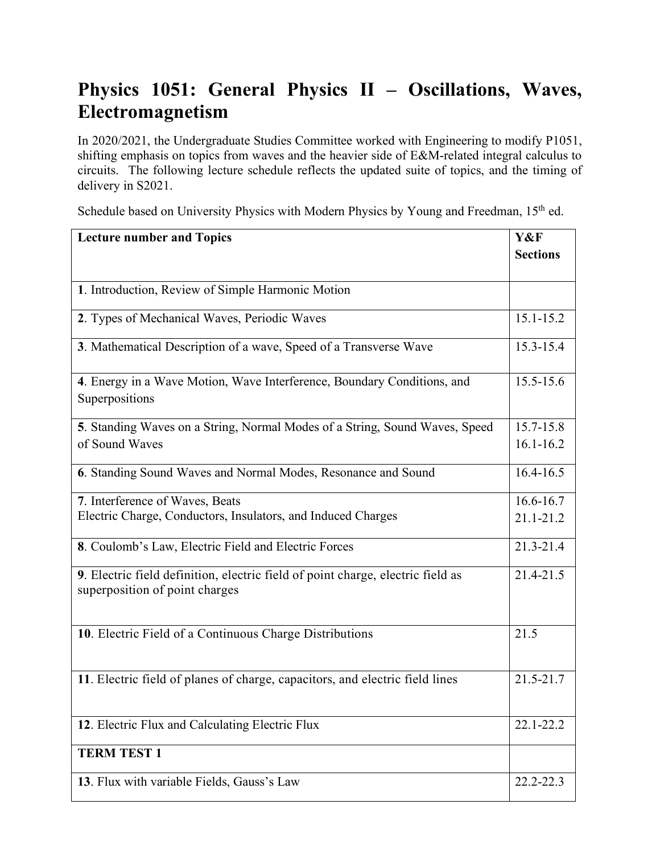# **Physics 1051: General Physics II – Oscillations, Waves, Electromagnetism**

In 2020/2021, the Undergraduate Studies Committee worked with Engineering to modify P1051, shifting emphasis on topics from waves and the heavier side of E&M-related integral calculus to circuits. The following lecture schedule reflects the updated suite of topics, and the timing of delivery in S2021.

Schedule based on University Physics with Modern Physics by Young and Freedman, 15<sup>th</sup> ed.

| <b>Lecture number and Topics</b>                                                                                  | Y&F             |
|-------------------------------------------------------------------------------------------------------------------|-----------------|
|                                                                                                                   | <b>Sections</b> |
|                                                                                                                   |                 |
| 1. Introduction, Review of Simple Harmonic Motion                                                                 |                 |
| 2. Types of Mechanical Waves, Periodic Waves                                                                      | $15.1 - 15.2$   |
| 3. Mathematical Description of a wave, Speed of a Transverse Wave                                                 | 15.3-15.4       |
| 4. Energy in a Wave Motion, Wave Interference, Boundary Conditions, and<br>Superpositions                         | 15.5-15.6       |
| 5. Standing Waves on a String, Normal Modes of a String, Sound Waves, Speed                                       | 15.7-15.8       |
| of Sound Waves                                                                                                    | $16.1 - 16.2$   |
| 6. Standing Sound Waves and Normal Modes, Resonance and Sound                                                     | $16.4 - 16.5$   |
| 7. Interference of Waves, Beats                                                                                   | 16.6-16.7       |
| Electric Charge, Conductors, Insulators, and Induced Charges                                                      | $21.1 - 21.2$   |
| 8. Coulomb's Law, Electric Field and Electric Forces                                                              | 21.3-21.4       |
| 9. Electric field definition, electric field of point charge, electric field as<br>superposition of point charges | 21.4-21.5       |
| 10. Electric Field of a Continuous Charge Distributions                                                           | 21.5            |
| 11. Electric field of planes of charge, capacitors, and electric field lines                                      | 21.5-21.7       |
| 12. Electric Flux and Calculating Electric Flux                                                                   | 22.1-22.2       |
| <b>TERM TEST 1</b>                                                                                                |                 |
| 13. Flux with variable Fields, Gauss's Law                                                                        | 22.2-22.3       |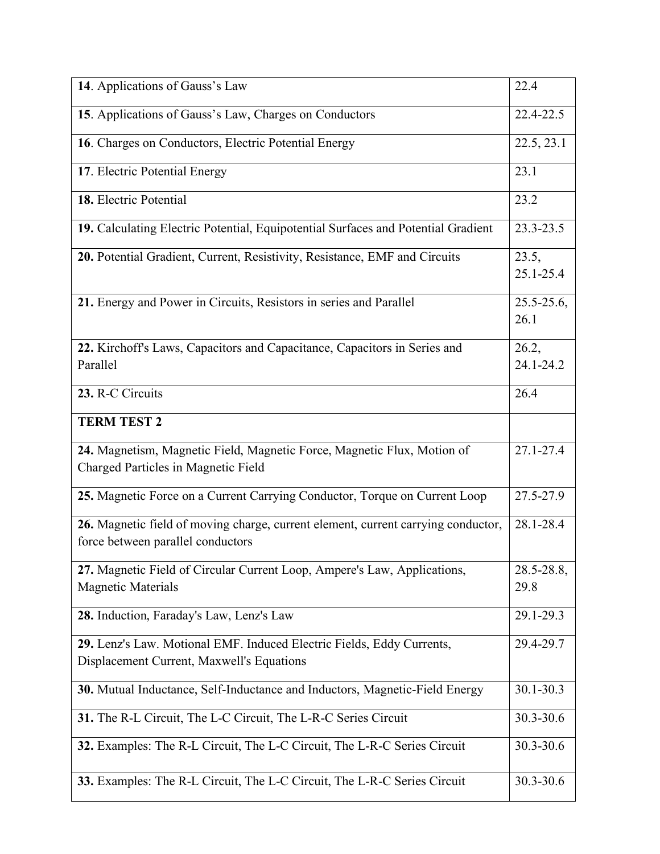| 14. Applications of Gauss's Law                                                                                        | 22.4                    |
|------------------------------------------------------------------------------------------------------------------------|-------------------------|
| 15. Applications of Gauss's Law, Charges on Conductors                                                                 | 22.4-22.5               |
| 16. Charges on Conductors, Electric Potential Energy                                                                   | 22.5, 23.1              |
| 17. Electric Potential Energy                                                                                          | 23.1                    |
| 18. Electric Potential                                                                                                 | 23.2                    |
| 19. Calculating Electric Potential, Equipotential Surfaces and Potential Gradient                                      | 23.3-23.5               |
| 20. Potential Gradient, Current, Resistivity, Resistance, EMF and Circuits                                             | 23.5,<br>$25.1 - 25.4$  |
| 21. Energy and Power in Circuits, Resistors in series and Parallel                                                     | $25.5 - 25.6$ ,<br>26.1 |
| 22. Kirchoff's Laws, Capacitors and Capacitance, Capacitors in Series and<br>Parallel                                  | 26.2,<br>24.1-24.2      |
| 23. R-C Circuits                                                                                                       | 26.4                    |
| <b>TERM TEST 2</b>                                                                                                     |                         |
|                                                                                                                        |                         |
| 24. Magnetism, Magnetic Field, Magnetic Force, Magnetic Flux, Motion of<br>Charged Particles in Magnetic Field         | 27.1-27.4               |
| 25. Magnetic Force on a Current Carrying Conductor, Torque on Current Loop                                             | 27.5-27.9               |
| 26. Magnetic field of moving charge, current element, current carrying conductor,<br>force between parallel conductors | 28.1-28.4               |
| 27. Magnetic Field of Circular Current Loop, Ampere's Law, Applications,                                               | $28.5 - 28.8$ ,         |
| <b>Magnetic Materials</b>                                                                                              | 29.8                    |
| 28. Induction, Faraday's Law, Lenz's Law                                                                               | 29.1-29.3               |
| 29. Lenz's Law. Motional EMF. Induced Electric Fields, Eddy Currents,                                                  | 29.4-29.7               |
| Displacement Current, Maxwell's Equations                                                                              |                         |
| 30. Mutual Inductance, Self-Inductance and Inductors, Magnetic-Field Energy                                            | 30.1-30.3               |
| 31. The R-L Circuit, The L-C Circuit, The L-R-C Series Circuit                                                         | 30.3-30.6               |
| 32. Examples: The R-L Circuit, The L-C Circuit, The L-R-C Series Circuit                                               | 30.3-30.6               |
| 33. Examples: The R-L Circuit, The L-C Circuit, The L-R-C Series Circuit                                               | 30.3-30.6               |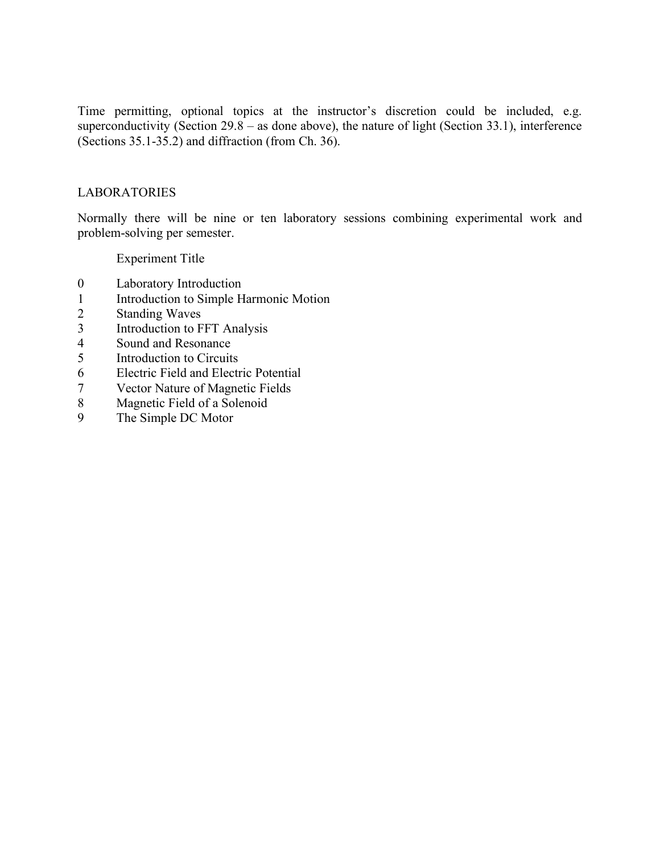Time permitting, optional topics at the instructor's discretion could be included, e.g. superconductivity (Section  $29.8 -$  as done above), the nature of light (Section 33.1), interference (Sections 35.1-35.2) and diffraction (from Ch. 36).

### LABORATORIES

Normally there will be nine or ten laboratory sessions combining experimental work and problem-solving per semester.

Experiment Title

- 0 Laboratory Introduction
- 1 Introduction to Simple Harmonic Motion
- 2 Standing Waves
- 3 Introduction to FFT Analysis
- 4 Sound and Resonance
- 5 Introduction to Circuits
- 6 Electric Field and Electric Potential
- 7 Vector Nature of Magnetic Fields
- 8 Magnetic Field of a Solenoid
- 9 The Simple DC Motor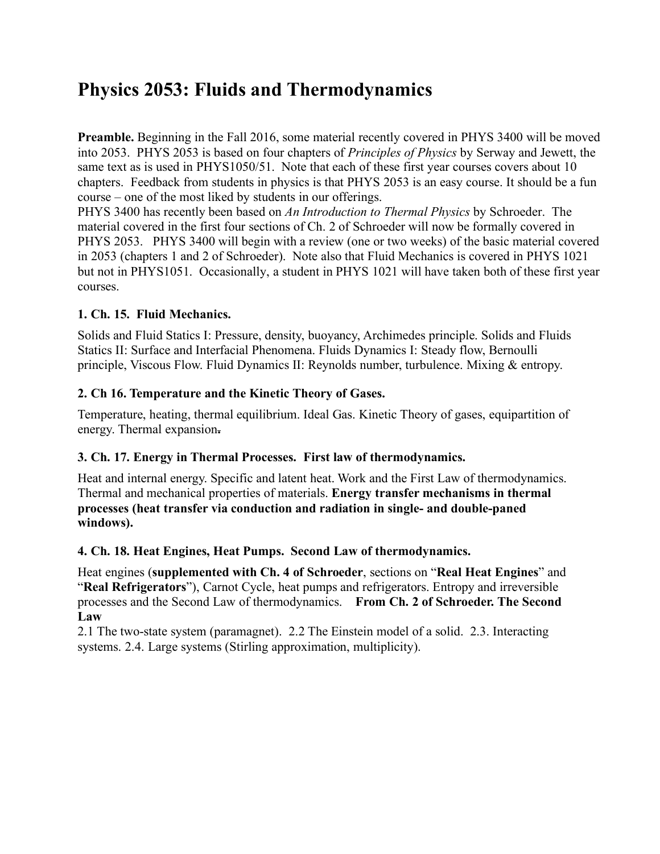# **Physics 2053: Fluids and Thermodynamics**

**Preamble.** Beginning in the Fall 2016, some material recently covered in PHYS 3400 will be moved into 2053. PHYS 2053 is based on four chapters of *Principles of Physics* by Serway and Jewett, the same text as is used in PHYS1050/51. Note that each of these first year courses covers about 10 chapters. Feedback from students in physics is that PHYS 2053 is an easy course. It should be a fun course – one of the most liked by students in our offerings.

PHYS 3400 has recently been based on *An Introduction to Thermal Physics* by Schroeder. The material covered in the first four sections of Ch. 2 of Schroeder will now be formally covered in PHYS 2053. PHYS 3400 will begin with a review (one or two weeks) of the basic material covered in 2053 (chapters 1 and 2 of Schroeder). Note also that Fluid Mechanics is covered in PHYS 1021 but not in PHYS1051. Occasionally, a student in PHYS 1021 will have taken both of these first year courses.

# **1. Ch. 15. Fluid Mechanics.**

Solids and Fluid Statics I: Pressure, density, buoyancy, Archimedes principle. Solids and Fluids Statics II: Surface and Interfacial Phenomena. Fluids Dynamics I: Steady flow, Bernoulli principle, Viscous Flow. Fluid Dynamics II: Reynolds number, turbulence. Mixing & entropy.

## **2. Ch 16. Temperature and the Kinetic Theory of Gases.**

Temperature, heating, thermal equilibrium. Ideal Gas. Kinetic Theory of gases, equipartition of energy. Thermal expansion**.**

# **3. Ch. 17. Energy in Thermal Processes. First law of thermodynamics.**

Heat and internal energy. Specific and latent heat. Work and the First Law of thermodynamics. Thermal and mechanical properties of materials. **Energy transfer mechanisms in thermal processes (heat transfer via conduction and radiation in single- and double-paned windows).**

## **4. Ch. 18. Heat Engines, Heat Pumps. Second Law of thermodynamics.**

Heat engines (**supplemented with Ch. 4 of Schroeder**, sections on "**Real Heat Engines**" and "**Real Refrigerators**"), Carnot Cycle, heat pumps and refrigerators. Entropy and irreversible processes and the Second Law of thermodynamics. **From Ch. 2 of Schroeder. The Second Law**

2.1 The two-state system (paramagnet). 2.2 The Einstein model of a solid. 2.3. Interacting systems. 2.4. Large systems (Stirling approximation, multiplicity).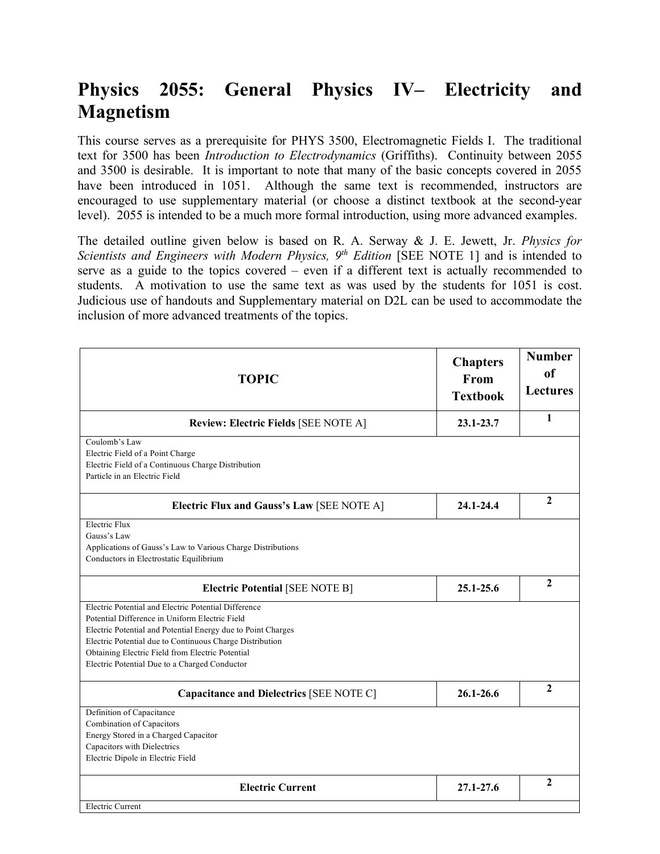# **Physics 2055: General Physics IV– Electricity and Magnetism**

This course serves as a prerequisite for PHYS 3500, Electromagnetic Fields I. The traditional text for 3500 has been *Introduction to Electrodynamics* (Griffiths). Continuity between 2055 and 3500 is desirable. It is important to note that many of the basic concepts covered in 2055 have been introduced in 1051. Although the same text is recommended, instructors are encouraged to use supplementary material (or choose a distinct textbook at the second-year level). 2055 is intended to be a much more formal introduction, using more advanced examples.

The detailed outline given below is based on R. A. Serway & J. E. Jewett, Jr. *Physics for Scientists and Engineers with Modern Physics, 9<sup>th</sup> Edition* [SEE NOTE 1] and is intended to serve as a guide to the topics covered – even if a different text is actually recommended to students. A motivation to use the same text as was used by the students for 1051 is cost. Judicious use of handouts and Supplementary material on D2L can be used to accommodate the inclusion of more advanced treatments of the topics.

| <b>TOPIC</b>                                                                                                                                                                                                                                                                                                                            | <b>Chapters</b><br>From<br><b>Textbook</b> | <b>Number</b><br><sub>of</sub><br><b>Lectures</b> |
|-----------------------------------------------------------------------------------------------------------------------------------------------------------------------------------------------------------------------------------------------------------------------------------------------------------------------------------------|--------------------------------------------|---------------------------------------------------|
| <b>Review: Electric Fields [SEE NOTE A]</b>                                                                                                                                                                                                                                                                                             | 23.1-23.7                                  | 1                                                 |
| Coulomb's Law<br>Electric Field of a Point Charge<br>Electric Field of a Continuous Charge Distribution<br>Particle in an Electric Field                                                                                                                                                                                                |                                            |                                                   |
| Electric Flux and Gauss's Law [SEE NOTE A]                                                                                                                                                                                                                                                                                              | 24.1-24.4                                  | $\mathbf{2}$                                      |
| <b>Electric Flux</b><br>Gauss's Law<br>Applications of Gauss's Law to Various Charge Distributions<br>Conductors in Electrostatic Equilibrium                                                                                                                                                                                           |                                            |                                                   |
| <b>Electric Potential [SEE NOTE B]</b>                                                                                                                                                                                                                                                                                                  | 25.1-25.6                                  | $\mathbf{2}$                                      |
| Electric Potential and Electric Potential Difference<br>Potential Difference in Uniform Electric Field<br>Electric Potential and Potential Energy due to Point Charges<br>Electric Potential due to Continuous Charge Distribution<br>Obtaining Electric Field from Electric Potential<br>Electric Potential Due to a Charged Conductor |                                            |                                                   |
| Capacitance and Dielectrics [SEE NOTE C]                                                                                                                                                                                                                                                                                                | $26.1 - 26.6$                              | $\mathbf{2}$                                      |
| Definition of Capacitance<br>Combination of Capacitors<br>Energy Stored in a Charged Capacitor<br>Capacitors with Dielectrics<br>Electric Dipole in Electric Field                                                                                                                                                                      |                                            |                                                   |
| <b>Electric Current</b>                                                                                                                                                                                                                                                                                                                 | 27.1-27.6                                  | $\mathbf{2}$                                      |
| <b>Electric Current</b>                                                                                                                                                                                                                                                                                                                 |                                            |                                                   |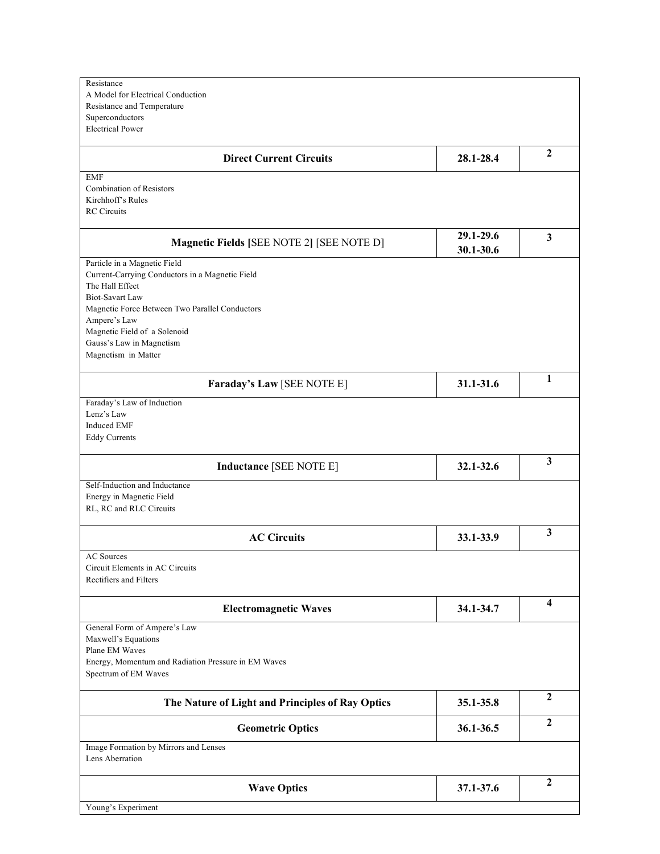| Image Formation by Mirrors and Lenses<br>Lens Aberration                                                                                                                                                                                                                                                                              | 36.1-36.5 | $\overline{2}$<br>$\mathbf{2}$ |
|---------------------------------------------------------------------------------------------------------------------------------------------------------------------------------------------------------------------------------------------------------------------------------------------------------------------------------------|-----------|--------------------------------|
|                                                                                                                                                                                                                                                                                                                                       |           |                                |
| <b>Geometric Optics</b>                                                                                                                                                                                                                                                                                                               |           |                                |
| The Nature of Light and Principles of Ray Optics                                                                                                                                                                                                                                                                                      | 35.1-35.8 | $\mathbf{2}$                   |
| Maxwell's Equations<br>Plane EM Waves<br>Energy, Momentum and Radiation Pressure in EM Waves<br>Spectrum of EM Waves                                                                                                                                                                                                                  |           |                                |
| <b>Electromagnetic Waves</b><br>General Form of Ampere's Law                                                                                                                                                                                                                                                                          | 34.1-34.7 | 4                              |
| <b>AC Sources</b><br>Circuit Elements in AC Circuits<br>Rectifiers and Filters                                                                                                                                                                                                                                                        |           |                                |
| <b>AC Circuits</b>                                                                                                                                                                                                                                                                                                                    | 33.1-33.9 | 3                              |
| Self-Induction and Inductance<br>Energy in Magnetic Field<br>RL, RC and RLC Circuits                                                                                                                                                                                                                                                  |           |                                |
| Lenz's Law<br><b>Induced EMF</b><br><b>Eddy Currents</b><br><b>Inductance [SEE NOTE E]</b>                                                                                                                                                                                                                                            | 32.1-32.6 | 3                              |
| Faraday's Law [SEE NOTE E]<br>Faraday's Law of Induction                                                                                                                                                                                                                                                                              | 31.1-31.6 | 1                              |
| <b>Magnetic Fields [SEE NOTE 2] [SEE NOTE D]</b><br>Particle in a Magnetic Field<br>Current-Carrying Conductors in a Magnetic Field<br>The Hall Effect<br><b>Biot-Savart Law</b><br>Magnetic Force Between Two Parallel Conductors<br>Ampere's Law<br>Magnetic Field of a Solenoid<br>Gauss's Law in Magnetism<br>Magnetism in Matter | 30.1-30.6 |                                |
| <b>EMF</b><br>Combination of Resistors<br>Kirchhoff's Rules<br><b>RC</b> Circuits                                                                                                                                                                                                                                                     | 29.1-29.6 | $\overline{\mathbf{3}}$        |
| <b>Direct Current Circuits</b>                                                                                                                                                                                                                                                                                                        | 28.1-28.4 | $\boldsymbol{2}$               |
| Resistance<br>A Model for Electrical Conduction<br>Resistance and Temperature<br>Superconductors<br><b>Electrical Power</b>                                                                                                                                                                                                           |           |                                |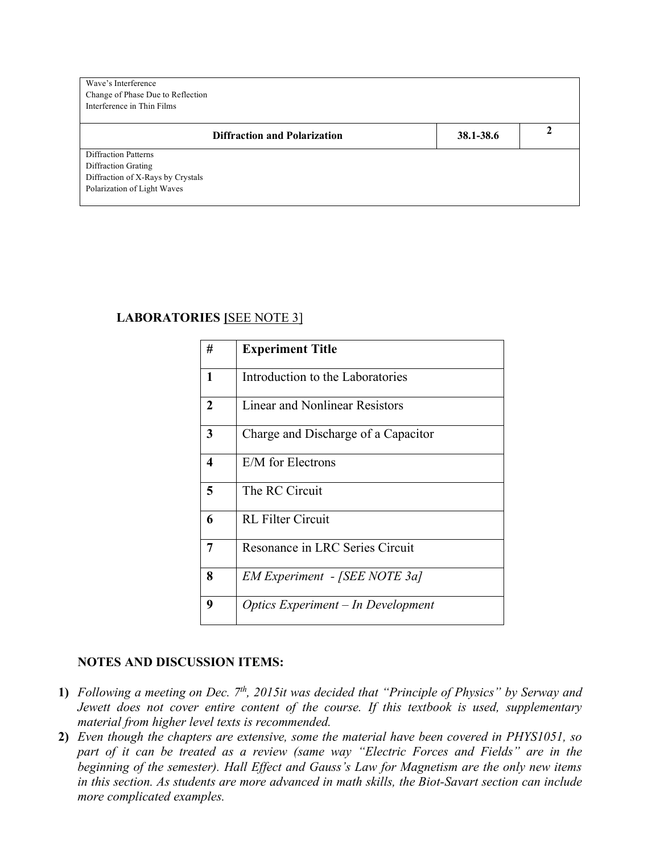| Wave's Interference<br>Change of Phase Due to Reflection<br>Interference in Thin Films |           |  |
|----------------------------------------------------------------------------------------|-----------|--|
| <b>Diffraction and Polarization</b>                                                    | 38.1-38.6 |  |
| <b>Diffraction Patterns</b>                                                            |           |  |
| Diffraction Grating                                                                    |           |  |
| Diffraction of X-Rays by Crystals                                                      |           |  |
| Polarization of Light Waves                                                            |           |  |

## **LABORATORIES [**SEE NOTE 3]

| #                       | <b>Experiment Title</b>             |
|-------------------------|-------------------------------------|
| $\mathbf{1}$            | Introduction to the Laboratories    |
| $\overline{2}$          | Linear and Nonlinear Resistors      |
| 3                       | Charge and Discharge of a Capacitor |
| $\overline{\mathbf{4}}$ | E/M for Electrons                   |
| 5                       | The RC Circuit                      |
| 6                       | <b>RL Filter Circuit</b>            |
| 7                       | Resonance in LRC Series Circuit     |
| 8                       | EM Experiment - [SEE NOTE 3a]       |
| 9                       | Optics Experiment - In Development  |

#### **NOTES AND DISCUSSION ITEMS:**

- **1)** *Following a meeting on Dec.*  $7<sup>th</sup>$ , 2015it was decided that "Principle of Physics" by Serway and *Jewett does not cover entire content of the course. If this textbook is used, supplementary material from higher level texts is recommended.*
- **2)** *Even though the chapters are extensive, some the material have been covered in PHYS1051, so part of it can be treated as a review (same way "Electric Forces and Fields" are in the beginning of the semester). Hall Effect and Gauss's Law for Magnetism are the only new items in this section. As students are more advanced in math skills, the Biot-Savart section can include more complicated examples.*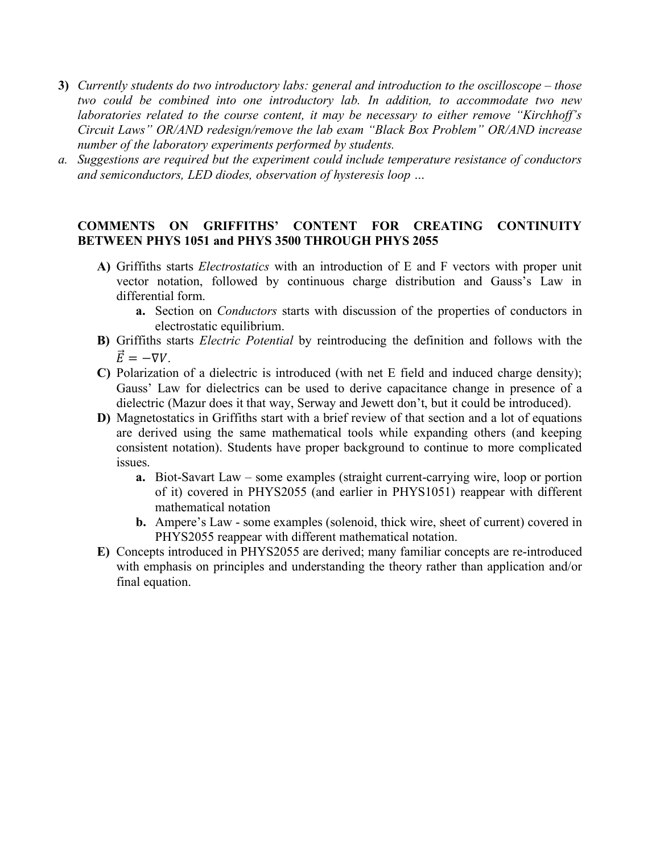- **3)** *Currently students do two introductory labs: general and introduction to the oscilloscope – those two could be combined into one introductory lab. In addition, to accommodate two new laboratories related to the course content, it may be necessary to either remove "Kirchhoff's Circuit Laws" OR/AND redesign/remove the lab exam "Black Box Problem" OR/AND increase number of the laboratory experiments performed by students.*
- *a. Suggestions are required but the experiment could include temperature resistance of conductors and semiconductors, LED diodes, observation of hysteresis loop …*

### **COMMENTS ON GRIFFITHS' CONTENT FOR CREATING CONTINUITY BETWEEN PHYS 1051 and PHYS 3500 THROUGH PHYS 2055**

- **A)** Griffiths starts *Electrostatics* with an introduction of E and F vectors with proper unit vector notation, followed by continuous charge distribution and Gauss's Law in differential form.
	- **a.** Section on *Conductors* starts with discussion of the properties of conductors in electrostatic equilibrium.
- **B)** Griffiths starts *Electric Potential* by reintroducing the definition and follows with the  $\vec{E} = -\nabla V$
- **C)** Polarization of a dielectric is introduced (with net E field and induced charge density); Gauss' Law for dielectrics can be used to derive capacitance change in presence of a dielectric (Mazur does it that way, Serway and Jewett don't, but it could be introduced).
- **D)** Magnetostatics in Griffiths start with a brief review of that section and a lot of equations are derived using the same mathematical tools while expanding others (and keeping consistent notation). Students have proper background to continue to more complicated issues.
	- **a.** Biot-Savart Law some examples (straight current-carrying wire, loop or portion of it) covered in PHYS2055 (and earlier in PHYS1051) reappear with different mathematical notation
	- **b.** Ampere's Law some examples (solenoid, thick wire, sheet of current) covered in PHYS2055 reappear with different mathematical notation.
- **E)** Concepts introduced in PHYS2055 are derived; many familiar concepts are re-introduced with emphasis on principles and understanding the theory rather than application and/or final equation.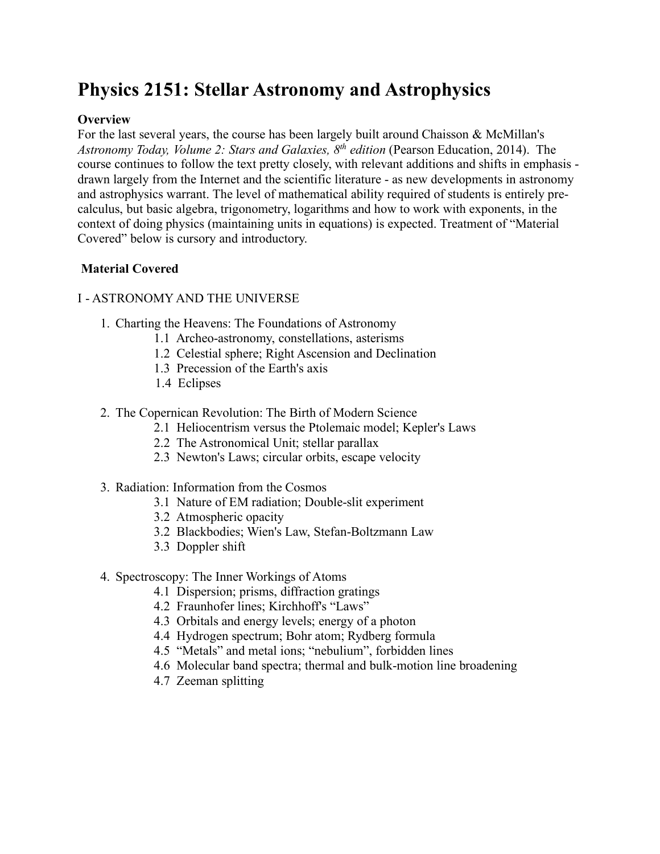# **Physics 2151: Stellar Astronomy and Astrophysics**

## **Overview**

For the last several years, the course has been largely built around Chaisson & McMillan's *Astronomy Today, Volume 2: Stars and Galaxies, 8th edition* (Pearson Education, 2014). The course continues to follow the text pretty closely, with relevant additions and shifts in emphasis drawn largely from the Internet and the scientific literature - as new developments in astronomy and astrophysics warrant. The level of mathematical ability required of students is entirely precalculus, but basic algebra, trigonometry, logarithms and how to work with exponents, in the context of doing physics (maintaining units in equations) is expected. Treatment of "Material Covered" below is cursory and introductory.

## **Material Covered**

#### I - ASTRONOMY AND THE UNIVERSE

- 1. Charting the Heavens: The Foundations of Astronomy
	- 1.1 Archeo-astronomy, constellations, asterisms
	- 1.2 Celestial sphere; Right Ascension and Declination
	- 1.3 Precession of the Earth's axis
	- 1.4 Eclipses
- 2. The Copernican Revolution: The Birth of Modern Science
	- 2.1 Heliocentrism versus the Ptolemaic model; Kepler's Laws
	- 2.2 The Astronomical Unit; stellar parallax
	- 2.3 Newton's Laws; circular orbits, escape velocity
- 3. Radiation: Information from the Cosmos
	- 3.1 Nature of EM radiation; Double-slit experiment
	- 3.2 Atmospheric opacity
	- 3.2 Blackbodies; Wien's Law, Stefan-Boltzmann Law
	- 3.3 Doppler shift
- 4. Spectroscopy: The Inner Workings of Atoms
	- 4.1 Dispersion; prisms, diffraction gratings
	- 4.2 Fraunhofer lines; Kirchhoff's "Laws"
	- 4.3 Orbitals and energy levels; energy of a photon
	- 4.4 Hydrogen spectrum; Bohr atom; Rydberg formula
	- 4.5 "Metals" and metal ions; "nebulium", forbidden lines
	- 4.6 Molecular band spectra; thermal and bulk-motion line broadening
	- 4.7 Zeeman splitting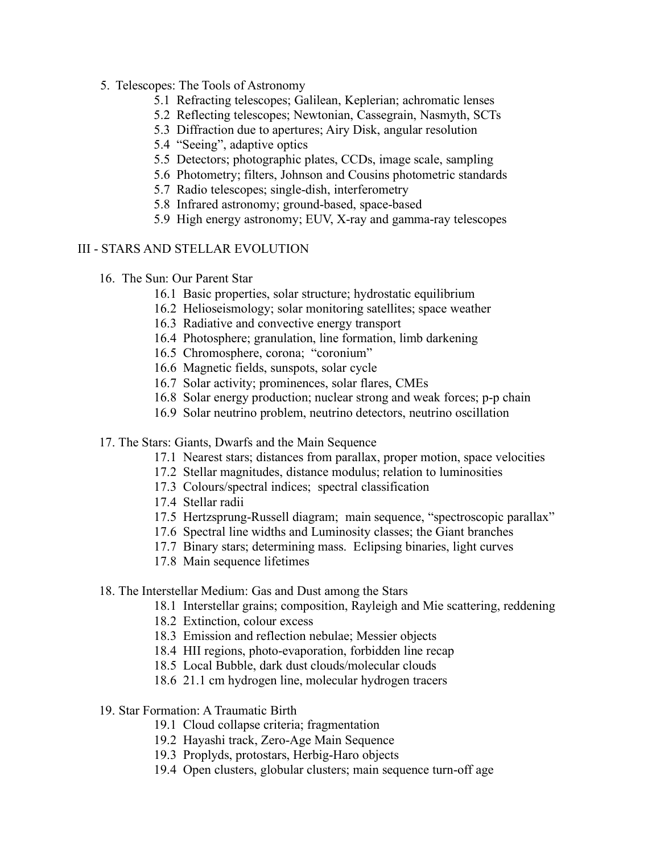- 5. Telescopes: The Tools of Astronomy
	- 5.1 Refracting telescopes; Galilean, Keplerian; achromatic lenses
	- 5.2 Reflecting telescopes; Newtonian, Cassegrain, Nasmyth, SCTs
	- 5.3 Diffraction due to apertures; Airy Disk, angular resolution
	- 5.4 "Seeing", adaptive optics
	- 5.5 Detectors; photographic plates, CCDs, image scale, sampling
	- 5.6 Photometry; filters, Johnson and Cousins photometric standards
	- 5.7 Radio telescopes; single-dish, interferometry
	- 5.8 Infrared astronomy; ground-based, space-based
	- 5.9 High energy astronomy; EUV, X-ray and gamma-ray telescopes

#### III - STARS AND STELLAR EVOLUTION

- 16. The Sun: Our Parent Star
	- 16.1 Basic properties, solar structure; hydrostatic equilibrium
	- 16.2 Helioseismology; solar monitoring satellites; space weather
	- 16.3 Radiative and convective energy transport
	- 16.4 Photosphere; granulation, line formation, limb darkening
	- 16.5 Chromosphere, corona; "coronium"
	- 16.6 Magnetic fields, sunspots, solar cycle
	- 16.7 Solar activity; prominences, solar flares, CMEs
	- 16.8 Solar energy production; nuclear strong and weak forces; p-p chain
	- 16.9 Solar neutrino problem, neutrino detectors, neutrino oscillation
- 17. The Stars: Giants, Dwarfs and the Main Sequence
	- 17.1 Nearest stars; distances from parallax, proper motion, space velocities
	- 17.2 Stellar magnitudes, distance modulus; relation to luminosities
	- 17.3 Colours/spectral indices; spectral classification
	- 17.4 Stellar radii
	- 17.5 Hertzsprung-Russell diagram; main sequence, "spectroscopic parallax"
	- 17.6 Spectral line widths and Luminosity classes; the Giant branches
	- 17.7 Binary stars; determining mass. Eclipsing binaries, light curves
	- 17.8 Main sequence lifetimes
- 18. The Interstellar Medium: Gas and Dust among the Stars
	- 18.1 Interstellar grains; composition, Rayleigh and Mie scattering, reddening
	- 18.2 Extinction, colour excess
	- 18.3 Emission and reflection nebulae; Messier objects
	- 18.4 HII regions, photo-evaporation, forbidden line recap
	- 18.5 Local Bubble, dark dust clouds/molecular clouds
	- 18.6 21.1 cm hydrogen line, molecular hydrogen tracers
- 19. Star Formation: A Traumatic Birth
	- 19.1 Cloud collapse criteria; fragmentation
	- 19.2 Hayashi track, Zero-Age Main Sequence
	- 19.3 Proplyds, protostars, Herbig-Haro objects
	- 19.4 Open clusters, globular clusters; main sequence turn-off age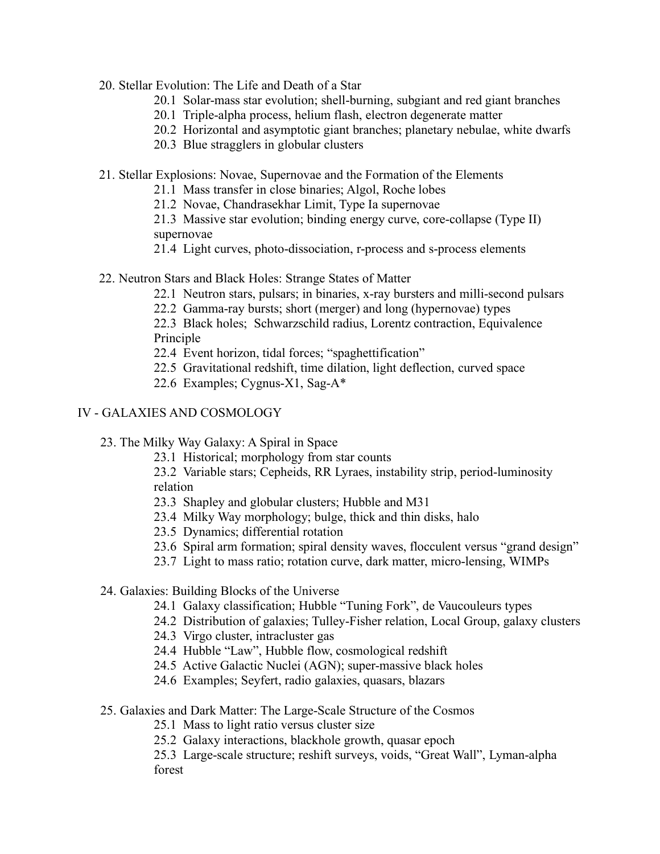- 20. Stellar Evolution: The Life and Death of a Star
	- 20.1 Solar-mass star evolution; shell-burning, subgiant and red giant branches
	- 20.1 Triple-alpha process, helium flash, electron degenerate matter
	- 20.2 Horizontal and asymptotic giant branches; planetary nebulae, white dwarfs
	- 20.3 Blue stragglers in globular clusters
- 21. Stellar Explosions: Novae, Supernovae and the Formation of the Elements
	- 21.1 Mass transfer in close binaries; Algol, Roche lobes
	- 21.2 Novae, Chandrasekhar Limit, Type Ia supernovae
	- 21.3 Massive star evolution; binding energy curve, core-collapse (Type II) supernovae
	- 21.4 Light curves, photo-dissociation, r-process and s-process elements
- 22. Neutron Stars and Black Holes: Strange States of Matter
	- 22.1 Neutron stars, pulsars; in binaries, x-ray bursters and milli-second pulsars
	- 22.2 Gamma-ray bursts; short (merger) and long (hypernovae) types

22.3 Black holes; Schwarzschild radius, Lorentz contraction, Equivalence Principle

- 22.4 Event horizon, tidal forces; "spaghettification"
- 22.5 Gravitational redshift, time dilation, light deflection, curved space
- 22.6 Examples; Cygnus-X1, Sag-A\*

#### IV - GALAXIES AND COSMOLOGY

- 23. The Milky Way Galaxy: A Spiral in Space
	- 23.1 Historical; morphology from star counts

23.2 Variable stars; Cepheids, RR Lyraes, instability strip, period-luminosity relation

- 23.3 Shapley and globular clusters; Hubble and M31
- 23.4 Milky Way morphology; bulge, thick and thin disks, halo
- 23.5 Dynamics; differential rotation
- 23.6 Spiral arm formation; spiral density waves, flocculent versus "grand design"
- 23.7 Light to mass ratio; rotation curve, dark matter, micro-lensing, WIMPs

#### 24. Galaxies: Building Blocks of the Universe

- 24.1 Galaxy classification; Hubble "Tuning Fork", de Vaucouleurs types
- 24.2 Distribution of galaxies; Tulley-Fisher relation, Local Group, galaxy clusters
- 24.3 Virgo cluster, intracluster gas
- 24.4 Hubble "Law", Hubble flow, cosmological redshift
- 24.5 Active Galactic Nuclei (AGN); super-massive black holes
- 24.6 Examples; Seyfert, radio galaxies, quasars, blazars

#### 25. Galaxies and Dark Matter: The Large-Scale Structure of the Cosmos

- 25.1 Mass to light ratio versus cluster size
- 25.2 Galaxy interactions, blackhole growth, quasar epoch
- 25.3 Large-scale structure; reshift surveys, voids, "Great Wall", Lyman-alpha forest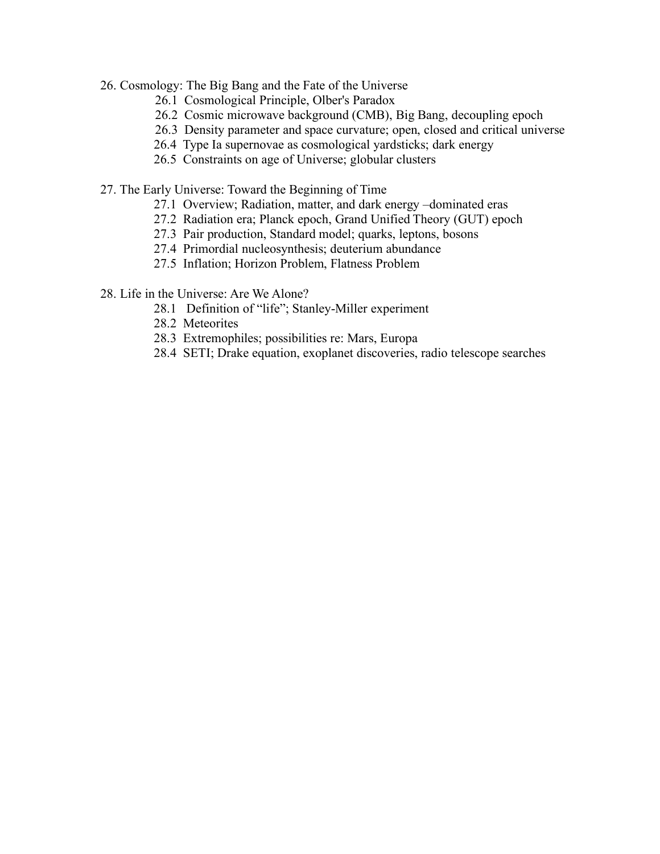- 26. Cosmology: The Big Bang and the Fate of the Universe
	- 26.1 Cosmological Principle, Olber's Paradox
	- 26.2 Cosmic microwave background (CMB), Big Bang, decoupling epoch
	- 26.3 Density parameter and space curvature; open, closed and critical universe
	- 26.4 Type Ia supernovae as cosmological yardsticks; dark energy
	- 26.5 Constraints on age of Universe; globular clusters
- 27. The Early Universe: Toward the Beginning of Time
	- 27.1 Overview; Radiation, matter, and dark energy –dominated eras
	- 27.2 Radiation era; Planck epoch, Grand Unified Theory (GUT) epoch
	- 27.3 Pair production, Standard model; quarks, leptons, bosons
	- 27.4 Primordial nucleosynthesis; deuterium abundance
	- 27.5 Inflation; Horizon Problem, Flatness Problem

28. Life in the Universe: Are We Alone?

- 28.1 Definition of "life"; Stanley-Miller experiment
- 28.2 Meteorites
- 28.3 Extremophiles; possibilities re: Mars, Europa
- 28.4 SETI; Drake equation, exoplanet discoveries, radio telescope searches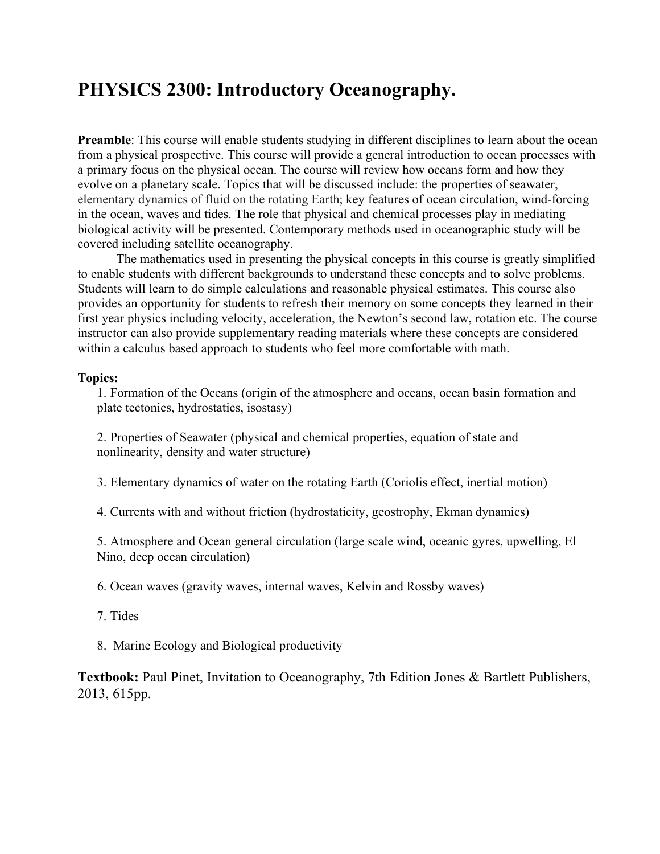# **PHYSICS 2300: Introductory Oceanography.**

**Preamble**: This course will enable students studying in different disciplines to learn about the ocean from a physical prospective. This course will provide a general introduction to ocean processes with a primary focus on the physical ocean. The course will review how oceans form and how they evolve on a planetary scale. Topics that will be discussed include: the properties of seawater, elementary dynamics of fluid on the rotating Earth; key features of ocean circulation, wind-forcing in the ocean, waves and tides. The role that physical and chemical processes play in mediating biological activity will be presented. Contemporary methods used in oceanographic study will be covered including satellite oceanography.

The mathematics used in presenting the physical concepts in this course is greatly simplified to enable students with different backgrounds to understand these concepts and to solve problems. Students will learn to do simple calculations and reasonable physical estimates. This course also provides an opportunity for students to refresh their memory on some concepts they learned in their first year physics including velocity, acceleration, the Newton's second law, rotation etc. The course instructor can also provide supplementary reading materials where these concepts are considered within a calculus based approach to students who feel more comfortable with math.

#### **Topics:**

1. Formation of the Oceans (origin of the atmosphere and oceans, ocean basin formation and plate tectonics, hydrostatics, isostasy)

2. Properties of Seawater (physical and chemical properties, equation of state and nonlinearity, density and water structure)

3. Elementary dynamics of water on the rotating Earth (Coriolis effect, inertial motion)

4. Currents with and without friction (hydrostaticity, geostrophy, Ekman dynamics)

5. Atmosphere and Ocean general circulation (large scale wind, oceanic gyres, upwelling, El Nino, deep ocean circulation)

6. Ocean waves (gravity waves, internal waves, Kelvin and Rossby waves)

- 7. Tides
- 8. Marine Ecology and Biological productivity

**Textbook:** Paul Pinet, Invitation to Oceanography, 7th Edition Jones & Bartlett Publishers, 2013, 615pp.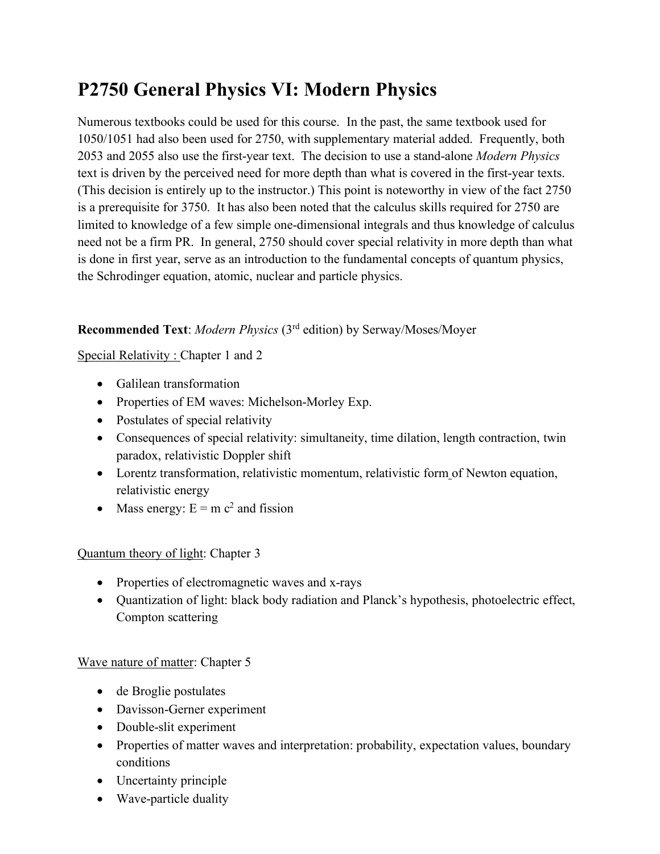# **P2750 General Physics VI: Modern Physics**

Numerous textbooks could be used for this course. In the past, the same textbook used for 1050/1051 had also been used for 2750, with supplementary material added. Frequently, both 2053 and 2055 also use the first-year text. The decision to use a stand-alone *Modern Physics* text is driven by the perceived need for more depth than what is covered in the first-year texts. (This decision is entirely up to the instructor.) This point is noteworthy in view of the fact 2750 is a prerequisite for 3750. It has also been noted that the calculus skills required for 2750 are limited to knowledge of a few simple one-dimensional integrals and thus knowledge of calculus need not be a firm PR. In general, 2750 should cover special relativity in more depth than what is done in first year, serve as an introduction to the fundamental concepts of quantum physics, the Schrodinger equation, atomic, nuclear and particle physics.

# **Recommended Text**: *Modern Physics* (3rd edition) by Serway/Moses/Moyer

# Special Relativity : Chapter 1 and 2

- Galilean transformation
- Properties of EM waves: Michelson-Morley Exp.
- Postulates of special relativity
- Consequences of special relativity: simultaneity, time dilation, length contraction, twin paradox, relativistic Doppler shift
- Lorentz transformation, relativistic momentum, relativistic form of Newton equation, relativistic energy
- Mass energy:  $E = m c^2$  and fission

# Quantum theory of light: Chapter 3

- Properties of electromagnetic waves and x-rays
- Quantization of light: black body radiation and Planck's hypothesis, photoelectric effect, Compton scattering

## Wave nature of matter: Chapter 5

- de Broglie postulates
- Davisson-Gerner experiment
- Double-slit experiment
- Properties of matter waves and interpretation: probability, expectation values, boundary conditions
- Uncertainty principle
- Wave-particle duality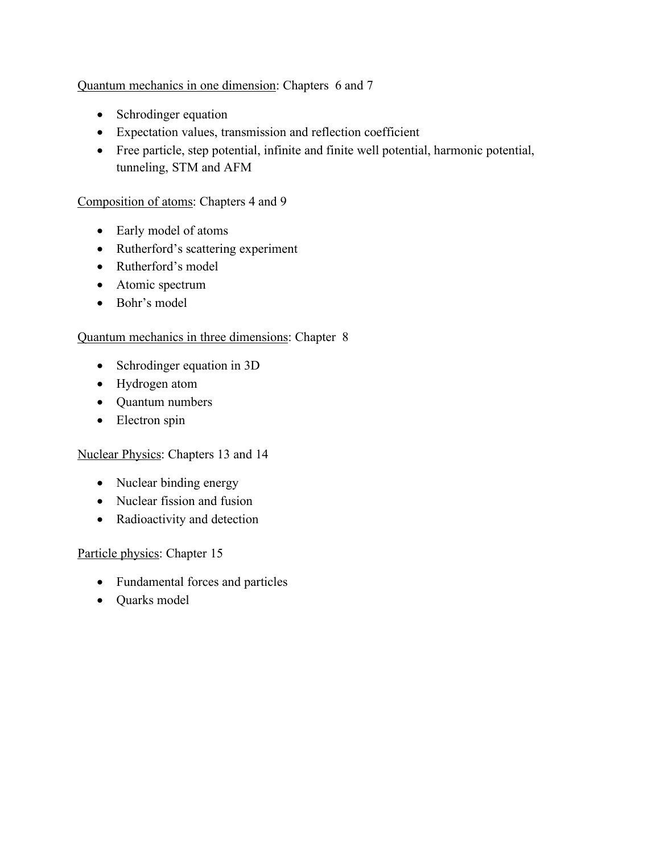## Quantum mechanics in one dimension: Chapters 6 and 7

- Schrodinger equation
- Expectation values, transmission and reflection coefficient
- Free particle, step potential, infinite and finite well potential, harmonic potential, tunneling, STM and AFM

## Composition of atoms: Chapters 4 and 9

- Early model of atoms
- Rutherford's scattering experiment
- Rutherford's model
- Atomic spectrum
- Bohr's model

## Quantum mechanics in three dimensions: Chapter 8

- Schrodinger equation in 3D
- Hydrogen atom
- Quantum numbers
- Electron spin

## Nuclear Physics: Chapters 13 and 14

- Nuclear binding energy
- Nuclear fission and fusion
- Radioactivity and detection

## Particle physics: Chapter 15

- Fundamental forces and particles
- Quarks model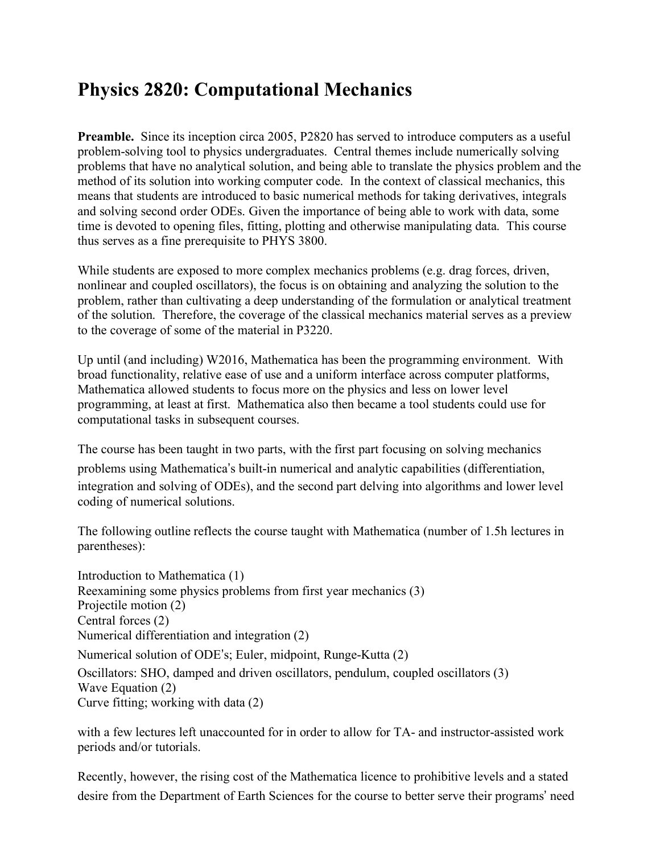# **Physics 2820: Computational Mechanics**

**Preamble.** Since its inception circa 2005, P2820 has served to introduce computers as a useful problem-solving tool to physics undergraduates. Central themes include numerically solving problems that have no analytical solution, and being able to translate the physics problem and the method of its solution into working computer code. In the context of classical mechanics, this means that students are introduced to basic numerical methods for taking derivatives, integrals and solving second order ODEs. Given the importance of being able to work with data, some time is devoted to opening files, fitting, plotting and otherwise manipulating data. This course thus serves as a fine prerequisite to PHYS 3800.

While students are exposed to more complex mechanics problems (e.g. drag forces, driven, nonlinear and coupled oscillators), the focus is on obtaining and analyzing the solution to the problem, rather than cultivating a deep understanding of the formulation or analytical treatment of the solution. Therefore, the coverage of the classical mechanics material serves as a preview to the coverage of some of the material in P3220.

Up until (and including) W2016, Mathematica has been the programming environment. With broad functionality, relative ease of use and a uniform interface across computer platforms, Mathematica allowed students to focus more on the physics and less on lower level programming, at least at first. Mathematica also then became a tool students could use for computational tasks in subsequent courses.

The course has been taught in two parts, with the first part focusing on solving mechanics problems using Mathematica's built-in numerical and analytic capabilities (differentiation, integration and solving of ODEs), and the second part delving into algorithms and lower level coding of numerical solutions.

The following outline reflects the course taught with Mathematica (number of 1.5h lectures in parentheses):

Introduction to Mathematica (1) Reexamining some physics problems from first year mechanics (3) Projectile motion (2) Central forces (2) Numerical differentiation and integration (2) Numerical solution of ODE's; Euler, midpoint, Runge-Kutta (2) Oscillators: SHO, damped and driven oscillators, pendulum, coupled oscillators (3) Wave Equation (2) Curve fitting; working with data (2)

with a few lectures left unaccounted for in order to allow for TA- and instructor-assisted work periods and/or tutorials.

Recently, however, the rising cost of the Mathematica licence to prohibitive levels and a stated desire from the Department of Earth Sciences for the course to better serve their programs' need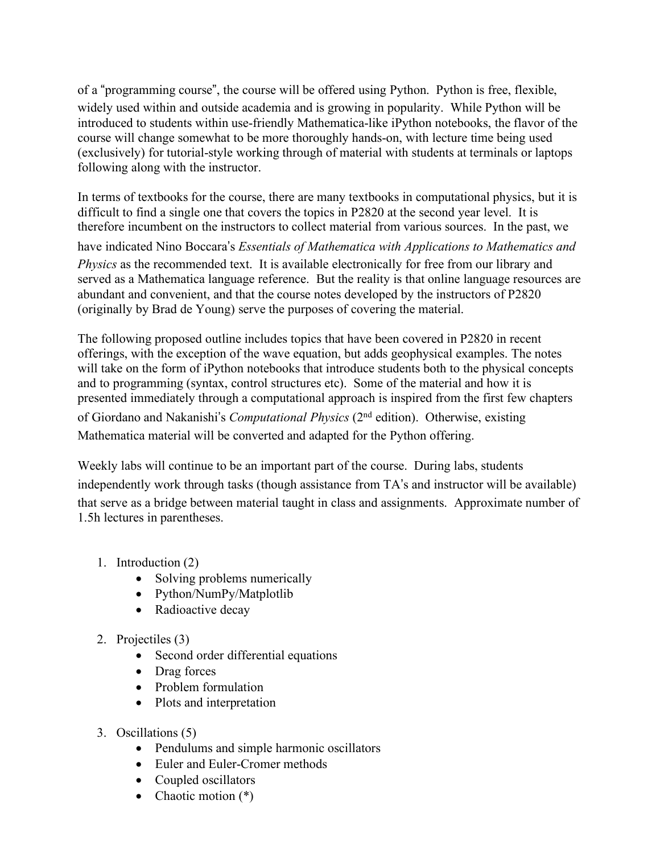of a "programming course", the course will be offered using Python. Python is free, flexible, widely used within and outside academia and is growing in popularity. While Python will be introduced to students within use-friendly Mathematica-like iPython notebooks, the flavor of the course will change somewhat to be more thoroughly hands-on, with lecture time being used (exclusively) for tutorial-style working through of material with students at terminals or laptops following along with the instructor.

In terms of textbooks for the course, there are many textbooks in computational physics, but it is difficult to find a single one that covers the topics in P2820 at the second year level. It is therefore incumbent on the instructors to collect material from various sources. In the past, we

have indicated Nino Boccara's *Essentials of Mathematica with Applications to Mathematics and Physics* as the recommended text. It is available electronically for free from our library and served as a Mathematica language reference. But the reality is that online language resources are abundant and convenient, and that the course notes developed by the instructors of P2820 (originally by Brad de Young) serve the purposes of covering the material.

The following proposed outline includes topics that have been covered in P2820 in recent offerings, with the exception of the wave equation, but adds geophysical examples. The notes will take on the form of iPython notebooks that introduce students both to the physical concepts and to programming (syntax, control structures etc). Some of the material and how it is presented immediately through a computational approach is inspired from the first few chapters of Giordano and Nakanishi's *Computational Physics* (2<sup>nd</sup> edition). Otherwise, existing Mathematica material will be converted and adapted for the Python offering.

Weekly labs will continue to be an important part of the course. During labs, students independently work through tasks (though assistance from TA's and instructor will be available) that serve as a bridge between material taught in class and assignments. Approximate number of 1.5h lectures in parentheses.

- 1. Introduction (2)
	- Solving problems numerically
	- Python/NumPy/Matplotlib
	- Radioactive decay
- 2. Projectiles (3)
	- Second order differential equations
	- Drag forces
	- Problem formulation
	- Plots and interpretation
- 3. Oscillations (5)
	- Pendulums and simple harmonic oscillators
	- Euler and Euler-Cromer methods
	- Coupled oscillators
	- Chaotic motion  $(*)$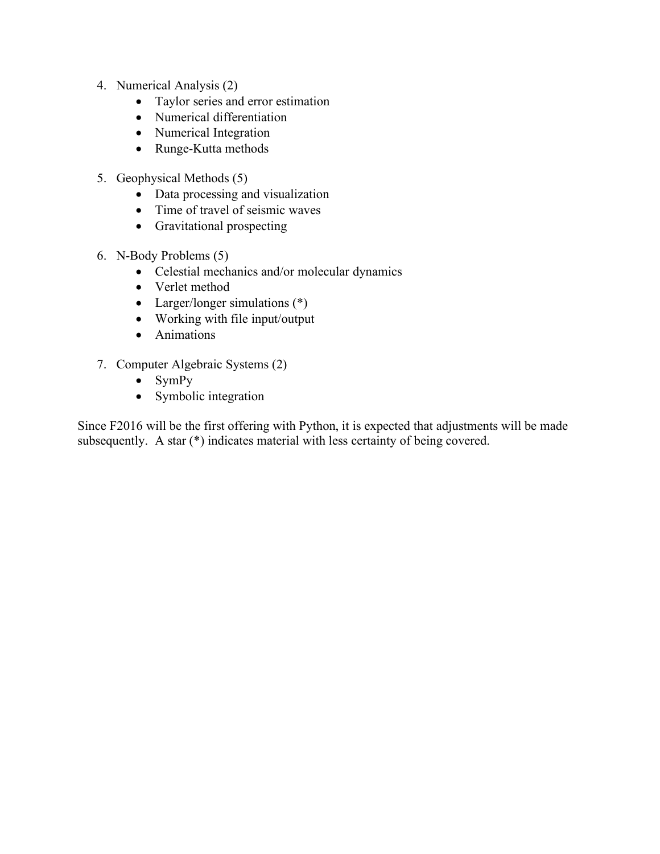- 4. Numerical Analysis (2)
	- Taylor series and error estimation
	- Numerical differentiation
	- Numerical Integration
	- Runge-Kutta methods
- 5. Geophysical Methods (5)
	- Data processing and visualization
	- Time of travel of seismic waves
	- Gravitational prospecting
- 6. N-Body Problems (5)
	- Celestial mechanics and/or molecular dynamics
	- Verlet method
	- Larger/longer simulations (\*)
	- Working with file input/output
	- Animations
- 7. Computer Algebraic Systems (2)
	- SymPy
	- Symbolic integration

Since F2016 will be the first offering with Python, it is expected that adjustments will be made subsequently. A star (\*) indicates material with less certainty of being covered.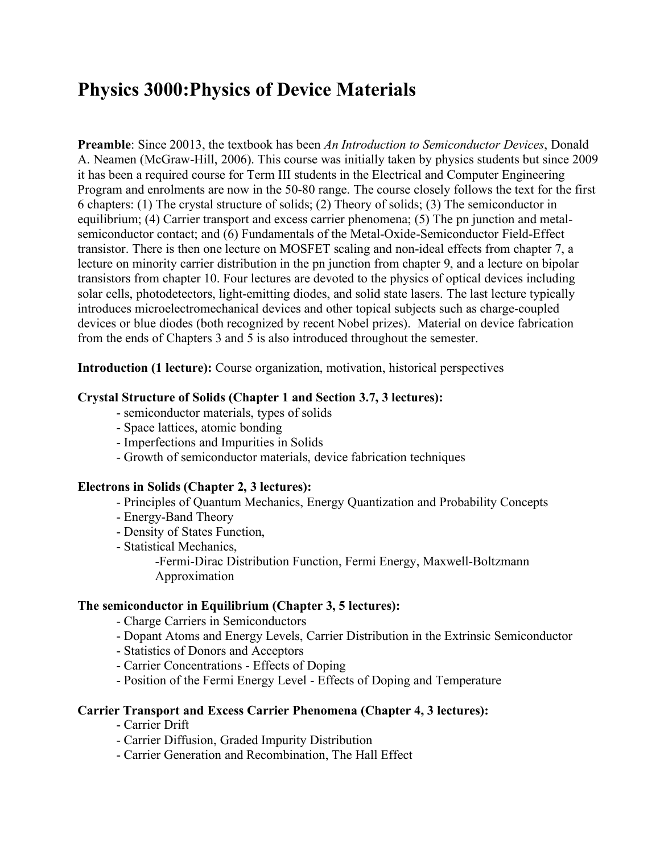# **Physics 3000:Physics of Device Materials**

**Preamble**: Since 20013, the textbook has been *An Introduction to Semiconductor Devices*, Donald A. Neamen (McGraw-Hill, 2006). This course was initially taken by physics students but since 2009 it has been a required course for Term III students in the Electrical and Computer Engineering Program and enrolments are now in the 50-80 range. The course closely follows the text for the first 6 chapters: (1) The crystal structure of solids; (2) Theory of solids; (3) The semiconductor in equilibrium; (4) Carrier transport and excess carrier phenomena; (5) The pn junction and metalsemiconductor contact; and (6) Fundamentals of the Metal-Oxide-Semiconductor Field-Effect transistor. There is then one lecture on MOSFET scaling and non-ideal effects from chapter 7, a lecture on minority carrier distribution in the pn junction from chapter 9, and a lecture on bipolar transistors from chapter 10. Four lectures are devoted to the physics of optical devices including solar cells, photodetectors, light-emitting diodes, and solid state lasers. The last lecture typically introduces microelectromechanical devices and other topical subjects such as charge-coupled devices or blue diodes (both recognized by recent Nobel prizes). Material on device fabrication from the ends of Chapters 3 and 5 is also introduced throughout the semester.

**Introduction (1 lecture):** Course organization, motivation, historical perspectives

#### **Crystal Structure of Solids (Chapter 1 and Section 3.7, 3 lectures):**

- semiconductor materials, types of solids
- Space lattices, atomic bonding
- Imperfections and Impurities in Solids
- Growth of semiconductor materials, device fabrication techniques

#### **Electrons in Solids (Chapter 2, 3 lectures):**

- Principles of Quantum Mechanics, Energy Quantization and Probability Concepts
- Energy-Band Theory
- Density of States Function,
- Statistical Mechanics,

-Fermi-Dirac Distribution Function, Fermi Energy, Maxwell-Boltzmann Approximation

#### **The semiconductor in Equilibrium (Chapter 3, 5 lectures):**

- Charge Carriers in Semiconductors

- Dopant Atoms and Energy Levels, Carrier Distribution in the Extrinsic Semiconductor
- Statistics of Donors and Acceptors
- Carrier Concentrations Effects of Doping
- Position of the Fermi Energy Level Effects of Doping and Temperature

## **Carrier Transport and Excess Carrier Phenomena (Chapter 4, 3 lectures):**

- Carrier Drift
- Carrier Diffusion, Graded Impurity Distribution
- Carrier Generation and Recombination, The Hall Effect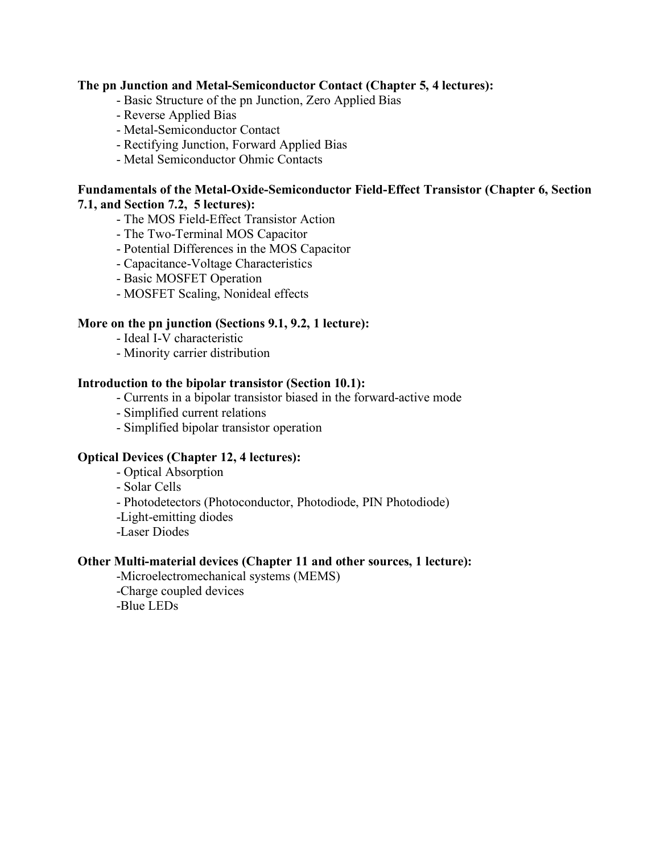#### **The pn Junction and Metal-Semiconductor Contact (Chapter 5, 4 lectures):**

- Basic Structure of the pn Junction, Zero Applied Bias
- Reverse Applied Bias
- Metal-Semiconductor Contact
- Rectifying Junction, Forward Applied Bias
- Metal Semiconductor Ohmic Contacts

#### **Fundamentals of the Metal-Oxide-Semiconductor Field-Effect Transistor (Chapter 6, Section 7.1, and Section 7.2, 5 lectures):**

- The MOS Field-Effect Transistor Action
- The Two-Terminal MOS Capacitor
- Potential Differences in the MOS Capacitor
- Capacitance-Voltage Characteristics
- Basic MOSFET Operation
- MOSFET Scaling, Nonideal effects

#### **More on the pn junction (Sections 9.1, 9.2, 1 lecture):**

- Ideal I-V characteristic
- Minority carrier distribution

#### **Introduction to the bipolar transistor (Section 10.1):**

- Currents in a bipolar transistor biased in the forward-active mode
- Simplified current relations
- Simplified bipolar transistor operation

#### **Optical Devices (Chapter 12, 4 lectures):**

- Optical Absorption
- Solar Cells
- Photodetectors (Photoconductor, Photodiode, PIN Photodiode)
- -Light-emitting diodes
- -Laser Diodes

#### **Other Multi-material devices (Chapter 11 and other sources, 1 lecture):**

-Microelectromechanical systems (MEMS)

-Charge coupled devices

-Blue LEDs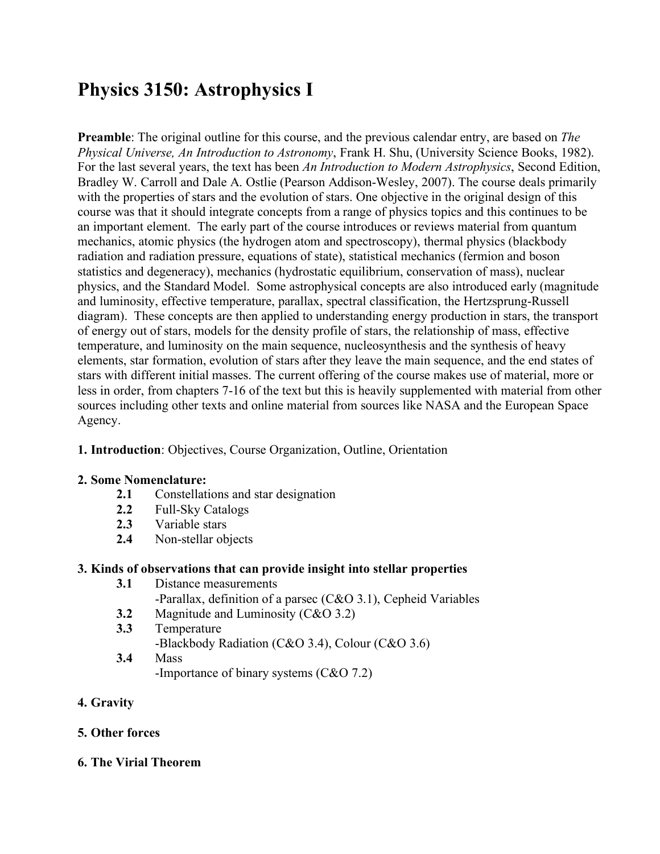# **Physics 3150: Astrophysics I**

**Preamble**: The original outline for this course, and the previous calendar entry, are based on *The Physical Universe, An Introduction to Astronomy*, Frank H. Shu, (University Science Books, 1982). For the last several years, the text has been *An Introduction to Modern Astrophysics*, Second Edition, Bradley W. Carroll and Dale A. Ostlie (Pearson Addison-Wesley, 2007). The course deals primarily with the properties of stars and the evolution of stars. One objective in the original design of this course was that it should integrate concepts from a range of physics topics and this continues to be an important element. The early part of the course introduces or reviews material from quantum mechanics, atomic physics (the hydrogen atom and spectroscopy), thermal physics (blackbody radiation and radiation pressure, equations of state), statistical mechanics (fermion and boson statistics and degeneracy), mechanics (hydrostatic equilibrium, conservation of mass), nuclear physics, and the Standard Model. Some astrophysical concepts are also introduced early (magnitude and luminosity, effective temperature, parallax, spectral classification, the Hertzsprung-Russell diagram). These concepts are then applied to understanding energy production in stars, the transport of energy out of stars, models for the density profile of stars, the relationship of mass, effective temperature, and luminosity on the main sequence, nucleosynthesis and the synthesis of heavy elements, star formation, evolution of stars after they leave the main sequence, and the end states of stars with different initial masses. The current offering of the course makes use of material, more or less in order, from chapters 7-16 of the text but this is heavily supplemented with material from other sources including other texts and online material from sources like NASA and the European Space Agency.

## **1. Introduction**: Objectives, Course Organization, Outline, Orientation

## **2. Some Nomenclature:**

- **2.1** Constellations and star designation
- 2.2 Full-Sky Catalogs<br>2.3 Variable stars
- **2.3** Variable stars
- **2.4** Non-stellar objects

# **3. Kinds of observations that can provide insight into stellar properties**

- **3.1** Distance measurements -Parallax, definition of a parsec (C&O 3.1), Cepheid Variables
	- **3.2** Magnitude and Luminosity (C&O 3.2)
- **3.3** Temperature -Blackbody Radiation (C&O 3.4), Colour (C&O 3.6) **3.4** Mass
	- -Importance of binary systems (C&O 7.2)
- **4. Gravity**

# **5. Other forces**

## **6. The Virial Theorem**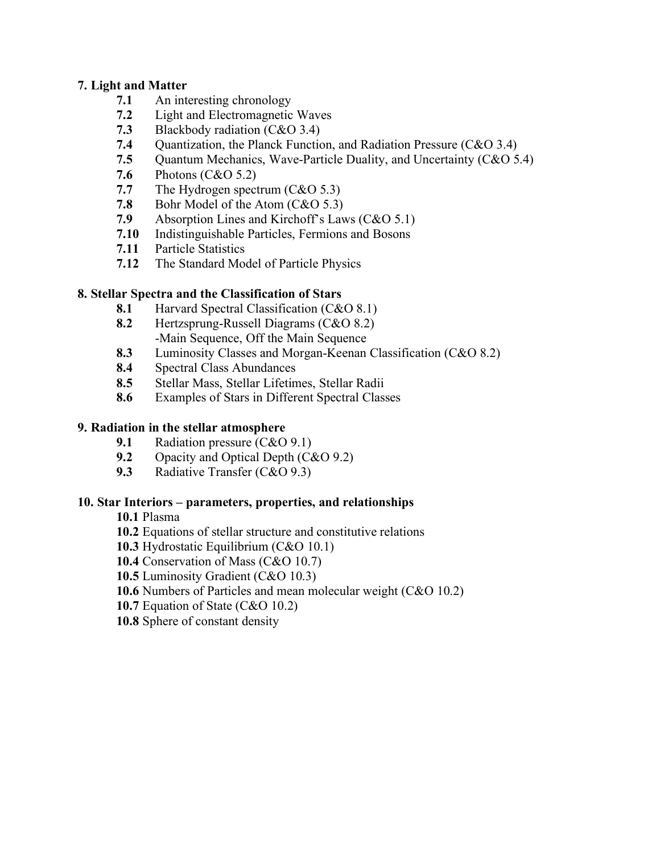### **7. Light and Matter**

- **7.1** An interesting chronology
- **7.2** Light and Electromagnetic Waves
- **7.3** Blackbody radiation (C&O 3.4)
- **7.4** Ouantization, the Planck Function, and Radiation Pressure (C&O 3.4)
- **7.5** Quantum Mechanics, Wave-Particle Duality, and Uncertainty (C&O 5.4)
- **7.6** Photons (C&O 5.2)
- **7.7** The Hydrogen spectrum (C&O 5.3)
- **7.8** Bohr Model of the Atom (C&O 5.3)
- **7.9** Absorption Lines and Kirchoff's Laws (C&O 5.1)
- **7.10** Indistinguishable Particles, Fermions and Bosons
- **7.11** Particle Statistics
- **7.12** The Standard Model of Particle Physics

## **8. Stellar Spectra and the Classification of Stars**

- **8.1** Harvard Spectral Classification (C&O 8.1)
- **8.2** Hertzsprung-Russell Diagrams (C&O 8.2) -Main Sequence, Off the Main Sequence
- **8.3** Luminosity Classes and Morgan-Keenan Classification (C&O 8.2)
- **8.4** Spectral Class Abundances
- **8.5** Stellar Mass, Stellar Lifetimes, Stellar Radii
- **8.6** Examples of Stars in Different Spectral Classes

## **9. Radiation in the stellar atmosphere**

- **9.1** Radiation pressure (C&O 9.1)
- **9.2** Opacity and Optical Depth (C&O 9.2)
- **9.3** Radiative Transfer (C&O 9.3)

## **10. Star Interiors – parameters, properties, and relationships**

- **10.1** Plasma
- **10.2** Equations of stellar structure and constitutive relations
- **10.3** Hydrostatic Equilibrium (C&O 10.1)
- **10.4** Conservation of Mass (C&O 10.7)
- **10.5** Luminosity Gradient (C&O 10.3)
- **10.6** Numbers of Particles and mean molecular weight (C&O 10.2)
- **10.7** Equation of State (C&O 10.2)
- **10.8** Sphere of constant density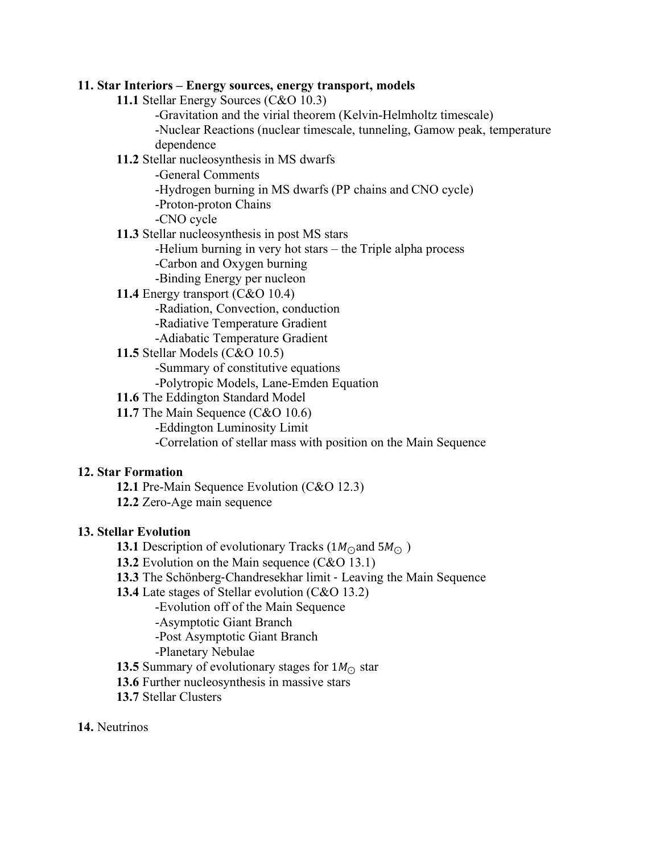#### **11. Star Interiors – Energy sources, energy transport, models**

- **11.1** Stellar Energy Sources (C&O 10.3)
	- -Gravitation and the virial theorem (Kelvin-Helmholtz timescale) -Nuclear Reactions (nuclear timescale, tunneling, Gamow peak, temperature dependence

### **11.2** Stellar nucleosynthesis in MS dwarfs

-General Comments

- -Hydrogen burning in MS dwarfs (PP chains and CNO cycle)
- -Proton-proton Chains
- -CNO cycle
- **11.3** Stellar nucleosynthesis in post MS stars
	- -Helium burning in very hot stars the Triple alpha process
	- -Carbon and Oxygen burning
	- -Binding Energy per nucleon
- **11.4** Energy transport (C&O 10.4)
	- -Radiation, Convection, conduction
	- -Radiative Temperature Gradient
	- -Adiabatic Temperature Gradient
- **11.5** Stellar Models (C&O 10.5)

-Summary of constitutive equations

- -Polytropic Models, Lane-Emden Equation
- **11.6** The Eddington Standard Model
- **11.7** The Main Sequence (C&O 10.6)
	- -Eddington Luminosity Limit

-Correlation of stellar mass with position on the Main Sequence

#### **12. Star Formation**

- **12.1** Pre-Main Sequence Evolution (C&O 12.3)
- **12.2** Zero-Age main sequence

#### **13. Stellar Evolution**

- **13.1** Description of evolutionary Tracks (1 $M_{\odot}$ and 5 $M_{\odot}$ )
- **13.2** Evolution on the Main sequence (C&O 13.1)
- **13.3** The Schönberg-Chandresekhar limit Leaving the Main Sequence
- **13.4** Late stages of Stellar evolution (C&O 13.2)
	- -Evolution off of the Main Sequence
	- -Asymptotic Giant Branch
	- -Post Asymptotic Giant Branch
	- -Planetary Nebulae
- **13.5** Summary of evolutionary stages for  $1M_{\odot}$  star
- **13.6** Further nucleosynthesis in massive stars
- **13.7** Stellar Clusters

#### **14.** Neutrinos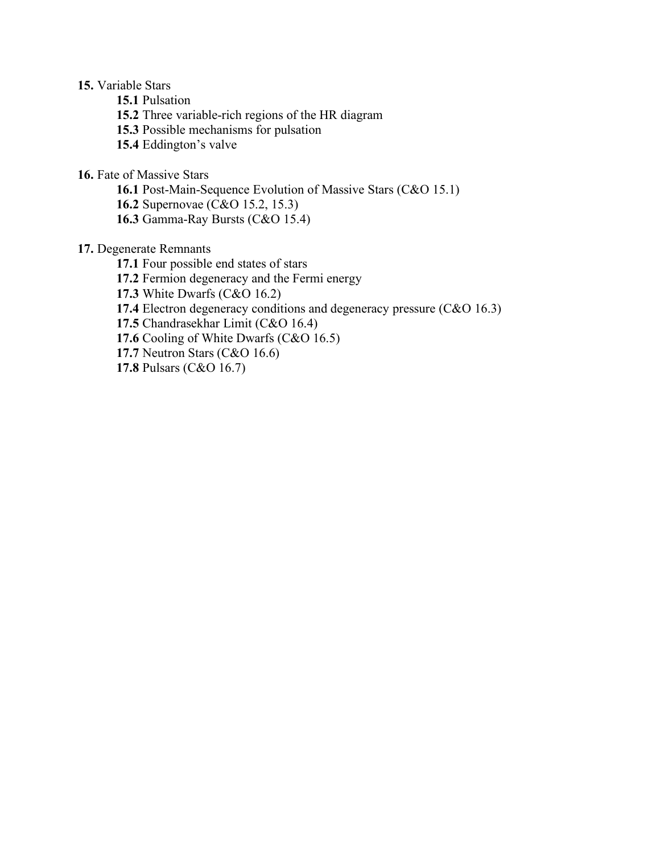#### **15.** Variable Stars

**15.1** Pulsation

**15.2** Three variable-rich regions of the HR diagram

**15.3** Possible mechanisms for pulsation

**15.4** Eddington's valve

**16.** Fate of Massive Stars

**16.1** Post-Main-Sequence Evolution of Massive Stars (C&O 15.1)

**16.2** Supernovae (C&O 15.2, 15.3)

**16.3** Gamma-Ray Bursts (C&O 15.4)

### **17.** Degenerate Remnants

**17.1** Four possible end states of stars

**17.2** Fermion degeneracy and the Fermi energy

**17.3** White Dwarfs (C&O 16.2)

**17.4** Electron degeneracy conditions and degeneracy pressure (C&O 16.3)

**17.5** Chandrasekhar Limit (C&O 16.4)

**17.6** Cooling of White Dwarfs (C&O 16.5)

**17.7** Neutron Stars (C&O 16.6)

**17.8** Pulsars (C&O 16.7)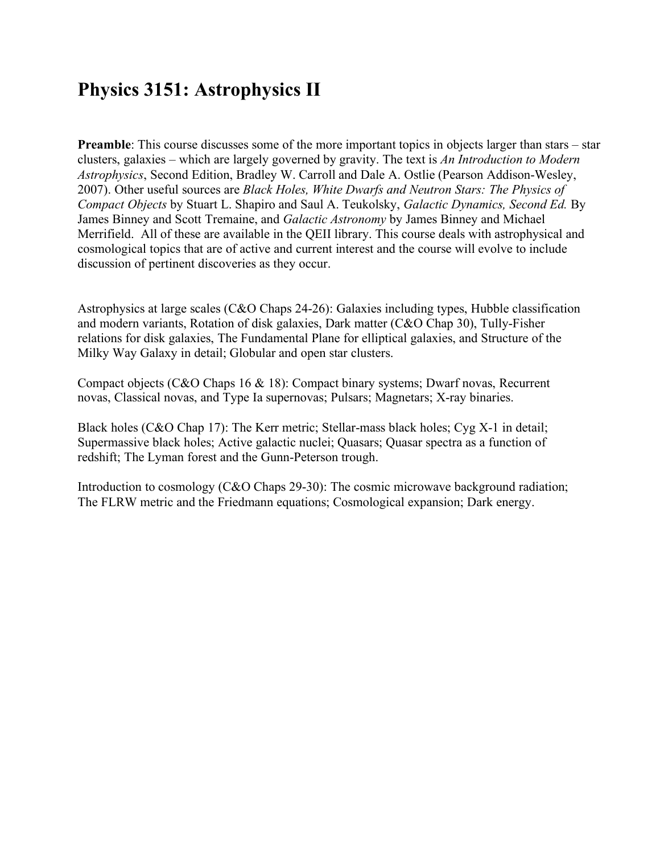# **Physics 3151: Astrophysics II**

**Preamble**: This course discusses some of the more important topics in objects larger than stars – star clusters, galaxies – which are largely governed by gravity. The text is *An Introduction to Modern Astrophysics*, Second Edition, Bradley W. Carroll and Dale A. Ostlie (Pearson Addison-Wesley, 2007). Other useful sources are *Black Holes, White Dwarfs and Neutron Stars: The Physics of Compact Objects* by Stuart L. Shapiro and Saul A. Teukolsky, *Galactic Dynamics, Second Ed.* By James Binney and Scott Tremaine, and *Galactic Astronomy* by James Binney and Michael Merrifield. All of these are available in the QEII library. This course deals with astrophysical and cosmological topics that are of active and current interest and the course will evolve to include discussion of pertinent discoveries as they occur.

Astrophysics at large scales (C&O Chaps 24-26): Galaxies including types, Hubble classification and modern variants, Rotation of disk galaxies, Dark matter (C&O Chap 30), Tully-Fisher relations for disk galaxies, The Fundamental Plane for elliptical galaxies, and Structure of the Milky Way Galaxy in detail; Globular and open star clusters.

Compact objects (C&O Chaps 16 & 18): Compact binary systems; Dwarf novas, Recurrent novas, Classical novas, and Type Ia supernovas; Pulsars; Magnetars; X-ray binaries.

Black holes (C&O Chap 17): The Kerr metric; Stellar-mass black holes; Cyg X-1 in detail; Supermassive black holes; Active galactic nuclei; Quasars; Quasar spectra as a function of redshift; The Lyman forest and the Gunn-Peterson trough.

Introduction to cosmology (C&O Chaps 29-30): The cosmic microwave background radiation; The FLRW metric and the Friedmann equations; Cosmological expansion; Dark energy.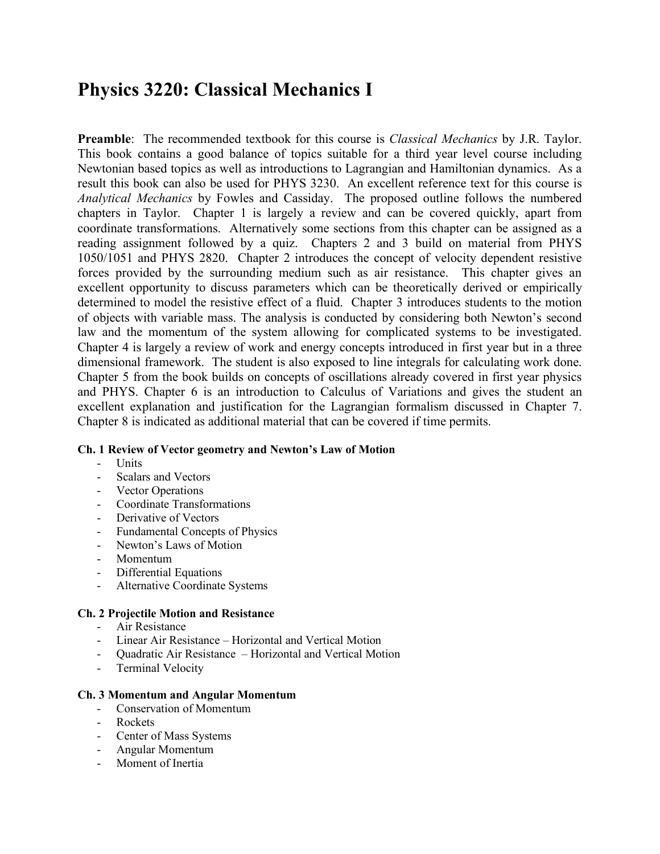# **Physics 3220: Classical Mechanics I**

**Preamble**: The recommended textbook for this course is *Classical Mechanics* by J.R. Taylor. This book contains a good balance of topics suitable for a third year level course including Newtonian based topics as well as introductions to Lagrangian and Hamiltonian dynamics. As a result this book can also be used for PHYS 3230. An excellent reference text for this course is *Analytical Mechanics* by Fowles and Cassiday. The proposed outline follows the numbered chapters in Taylor. Chapter 1 is largely a review and can be covered quickly, apart from coordinate transformations. Alternatively some sections from this chapter can be assigned as a reading assignment followed by a quiz. Chapters 2 and 3 build on material from PHYS 1050/1051 and PHYS 2820. Chapter 2 introduces the concept of velocity dependent resistive forces provided by the surrounding medium such as air resistance. This chapter gives an excellent opportunity to discuss parameters which can be theoretically derived or empirically determined to model the resistive effect of a fluid. Chapter 3 introduces students to the motion of objects with variable mass. The analysis is conducted by considering both Newton's second law and the momentum of the system allowing for complicated systems to be investigated. Chapter 4 is largely a review of work and energy concepts introduced in first year but in a three dimensional framework. The student is also exposed to line integrals for calculating work done. Chapter 5 from the book builds on concepts of oscillations already covered in first year physics and PHYS. Chapter 6 is an introduction to Calculus of Variations and gives the student an excellent explanation and justification for the Lagrangian formalism discussed in Chapter 7. Chapter 8 is indicated as additional material that can be covered if time permits.

#### **Ch. 1 Review of Vector geometry and Newton's Law of Motion**

- Units
- Scalars and Vectors
- Vector Operations
- Coordinate Transformations
- Derivative of Vectors
- Fundamental Concepts of Physics
- Newton's Laws of Motion
- Momentum
- Differential Equations
- Alternative Coordinate Systems

#### **Ch. 2 Projectile Motion and Resistance**

- Air Resistance
- Linear Air Resistance Horizontal and Vertical Motion
- Quadratic Air Resistance Horizontal and Vertical Motion
- Terminal Velocity

#### **Ch. 3 Momentum and Angular Momentum**

- Conservation of Momentum
- **Rockets**
- Center of Mass Systems
- Angular Momentum
- Moment of Inertia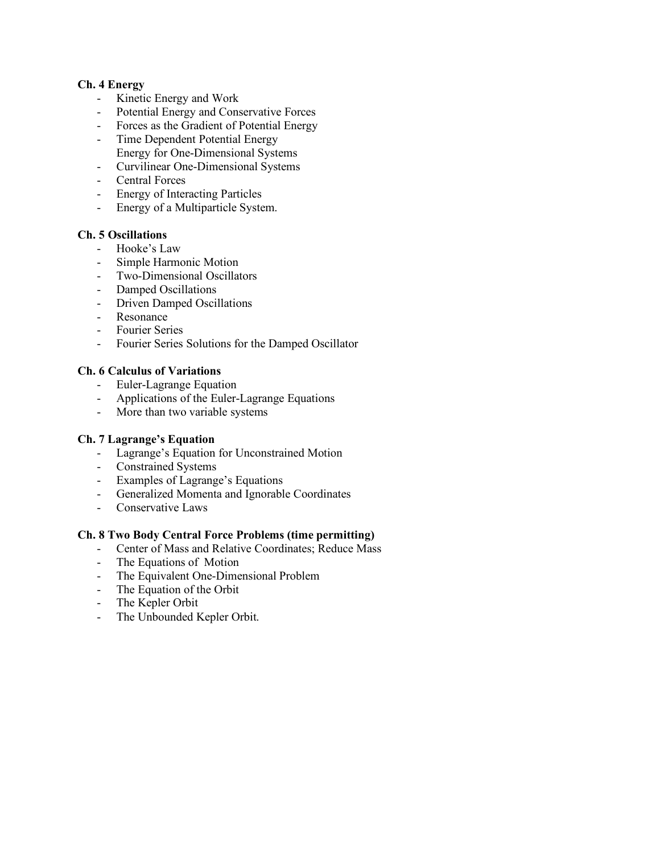#### **Ch. 4 Energy**

- Kinetic Energy and Work
- Potential Energy and Conservative Forces
- Forces as the Gradient of Potential Energy
- Time Dependent Potential Energy Energy for One-Dimensional Systems
- Curvilinear One-Dimensional Systems
- Central Forces
- Energy of Interacting Particles
- Energy of a Multiparticle System.

#### **Ch. 5 Oscillations**

- Hooke's Law
- Simple Harmonic Motion
- Two-Dimensional Oscillators
- Damped Oscillations
- Driven Damped Oscillations
- Resonance
- Fourier Series
- Fourier Series Solutions for the Damped Oscillator

#### **Ch. 6 Calculus of Variations**

- Euler-Lagrange Equation
- Applications of the Euler-Lagrange Equations
- More than two variable systems

#### **Ch. 7 Lagrange's Equation**

- Lagrange's Equation for Unconstrained Motion
- Constrained Systems
- Examples of Lagrange's Equations
- Generalized Momenta and Ignorable Coordinates
- Conservative Laws

#### **Ch. 8 Two Body Central Force Problems (time permitting)**

- Center of Mass and Relative Coordinates; Reduce Mass
- The Equations of Motion
- The Equivalent One-Dimensional Problem
- The Equation of the Orbit
- The Kepler Orbit
- The Unbounded Kepler Orbit.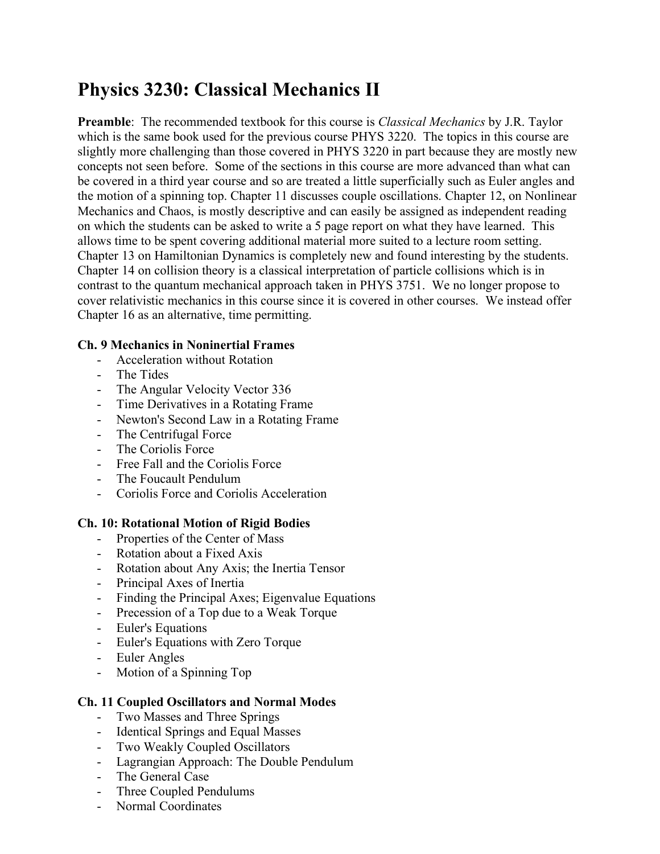# **Physics 3230: Classical Mechanics II**

**Preamble**: The recommended textbook for this course is *Classical Mechanics* by J.R. Taylor which is the same book used for the previous course PHYS 3220. The topics in this course are slightly more challenging than those covered in PHYS 3220 in part because they are mostly new concepts not seen before. Some of the sections in this course are more advanced than what can be covered in a third year course and so are treated a little superficially such as Euler angles and the motion of a spinning top. Chapter 11 discusses couple oscillations. Chapter 12, on Nonlinear Mechanics and Chaos, is mostly descriptive and can easily be assigned as independent reading on which the students can be asked to write a 5 page report on what they have learned. This allows time to be spent covering additional material more suited to a lecture room setting. Chapter 13 on Hamiltonian Dynamics is completely new and found interesting by the students. Chapter 14 on collision theory is a classical interpretation of particle collisions which is in contrast to the quantum mechanical approach taken in PHYS 3751. We no longer propose to cover relativistic mechanics in this course since it is covered in other courses. We instead offer Chapter 16 as an alternative, time permitting.

## **Ch. 9 Mechanics in Noninertial Frames**

- Acceleration without Rotation
- The Tides
- The Angular Velocity Vector 336
- Time Derivatives in a Rotating Frame
- Newton's Second Law in a Rotating Frame
- The Centrifugal Force
- The Coriolis Force
- Free Fall and the Coriolis Force
- The Foucault Pendulum
- Coriolis Force and Coriolis Acceleration

## **Ch. 10: Rotational Motion of Rigid Bodies**

- Properties of the Center of Mass
- Rotation about a Fixed Axis
- Rotation about Any Axis; the Inertia Tensor
- Principal Axes of Inertia
- Finding the Principal Axes; Eigenvalue Equations
- Precession of a Top due to a Weak Torque
- Euler's Equations
- Euler's Equations with Zero Torque
- Euler Angles
- Motion of a Spinning Top

#### **Ch. 11 Coupled Oscillators and Normal Modes**

- Two Masses and Three Springs
- Identical Springs and Equal Masses
- Two Weakly Coupled Oscillators
- Lagrangian Approach: The Double Pendulum
- The General Case
- Three Coupled Pendulums
- Normal Coordinates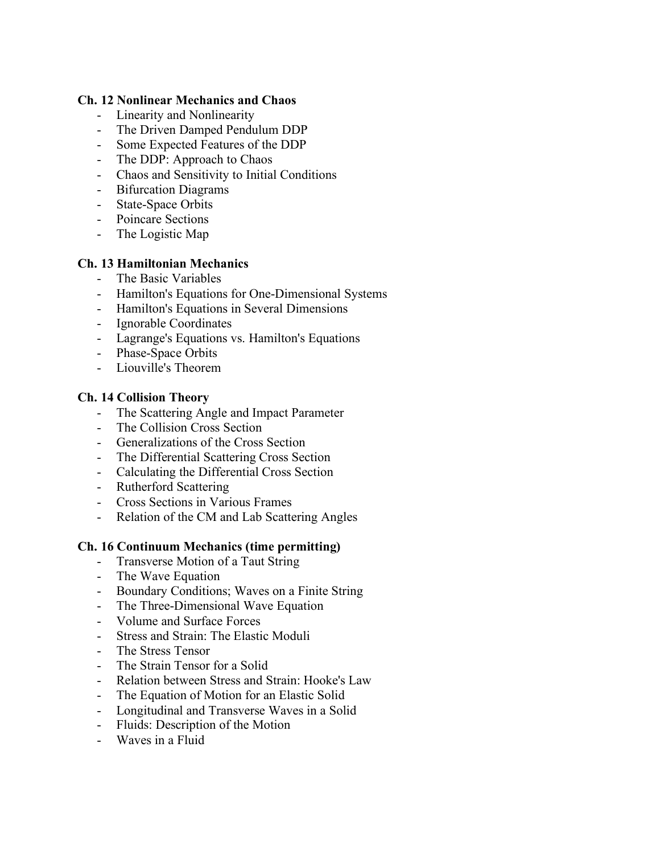#### **Ch. 12 Nonlinear Mechanics and Chaos**

- Linearity and Nonlinearity
- The Driven Damped Pendulum DDP
- Some Expected Features of the DDP
- The DDP: Approach to Chaos
- Chaos and Sensitivity to Initial Conditions
- Bifurcation Diagrams
- State-Space Orbits
- Poincare Sections
- The Logistic Map

## **Ch. 13 Hamiltonian Mechanics**

- The Basic Variables
- Hamilton's Equations for One-Dimensional Systems
- Hamilton's Equations in Several Dimensions
- Ignorable Coordinates
- Lagrange's Equations vs. Hamilton's Equations
- Phase-Space Orbits
- Liouville's Theorem

## **Ch. 14 Collision Theory**

- The Scattering Angle and Impact Parameter<br>- The Collision Cross Section
- The Collision Cross Section
- Generalizations of the Cross Section
- The Differential Scattering Cross Section
- Calculating the Differential Cross Section
- Rutherford Scattering
- Cross Sections in Various Frames
- Relation of the CM and Lab Scattering Angles

## **Ch. 16 Continuum Mechanics (time permitting)**

- Transverse Motion of a Taut String
- The Wave Equation
- Boundary Conditions; Waves on a Finite String
- The Three-Dimensional Wave Equation
- Volume and Surface Forces
- Stress and Strain: The Elastic Moduli
- The Stress Tensor
- The Strain Tensor for a Solid
- Relation between Stress and Strain: Hooke's Law
- The Equation of Motion for an Elastic Solid
- Longitudinal and Transverse Waves in a Solid
- Fluids: Description of the Motion
- Waves in a Fluid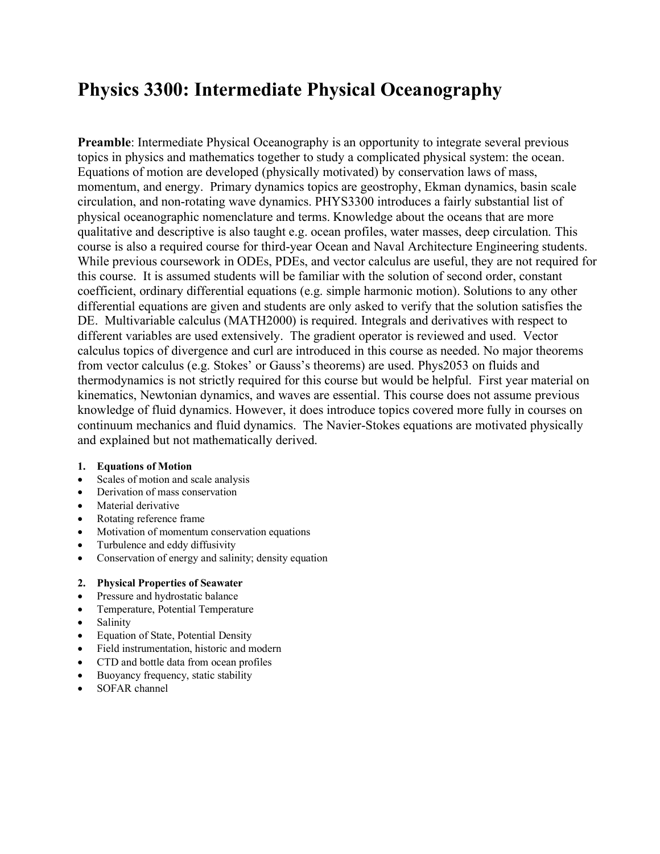# **Physics 3300: Intermediate Physical Oceanography**

**Preamble**: Intermediate Physical Oceanography is an opportunity to integrate several previous topics in physics and mathematics together to study a complicated physical system: the ocean. Equations of motion are developed (physically motivated) by conservation laws of mass, momentum, and energy. Primary dynamics topics are geostrophy, Ekman dynamics, basin scale circulation, and non-rotating wave dynamics. PHYS3300 introduces a fairly substantial list of physical oceanographic nomenclature and terms. Knowledge about the oceans that are more qualitative and descriptive is also taught e.g. ocean profiles, water masses, deep circulation. This course is also a required course for third-year Ocean and Naval Architecture Engineering students. While previous coursework in ODEs, PDEs, and vector calculus are useful, they are not required for this course. It is assumed students will be familiar with the solution of second order, constant coefficient, ordinary differential equations (e.g. simple harmonic motion). Solutions to any other differential equations are given and students are only asked to verify that the solution satisfies the DE. Multivariable calculus (MATH2000) is required. Integrals and derivatives with respect to different variables are used extensively. The gradient operator is reviewed and used. Vector calculus topics of divergence and curl are introduced in this course as needed. No major theorems from vector calculus (e.g. Stokes' or Gauss's theorems) are used. Phys2053 on fluids and thermodynamics is not strictly required for this course but would be helpful. First year material on kinematics, Newtonian dynamics, and waves are essential. This course does not assume previous knowledge of fluid dynamics. However, it does introduce topics covered more fully in courses on continuum mechanics and fluid dynamics. The Navier-Stokes equations are motivated physically and explained but not mathematically derived.

#### **1. Equations of Motion**

- Scales of motion and scale analysis
- Derivation of mass conservation
- Material derivative
- Rotating reference frame
- Motivation of momentum conservation equations
- Turbulence and eddy diffusivity
- Conservation of energy and salinity; density equation

#### **2. Physical Properties of Seawater**

- Pressure and hydrostatic balance
- Temperature, Potential Temperature
- Salinity
- Equation of State, Potential Density
- Field instrumentation, historic and modern
- CTD and bottle data from ocean profiles
- Buoyancy frequency, static stability
- SOFAR channel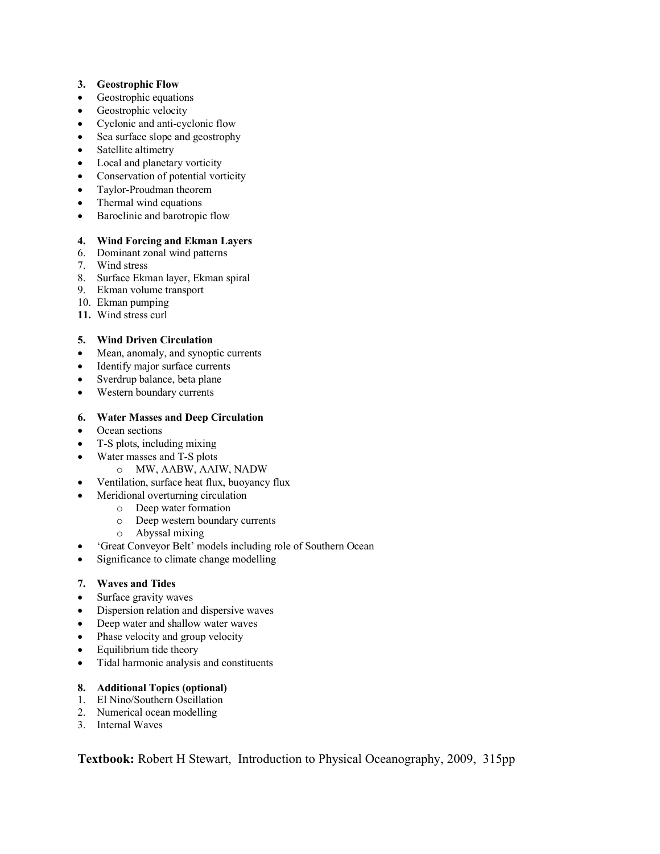#### **3. Geostrophic Flow**

- Geostrophic equations
- Geostrophic velocity
- Cyclonic and anti-cyclonic flow
- Sea surface slope and geostrophy
- Satellite altimetry
- Local and planetary vorticity
- Conservation of potential vorticity
- Taylor-Proudman theorem
- Thermal wind equations
- Baroclinic and barotropic flow

#### **4. Wind Forcing and Ekman Layers**

- 6. Dominant zonal wind patterns
- 7. Wind stress
- 8. Surface Ekman layer, Ekman spiral
- 9. Ekman volume transport
- 10. Ekman pumping
- **11.** Wind stress curl

#### **5. Wind Driven Circulation**

- Mean, anomaly, and synoptic currents
- Identify major surface currents
- Sverdrup balance, beta plane
- Western boundary currents

#### **6. Water Masses and Deep Circulation**

- Ocean sections
- T-S plots, including mixing
- Water masses and T-S plots
	- o MW, AABW, AAIW, NADW
- Ventilation, surface heat flux, buoyancy flux
	- Meridional overturning circulation
		- o Deep water formation
		- o Deep western boundary currents
		- o Abyssal mixing
- 'Great Conveyor Belt' models including role of Southern Ocean
- Significance to climate change modelling

#### **7. Waves and Tides**

- Surface gravity waves
- Dispersion relation and dispersive waves
- Deep water and shallow water waves
- Phase velocity and group velocity
- Equilibrium tide theory
- Tidal harmonic analysis and constituents

#### **8. Additional Topics (optional)**

- 1. El Nino/Southern Oscillation
- 2. Numerical ocean modelling
- 3. Internal Waves

**Textbook:** Robert H Stewart, Introduction to Physical Oceanography, 2009, 315pp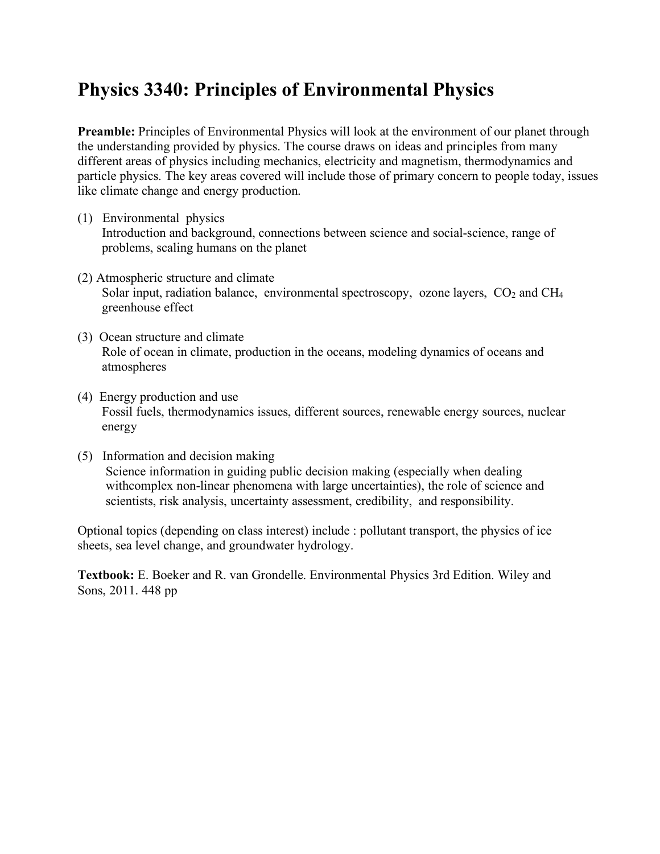# **Physics 3340: Principles of Environmental Physics**

**Preamble:** Principles of Environmental Physics will look at the environment of our planet through the understanding provided by physics. The course draws on ideas and principles from many different areas of physics including mechanics, electricity and magnetism, thermodynamics and particle physics. The key areas covered will include those of primary concern to people today, issues like climate change and energy production.

- (1) Environmental physics Introduction and background, connections between science and social-science, range of problems, scaling humans on the planet
- (2) Atmospheric structure and climate Solar input, radiation balance, environmental spectroscopy, ozone layers,  $CO<sub>2</sub>$  and  $CH<sub>4</sub>$ greenhouse effect
- (3) Ocean structure and climate Role of ocean in climate, production in the oceans, modeling dynamics of oceans and atmospheres
- (4) Energy production and use Fossil fuels, thermodynamics issues, different sources, renewable energy sources, nuclear energy
- (5) Information and decision making Science information in guiding public decision making (especially when dealing withcomplex non-linear phenomena with large uncertainties), the role of science and scientists, risk analysis, uncertainty assessment, credibility, and responsibility.

Optional topics (depending on class interest) include : pollutant transport, the physics of ice sheets, sea level change, and groundwater hydrology.

**Textbook:** E. Boeker and R. van Grondelle. Environmental Physics 3rd Edition. Wiley and Sons, 2011. 448 pp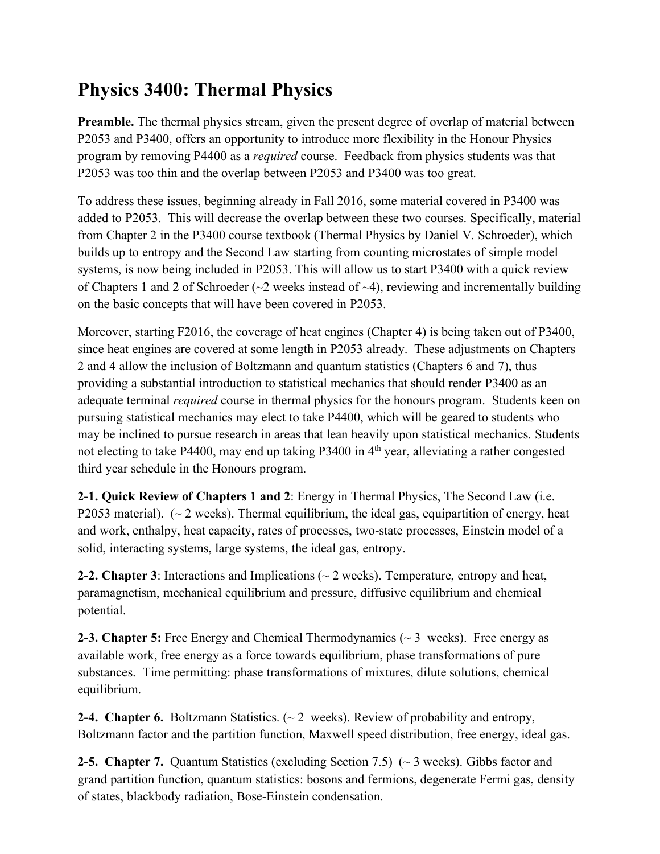# **Physics 3400: Thermal Physics**

**Preamble.** The thermal physics stream, given the present degree of overlap of material between P2053 and P3400, offers an opportunity to introduce more flexibility in the Honour Physics program by removing P4400 as a *required* course. Feedback from physics students was that P2053 was too thin and the overlap between P2053 and P3400 was too great.

To address these issues, beginning already in Fall 2016, some material covered in P3400 was added to P2053. This will decrease the overlap between these two courses. Specifically, material from Chapter 2 in the P3400 course textbook (Thermal Physics by Daniel V. Schroeder), which builds up to entropy and the Second Law starting from counting microstates of simple model systems, is now being included in P2053. This will allow us to start P3400 with a quick review of Chapters 1 and 2 of Schroeder ( $\sim$ 2 weeks instead of  $\sim$ 4), reviewing and incrementally building on the basic concepts that will have been covered in P2053.

Moreover, starting F2016, the coverage of heat engines (Chapter 4) is being taken out of P3400, since heat engines are covered at some length in P2053 already. These adjustments on Chapters 2 and 4 allow the inclusion of Boltzmann and quantum statistics (Chapters 6 and 7), thus providing a substantial introduction to statistical mechanics that should render P3400 as an adequate terminal *required* course in thermal physics for the honours program. Students keen on pursuing statistical mechanics may elect to take P4400, which will be geared to students who may be inclined to pursue research in areas that lean heavily upon statistical mechanics. Students not electing to take P4400, may end up taking P3400 in 4<sup>th</sup> year, alleviating a rather congested third year schedule in the Honours program.

**2-1. Quick Review of Chapters 1 and 2**: Energy in Thermal Physics, The Second Law (i.e. P2053 material).  $\left(\sim 2 \text{ weeks}\right)$ . Thermal equilibrium, the ideal gas, equipartition of energy, heat and work, enthalpy, heat capacity, rates of processes, two-state processes, Einstein model of a solid, interacting systems, large systems, the ideal gas, entropy.

**2-2. Chapter 3**: Interactions and Implications (~ 2 weeks). Temperature, entropy and heat, paramagnetism, mechanical equilibrium and pressure, diffusive equilibrium and chemical potential.

**2-3. Chapter 5:** Free Energy and Chemical Thermodynamics (~ 3 weeks). Free energy as available work, free energy as a force towards equilibrium, phase transformations of pure substances. Time permitting: phase transformations of mixtures, dilute solutions, chemical equilibrium.

**2-4. Chapter 6.** Boltzmann Statistics. (~ 2 weeks). Review of probability and entropy, Boltzmann factor and the partition function, Maxwell speed distribution, free energy, ideal gas.

**2-5. Chapter 7.** Quantum Statistics (excluding Section 7.5) (~ 3 weeks). Gibbs factor and grand partition function, quantum statistics: bosons and fermions, degenerate Fermi gas, density of states, blackbody radiation, Bose-Einstein condensation.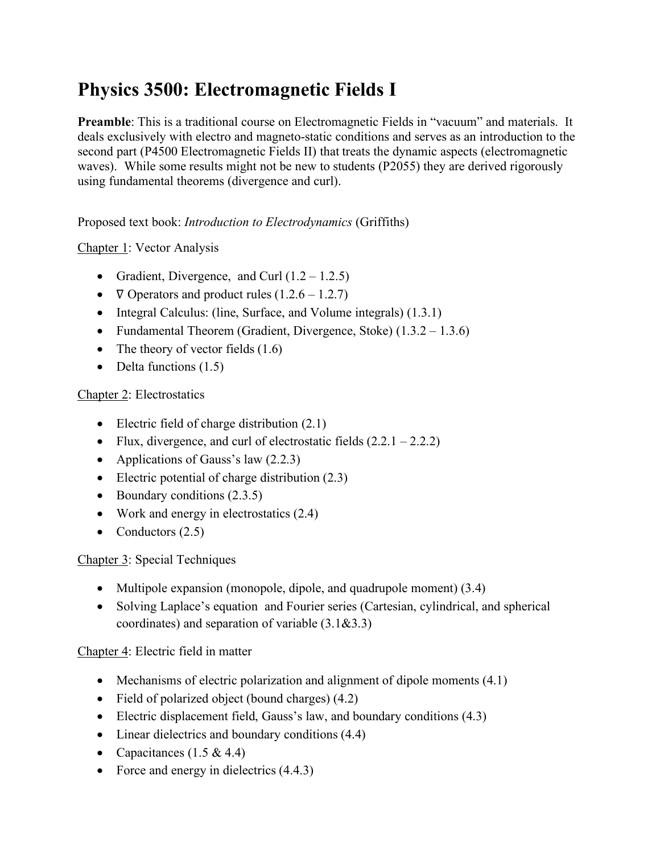# **Physics 3500: Electromagnetic Fields I**

**Preamble**: This is a traditional course on Electromagnetic Fields in "vacuum" and materials. It deals exclusively with electro and magneto-static conditions and serves as an introduction to the second part (P4500 Electromagnetic Fields II) that treats the dynamic aspects (electromagnetic waves). While some results might not be new to students (P2055) they are derived rigorously using fundamental theorems (divergence and curl).

Proposed text book: *Introduction to Electrodynamics* (Griffiths)

# Chapter 1: Vector Analysis

- Gradient, Divergence, and Curl  $(1.2 1.2.5)$
- $\nabla$  Operators and product rules  $(1.2.6 1.2.7)$
- Integral Calculus: (line, Surface, and Volume integrals) (1.3.1)
- Fundamental Theorem (Gradient, Divergence, Stoke) (1.3.2 1.3.6)
- The theory of vector fields  $(1.6)$
- Delta functions  $(1.5)$

## Chapter 2: Electrostatics

- Electric field of charge distribution  $(2.1)$
- Flux, divergence, and curl of electrostatic fields  $(2.2.1 2.2.2)$
- Applications of Gauss's law  $(2.2.3)$
- Electric potential of charge distribution (2.3)
- Boundary conditions  $(2.3.5)$
- Work and energy in electrostatics  $(2.4)$
- Conductors  $(2.5)$

# Chapter 3: Special Techniques

- Multipole expansion (monopole, dipole, and quadrupole moment) (3.4)
- Solving Laplace's equation and Fourier series (Cartesian, cylindrical, and spherical coordinates) and separation of variable (3.1&3.3)

# Chapter 4: Electric field in matter

- Mechanisms of electric polarization and alignment of dipole moments (4.1)
- Field of polarized object (bound charges)  $(4.2)$
- Electric displacement field, Gauss's law, and boundary conditions (4.3)
- Linear dielectrics and boundary conditions  $(4.4)$
- Capacitances  $(1.5 \& 4.4)$
- Force and energy in dielectrics  $(4.4.3)$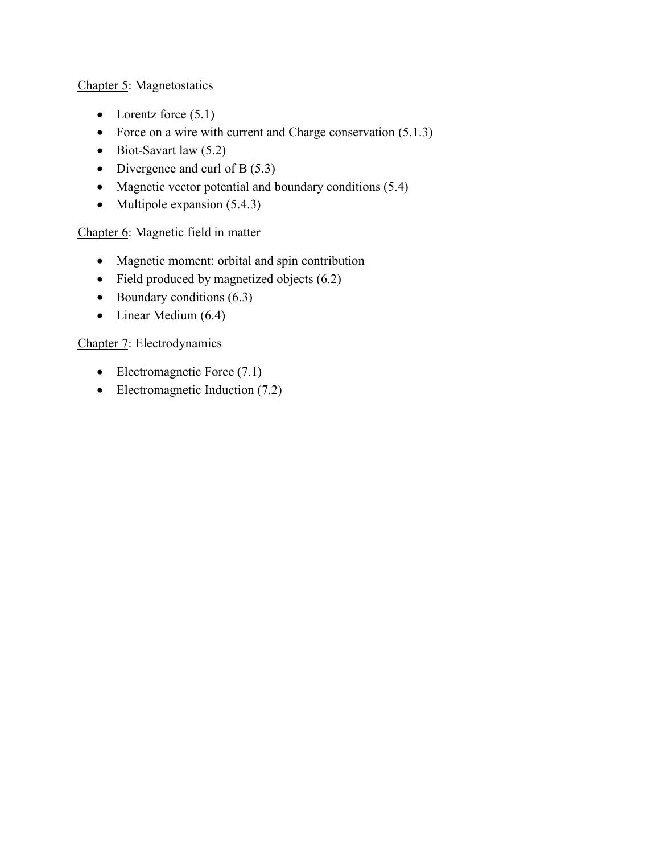Chapter 5: Magnetostatics

- Lorentz force  $(5.1)$
- Force on a wire with current and Charge conservation (5.1.3)
- Biot-Savart law  $(5.2)$
- Divergence and curl of B $(5.3)$
- Magnetic vector potential and boundary conditions (5.4)
- Multipole expansion  $(5.4.3)$

Chapter 6: Magnetic field in matter

- Magnetic moment: orbital and spin contribution
- Field produced by magnetized objects (6.2)
- Boundary conditions  $(6.3)$
- Linear Medium (6.4)

## Chapter 7: Electrodynamics

- Electromagnetic Force (7.1)
- Electromagnetic Induction (7.2)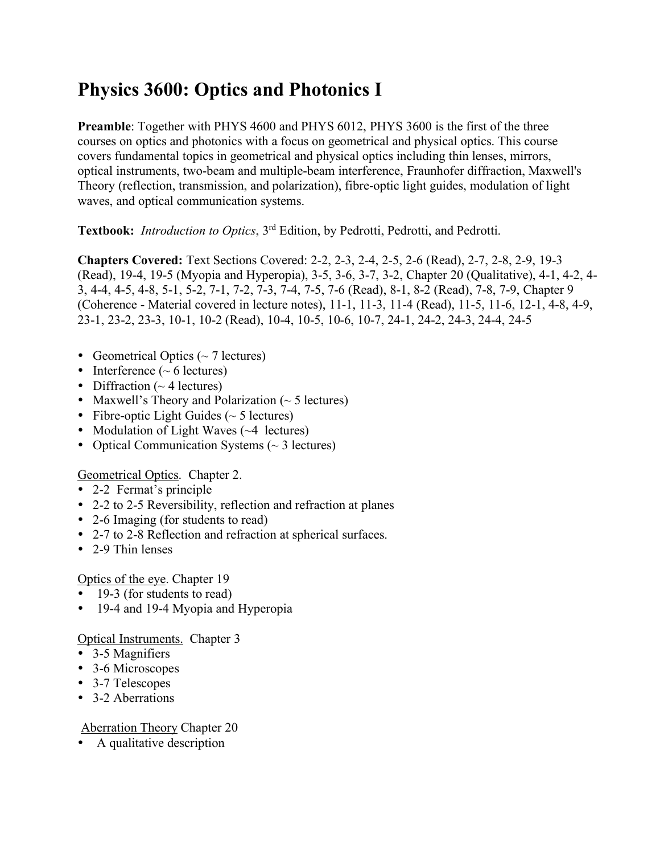# **Physics 3600: Optics and Photonics I**

**Preamble**: Together with PHYS 4600 and PHYS 6012, PHYS 3600 is the first of the three courses on optics and photonics with a focus on geometrical and physical optics. This course covers fundamental topics in geometrical and physical optics including thin lenses, mirrors, optical instruments, two-beam and multiple-beam interference, Fraunhofer diffraction, Maxwell's Theory (reflection, transmission, and polarization), fibre-optic light guides, modulation of light waves, and optical communication systems.

**Textbook:** *Introduction to Optics*, 3rd Edition, by Pedrotti, Pedrotti, and Pedrotti.

**Chapters Covered:** Text Sections Covered: 2-2, 2-3, 2-4, 2-5, 2-6 (Read), 2-7, 2-8, 2-9, 19-3 (Read), 19-4, 19-5 (Myopia and Hyperopia), 3-5, 3-6, 3-7, 3-2, Chapter 20 (Qualitative), 4-1, 4-2, 4- 3, 4-4, 4-5, 4-8, 5-1, 5-2, 7-1, 7-2, 7-3, 7-4, 7-5, 7-6 (Read), 8-1, 8-2 (Read), 7-8, 7-9, Chapter 9 (Coherence - Material covered in lecture notes), 11-1, 11-3, 11-4 (Read), 11-5, 11-6, 12-1, 4-8, 4-9, 23-1, 23-2, 23-3, 10-1, 10-2 (Read), 10-4, 10-5, 10-6, 10-7, 24-1, 24-2, 24-3, 24-4, 24-5

- Geometrical Optics  $({\sim} 7 \text{ lectures})$
- Interference  $({\sim}6 \text{ lectures})$
- Diffraction  $(~4$  lectures)
- Maxwell's Theory and Polarization  $($   $\sim$  5 lectures)
- Fibre-optic Light Guides ( $\sim$  5 lectures)
- Modulation of Light Waves  $(\sim 4$  lectures)
- Optical Communication Systems  $(\sim 3 \text{ lectures})$

Geometrical Optics. Chapter 2.

- 2-2 Fermat's principle
- 2-2 to 2-5 Reversibility, reflection and refraction at planes
- 2-6 Imaging (for students to read)
- 2-7 to 2-8 Reflection and refraction at spherical surfaces.
- 2-9 Thin lenses

# Optics of the eye. Chapter 19

- 19-3 (for students to read)
- 19-4 and 19-4 Myopia and Hyperopia

# Optical Instruments. Chapter 3

- 3-5 Magnifiers
- 3-6 Microscopes
- 3-7 Telescopes
- 3-2 Aberrations

# Aberration Theory Chapter 20

• A qualitative description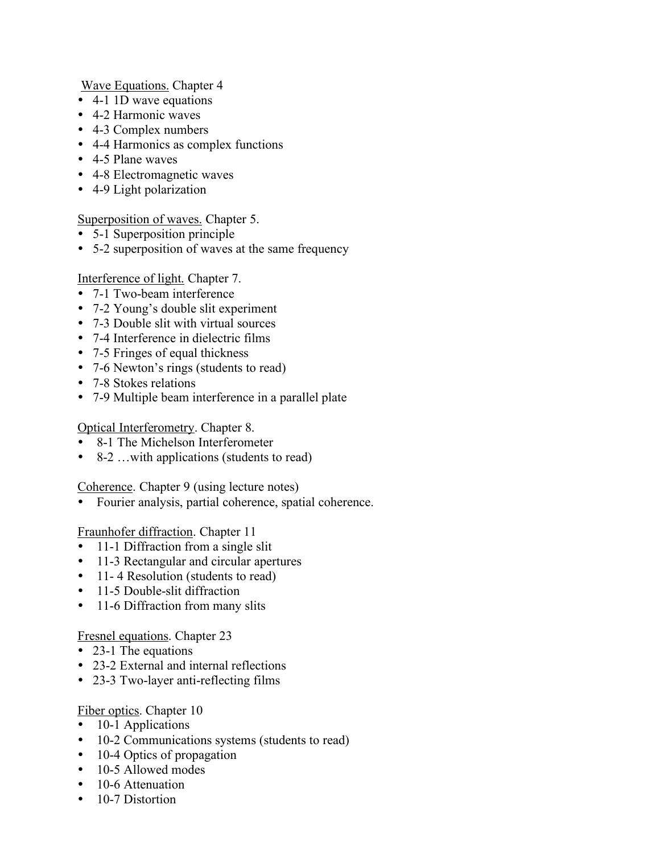Wave Equations. Chapter 4

- 4-1 1D wave equations
- 4-2 Harmonic waves
- 4-3 Complex numbers
- 4-4 Harmonics as complex functions
- 4-5 Plane waves
- 4-8 Electromagnetic waves
- 4-9 Light polarization

#### Superposition of waves. Chapter 5.

- 5-1 Superposition principle
- 5-2 superposition of waves at the same frequency

#### Interference of light. Chapter 7.

- 7-1 Two-beam interference
- 7-2 Young's double slit experiment
- 7-3 Double slit with virtual sources
- 7-4 Interference in dielectric films
- 7-5 Fringes of equal thickness
- 7-6 Newton's rings (students to read)
- 7-8 Stokes relations
- 7-9 Multiple beam interference in a parallel plate

### Optical Interferometry. Chapter 8.

- 8-1 The Michelson Interferometer
- 8-2 …with applications (students to read)

#### Coherence. Chapter 9 (using lecture notes)

Fourier analysis, partial coherence, spatial coherence.

#### Fraunhofer diffraction. Chapter 11

- 11-1 Diffraction from a single slit
- 11-3 Rectangular and circular apertures
- 11-4 Resolution (students to read)
- 11-5 Double-slit diffraction
- 11-6 Diffraction from many slits

#### Fresnel equations. Chapter 23

- 23-1 The equations
- 23-2 External and internal reflections
- 23-3 Two-layer anti-reflecting films

#### Fiber optics. Chapter 10

- 10-1 Applications
- 10-2 Communications systems (students to read)
- 10-4 Optics of propagation
- 10-5 Allowed modes
- 10-6 Attenuation
- 10-7 Distortion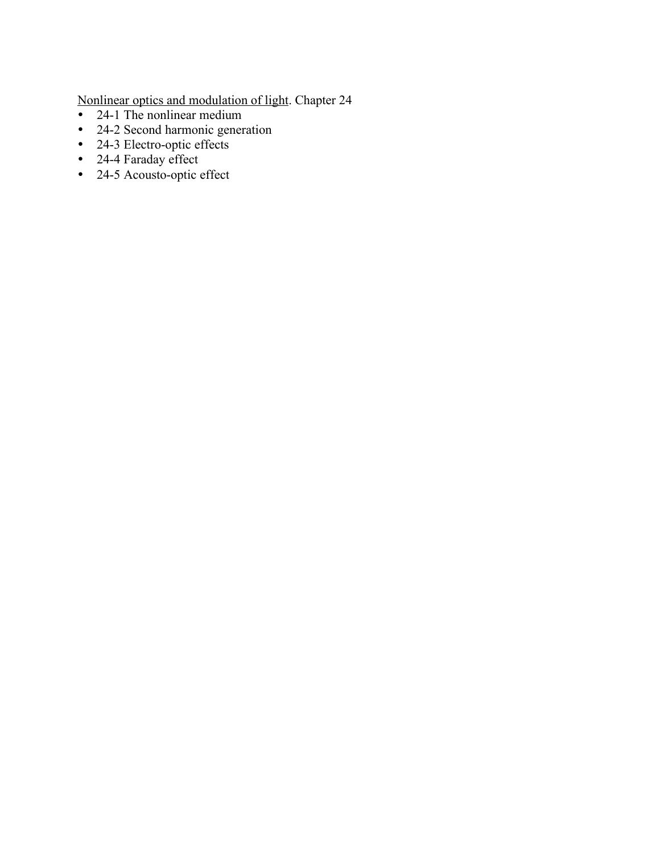Nonlinear optics and modulation of light. Chapter 24

- 24-1 The nonlinear medium
- 24-2 Second harmonic generation
- 24-3 Electro-optic effects
- 24-4 Faraday effect
- 24-5 Acousto-optic effect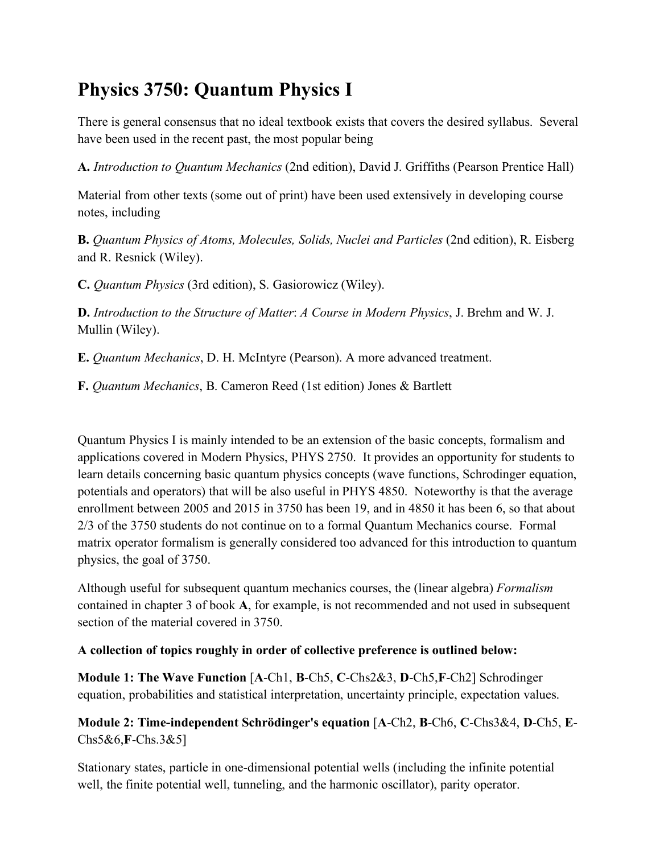# **Physics 3750: Quantum Physics I**

There is general consensus that no ideal textbook exists that covers the desired syllabus. Several have been used in the recent past, the most popular being

**A.** *Introduction to Quantum Mechanics* (2nd edition), David J. Griffiths (Pearson Prentice Hall)

Material from other texts (some out of print) have been used extensively in developing course notes, including

**B.** *Quantum Physics of Atoms, Molecules, Solids, Nuclei and Particles* (2nd edition), R. Eisberg and R. Resnick (Wiley).

**C.** *Quantum Physics* (3rd edition), S. Gasiorowicz (Wiley).

**D.** *Introduction to the Structure of Matter*: *A Course in Modern Physics*, J. Brehm and W. J. Mullin (Wiley).

**E.** *Quantum Mechanics*, D. H. McIntyre (Pearson). A more advanced treatment.

**F.** *Quantum Mechanics*, B. Cameron Reed (1st edition) Jones & Bartlett

Quantum Physics I is mainly intended to be an extension of the basic concepts, formalism and applications covered in Modern Physics, PHYS 2750. It provides an opportunity for students to learn details concerning basic quantum physics concepts (wave functions, Schrodinger equation, potentials and operators) that will be also useful in PHYS 4850. Noteworthy is that the average enrollment between 2005 and 2015 in 3750 has been 19, and in 4850 it has been 6, so that about 2/3 of the 3750 students do not continue on to a formal Quantum Mechanics course. Formal matrix operator formalism is generally considered too advanced for this introduction to quantum physics, the goal of 3750.

Although useful for subsequent quantum mechanics courses, the (linear algebra) *Formalism* contained in chapter 3 of book **A**, for example, is not recommended and not used in subsequent section of the material covered in 3750.

# **A collection of topics roughly in order of collective preference is outlined below:**

**Module 1: The Wave Function** [**A**-Ch1, **B**-Ch5, **C**-Chs2&3, **D**-Ch5,**F**-Ch2] Schrodinger equation, probabilities and statistical interpretation, uncertainty principle, expectation values.

**Module 2: Time-independent Schrödinger's equation** [**A**-Ch2, **B**-Ch6, **C**-Chs3&4, **D**-Ch5, **E**-Chs5&6,**F**-Chs.3&5]

Stationary states, particle in one-dimensional potential wells (including the infinite potential well, the finite potential well, tunneling, and the harmonic oscillator), parity operator.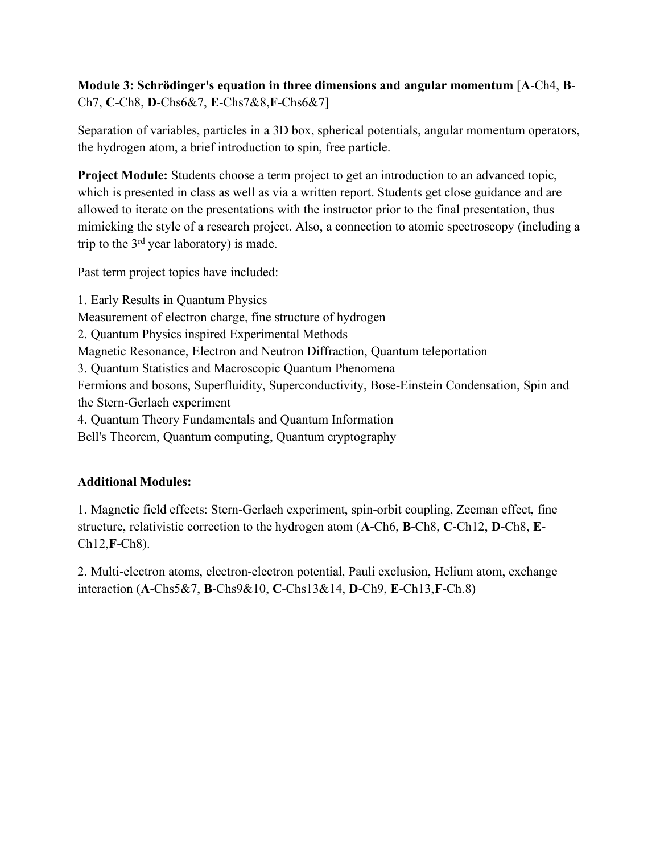# **Module 3: Schrödinger's equation in three dimensions and angular momentum** [**A**-Ch4, **B**-Ch7, **C**-Ch8, **D**-Chs6&7, **E**-Chs7&8,**F**-Chs6&7]

Separation of variables, particles in a 3D box, spherical potentials, angular momentum operators, the hydrogen atom, a brief introduction to spin, free particle.

**Project Module:** Students choose a term project to get an introduction to an advanced topic, which is presented in class as well as via a written report. Students get close guidance and are allowed to iterate on the presentations with the instructor prior to the final presentation, thus mimicking the style of a research project. Also, a connection to atomic spectroscopy (including a trip to the  $3<sup>rd</sup>$  year laboratory) is made.

Past term project topics have included:

1. Early Results in Quantum Physics Measurement of electron charge, fine structure of hydrogen 2. Quantum Physics inspired Experimental Methods Magnetic Resonance, Electron and Neutron Diffraction, Quantum teleportation 3. Quantum Statistics and Macroscopic Quantum Phenomena Fermions and bosons, Superfluidity, Superconductivity, Bose-Einstein Condensation, Spin and the Stern-Gerlach experiment 4. Quantum Theory Fundamentals and Quantum Information Bell's Theorem, Quantum computing, Quantum cryptography

# **Additional Modules:**

1. Magnetic field effects: Stern-Gerlach experiment, spin-orbit coupling, Zeeman effect, fine structure, relativistic correction to the hydrogen atom (**A**-Ch6, **B**-Ch8, **C**-Ch12, **D**-Ch8, **E**-Ch12,**F**-Ch8).

2. Multi-electron atoms, electron-electron potential, Pauli exclusion, Helium atom, exchange interaction (**A**-Chs5&7, **B**-Chs9&10, **C**-Chs13&14, **D**-Ch9, **E**-Ch13,**F**-Ch.8)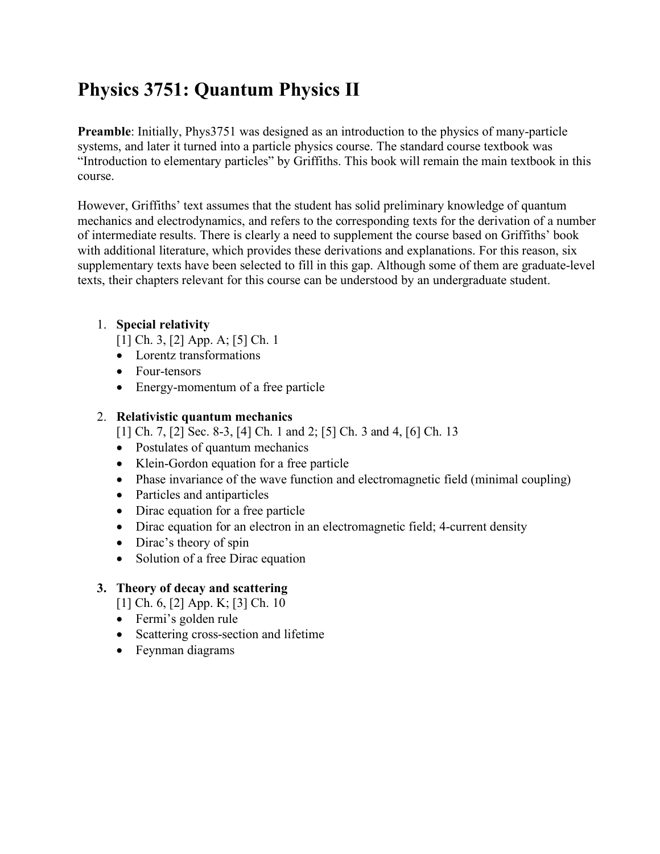# **Physics 3751: Quantum Physics II**

**Preamble**: Initially, Phys3751 was designed as an introduction to the physics of many-particle systems, and later it turned into a particle physics course. The standard course textbook was "Introduction to elementary particles" by Griffiths. This book will remain the main textbook in this course.

However, Griffiths' text assumes that the student has solid preliminary knowledge of quantum mechanics and electrodynamics, and refers to the corresponding texts for the derivation of a number of intermediate results. There is clearly a need to supplement the course based on Griffiths' book with additional literature, which provides these derivations and explanations. For this reason, six supplementary texts have been selected to fill in this gap. Although some of them are graduate-level texts, their chapters relevant for this course can be understood by an undergraduate student.

# 1. **Special relativity**

[1] Ch. 3, [2] App. A; [5] Ch. 1

- Lorentz transformations
- Four-tensors
- Energy-momentum of a free particle

# 2. **Relativistic quantum mechanics**

[1] Ch. 7, [2] Sec. 8-3, [4] Ch. 1 and 2; [5] Ch. 3 and 4, [6] Ch. 13

- Postulates of quantum mechanics
- Klein-Gordon equation for a free particle
- Phase invariance of the wave function and electromagnetic field (minimal coupling)
- Particles and antiparticles
- Dirac equation for a free particle
- Dirac equation for an electron in an electromagnetic field; 4-current density
- Dirac's theory of spin
- Solution of a free Dirac equation

# **3. Theory of decay and scattering**

[1] Ch. 6, [2] App. K; [3] Ch. 10

- Fermi's golden rule
- Scattering cross-section and lifetime
- Feynman diagrams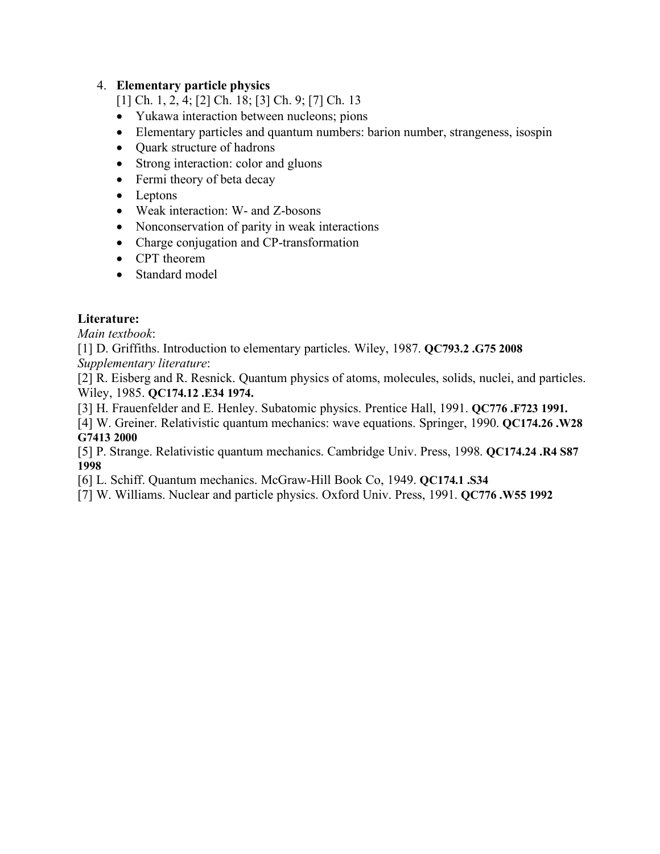## 4. **Elementary particle physics**

- [1] Ch. 1, 2, 4; [2] Ch. 18; [3] Ch. 9; [7] Ch. 13
- Yukawa interaction between nucleons; pions
- Elementary particles and quantum numbers: barion number, strangeness, isospin
- Quark structure of hadrons
- Strong interaction: color and gluons
- Fermi theory of beta decay
- Leptons
- Weak interaction: W- and Z-bosons
- Nonconservation of parity in weak interactions
- Charge conjugation and CP-transformation
- CPT theorem
- Standard model

## **Literature:**

*Main textbook*:

[1] D. Griffiths. Introduction to elementary particles. Wiley, 1987. **QC793.2 .G75 2008** *Supplementary literature*:

[2] R. Eisberg and R. Resnick. Quantum physics of atoms, molecules, solids, nuclei, and particles. Wiley, 1985. **QC174.12 .E34 1974.**

[3] H. Frauenfelder and E. Henley. Subatomic physics. Prentice Hall, 1991. **QC776 .F723 1991.**

[4] W. Greiner. Relativistic quantum mechanics: wave equations. Springer, 1990. **QC174.26 .W28 G7413 2000**

[5] P. Strange. Relativistic quantum mechanics. Cambridge Univ. Press, 1998. **QC174.24 .R4 S87 1998**

[6] L. Schiff. Quantum mechanics. McGraw-Hill Book Co, 1949. **QC174.1 .S34**

[7] W. Williams. Nuclear and particle physics. Oxford Univ. Press, 1991. **QC776 .W55 1992**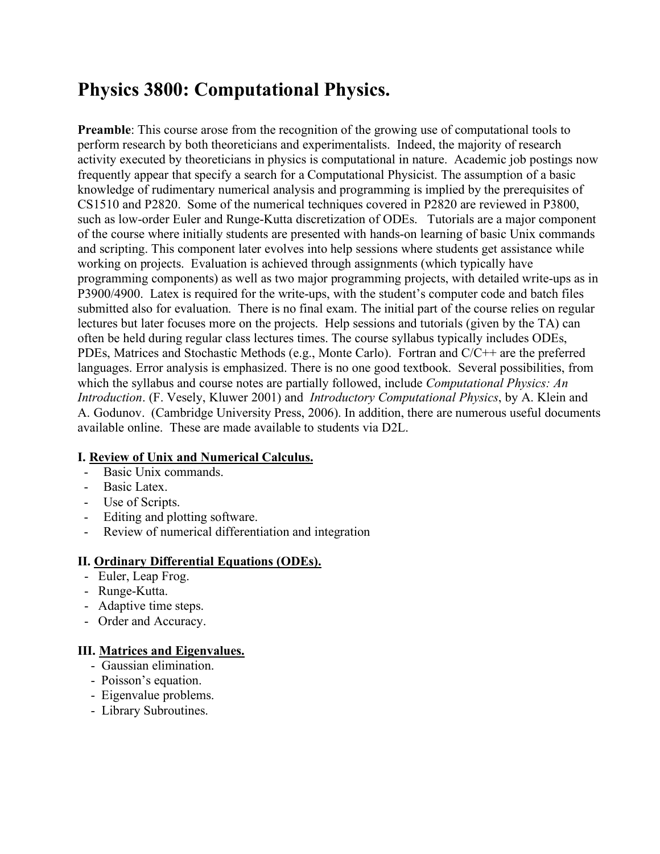# **Physics 3800: Computational Physics.**

**Preamble**: This course arose from the recognition of the growing use of computational tools to perform research by both theoreticians and experimentalists. Indeed, the majority of research activity executed by theoreticians in physics is computational in nature. Academic job postings now frequently appear that specify a search for a Computational Physicist. The assumption of a basic knowledge of rudimentary numerical analysis and programming is implied by the prerequisites of CS1510 and P2820. Some of the numerical techniques covered in P2820 are reviewed in P3800, such as low-order Euler and Runge-Kutta discretization of ODEs. Tutorials are a major component of the course where initially students are presented with hands-on learning of basic Unix commands and scripting. This component later evolves into help sessions where students get assistance while working on projects. Evaluation is achieved through assignments (which typically have programming components) as well as two major programming projects, with detailed write-ups as in P3900/4900. Latex is required for the write-ups, with the student's computer code and batch files submitted also for evaluation. There is no final exam. The initial part of the course relies on regular lectures but later focuses more on the projects. Help sessions and tutorials (given by the TA) can often be held during regular class lectures times. The course syllabus typically includes ODEs, PDEs, Matrices and Stochastic Methods (e.g., Monte Carlo). Fortran and C/C++ are the preferred languages. Error analysis is emphasized. There is no one good textbook. Several possibilities, from which the syllabus and course notes are partially followed, include *Computational Physics: An Introduction*. (F. Vesely, Kluwer 2001) and *Introductory Computational Physics*, by A. Klein and A. Godunov. (Cambridge University Press, 2006). In addition, there are numerous useful documents available online. These are made available to students via D2L.

## **I. Review of Unix and Numerical Calculus.**

- Basic Unix commands.
- Basic Latex.
- Use of Scripts.
- Editing and plotting software.
- Review of numerical differentiation and integration

## **II. Ordinary Differential Equations (ODEs).**

- Euler, Leap Frog.
- Runge-Kutta.
- Adaptive time steps.
- Order and Accuracy.

## **III. Matrices and Eigenvalues.**

- Gaussian elimination.
- Poisson's equation.
- Eigenvalue problems.
- Library Subroutines.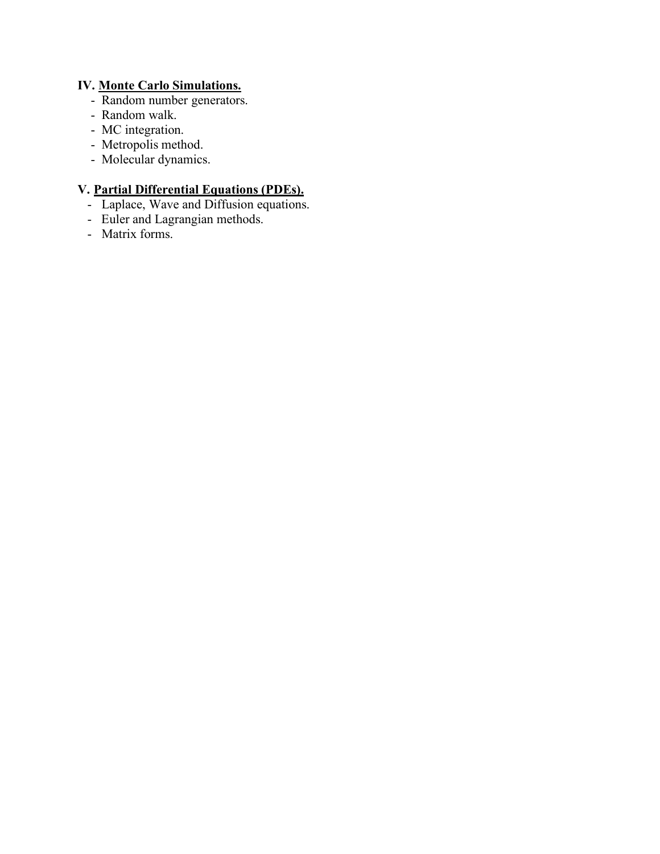# **IV. Monte Carlo Simulations.**

- Random number generators.
- Random walk.
- MC integration.
- Metropolis method.
- Molecular dynamics.

# **V. Partial Differential Equations (PDEs).**

- Laplace, Wave and Diffusion equations.
- Euler and Lagrangian methods.
- Matrix forms.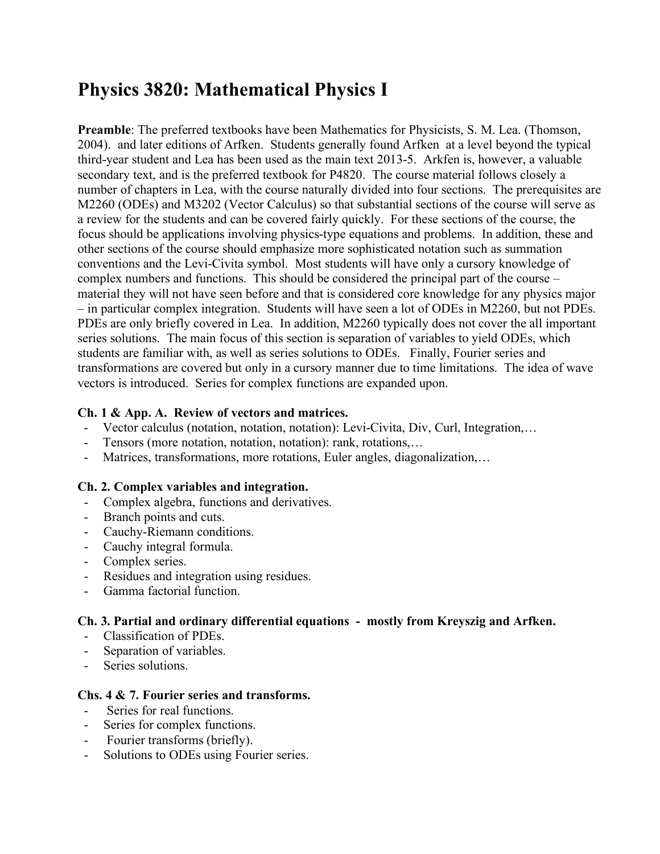# **Physics 3820: Mathematical Physics I**

**Preamble**: The preferred textbooks have been Mathematics for Physicists, S. M. Lea. (Thomson, 2004). and later editions of Arfken. Students generally found Arfken at a level beyond the typical third-year student and Lea has been used as the main text 2013-5. Arkfen is, however, a valuable secondary text, and is the preferred textbook for P4820. The course material follows closely a number of chapters in Lea, with the course naturally divided into four sections. The prerequisites are M2260 (ODEs) and M3202 (Vector Calculus) so that substantial sections of the course will serve as a review for the students and can be covered fairly quickly. For these sections of the course, the focus should be applications involving physics-type equations and problems. In addition, these and other sections of the course should emphasize more sophisticated notation such as summation conventions and the Levi-Civita symbol. Most students will have only a cursory knowledge of complex numbers and functions. This should be considered the principal part of the course – material they will not have seen before and that is considered core knowledge for any physics major – in particular complex integration. Students will have seen a lot of ODEs in M2260, but not PDEs. PDEs are only briefly covered in Lea. In addition, M2260 typically does not cover the all important series solutions. The main focus of this section is separation of variables to yield ODEs, which students are familiar with, as well as series solutions to ODEs. Finally, Fourier series and transformations are covered but only in a cursory manner due to time limitations. The idea of wave vectors is introduced. Series for complex functions are expanded upon.

## **Ch. 1 & App. A. Review of vectors and matrices.**

- Vector calculus (notation, notation, notation): Levi-Civita, Div, Curl, Integration,…
- Tensors (more notation, notation, notation): rank, rotations,…
- Matrices, transformations, more rotations, Euler angles, diagonalization,…

## **Ch. 2. Complex variables and integration.**

- Complex algebra, functions and derivatives.
- Branch points and cuts.
- Cauchy-Riemann conditions.
- Cauchy integral formula.
- Complex series.
- Residues and integration using residues.
- Gamma factorial function.

## **Ch. 3. Partial and ordinary differential equations - mostly from Kreyszig and Arfken.**

- Classification of PDEs.
- Separation of variables.
- Series solutions.

#### **Chs. 4 & 7. Fourier series and transforms.**

- Series for real functions.
- Series for complex functions.
- Fourier transforms (briefly).
- Solutions to ODEs using Fourier series.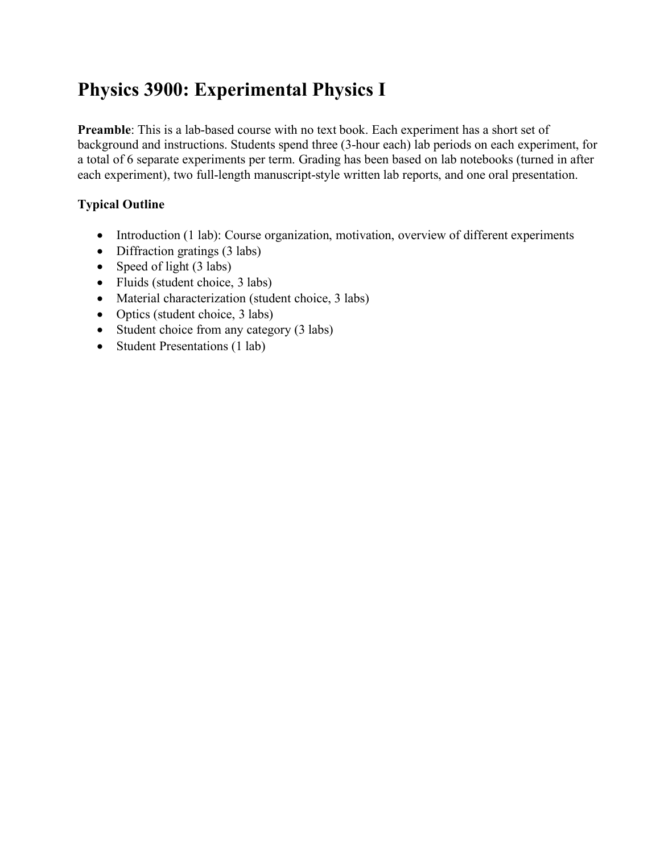# **Physics 3900: Experimental Physics I**

**Preamble**: This is a lab-based course with no text book. Each experiment has a short set of background and instructions. Students spend three (3-hour each) lab periods on each experiment, for a total of 6 separate experiments per term. Grading has been based on lab notebooks (turned in after each experiment), two full-length manuscript-style written lab reports, and one oral presentation.

# **Typical Outline**

- Introduction (1 lab): Course organization, motivation, overview of different experiments
- Diffraction gratings (3 labs)
- Speed of light (3 labs)
- Fluids (student choice, 3 labs)
- Material characterization (student choice, 3 labs)
- Optics (student choice, 3 labs)
- Student choice from any category (3 labs)
- Student Presentations (1 lab)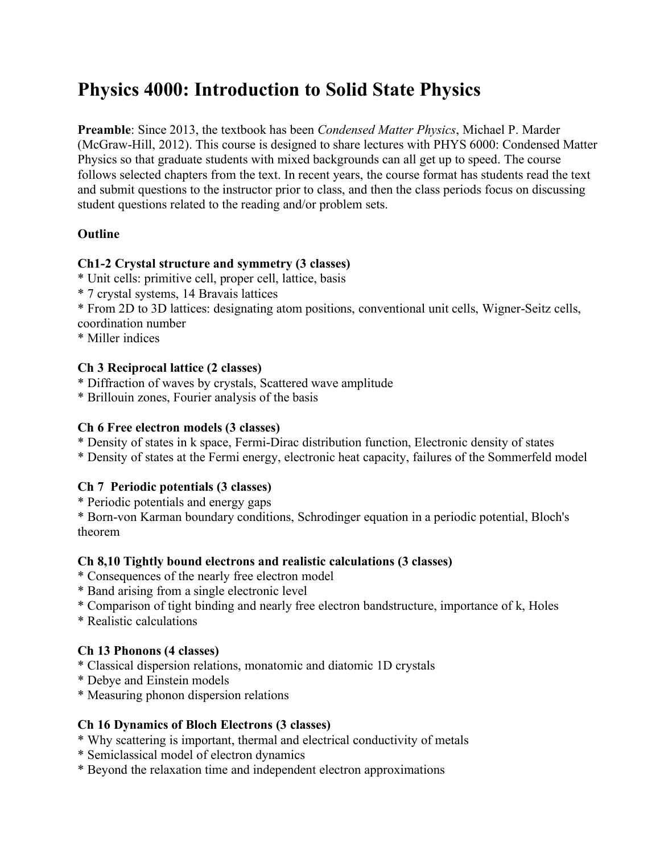# **Physics 4000: Introduction to Solid State Physics**

**Preamble**: Since 2013, the textbook has been *Condensed Matter Physics*, Michael P. Marder (McGraw-Hill, 2012). This course is designed to share lectures with PHYS 6000: Condensed Matter Physics so that graduate students with mixed backgrounds can all get up to speed. The course follows selected chapters from the text. In recent years, the course format has students read the text and submit questions to the instructor prior to class, and then the class periods focus on discussing student questions related to the reading and/or problem sets.

## **Outline**

## **Ch1-2 Crystal structure and symmetry (3 classes)**

- \* Unit cells: primitive cell, proper cell, lattice, basis
- \* 7 crystal systems, 14 Bravais lattices
- \* From 2D to 3D lattices: designating atom positions, conventional unit cells, Wigner-Seitz cells, coordination number
- \* Miller indices

## **Ch 3 Reciprocal lattice (2 classes)**

- \* Diffraction of waves by crystals, Scattered wave amplitude
- \* Brillouin zones, Fourier analysis of the basis

## **Ch 6 Free electron models (3 classes)**

- \* Density of states in k space, Fermi-Dirac distribution function, Electronic density of states
- \* Density of states at the Fermi energy, electronic heat capacity, failures of the Sommerfeld model

# **Ch 7 Periodic potentials (3 classes)**

\* Periodic potentials and energy gaps

\* Born-von Karman boundary conditions, Schrodinger equation in a periodic potential, Bloch's theorem

## **Ch 8,10 Tightly bound electrons and realistic calculations (3 classes)**

- \* Consequences of the nearly free electron model
- \* Band arising from a single electronic level
- \* Comparison of tight binding and nearly free electron bandstructure, importance of k, Holes
- \* Realistic calculations

# **Ch 13 Phonons (4 classes)**

- \* Classical dispersion relations, monatomic and diatomic 1D crystals
- \* Debye and Einstein models
- \* Measuring phonon dispersion relations

# **Ch 16 Dynamics of Bloch Electrons (3 classes)**

- \* Why scattering is important, thermal and electrical conductivity of metals
- \* Semiclassical model of electron dynamics
- \* Beyond the relaxation time and independent electron approximations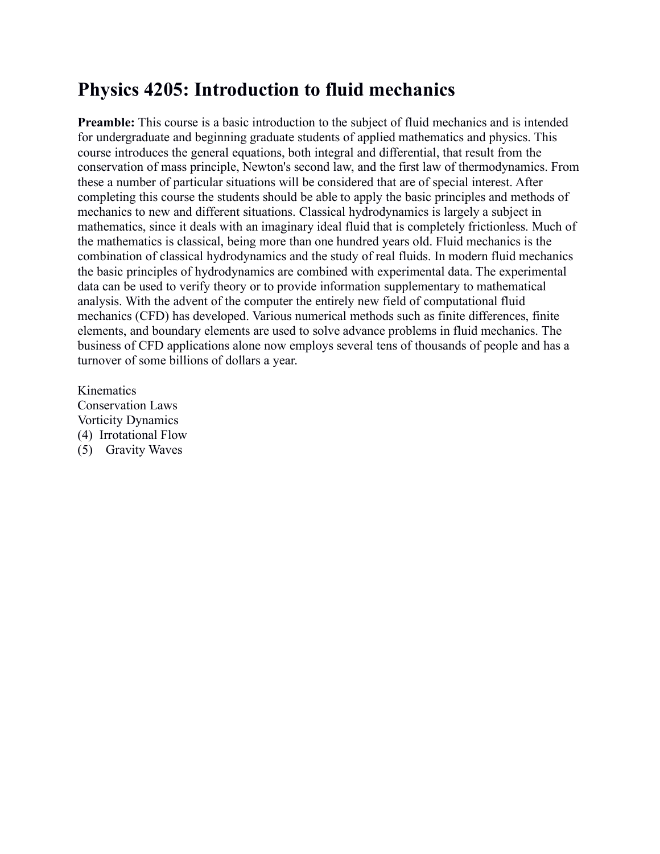# **Physics 4205: Introduction to fluid mechanics**

**Preamble:** This course is a basic introduction to the subject of fluid mechanics and is intended for undergraduate and beginning graduate students of applied mathematics and physics. This course introduces the general equations, both integral and differential, that result from the conservation of mass principle, Newton's second law, and the first law of thermodynamics. From these a number of particular situations will be considered that are of special interest. After completing this course the students should be able to apply the basic principles and methods of mechanics to new and different situations. Classical hydrodynamics is largely a subject in mathematics, since it deals with an imaginary ideal fluid that is completely frictionless. Much of the mathematics is classical, being more than one hundred years old. Fluid mechanics is the combination of classical hydrodynamics and the study of real fluids. In modern fluid mechanics the basic principles of hydrodynamics are combined with experimental data. The experimental data can be used to verify theory or to provide information supplementary to mathematical analysis. With the advent of the computer the entirely new field of computational fluid mechanics (CFD) has developed. Various numerical methods such as finite differences, finite elements, and boundary elements are used to solve advance problems in fluid mechanics. The business of CFD applications alone now employs several tens of thousands of people and has a turnover of some billions of dollars a year.

Kinematics Conservation Laws Vorticity Dynamics (4) Irrotational Flow (5) Gravity Waves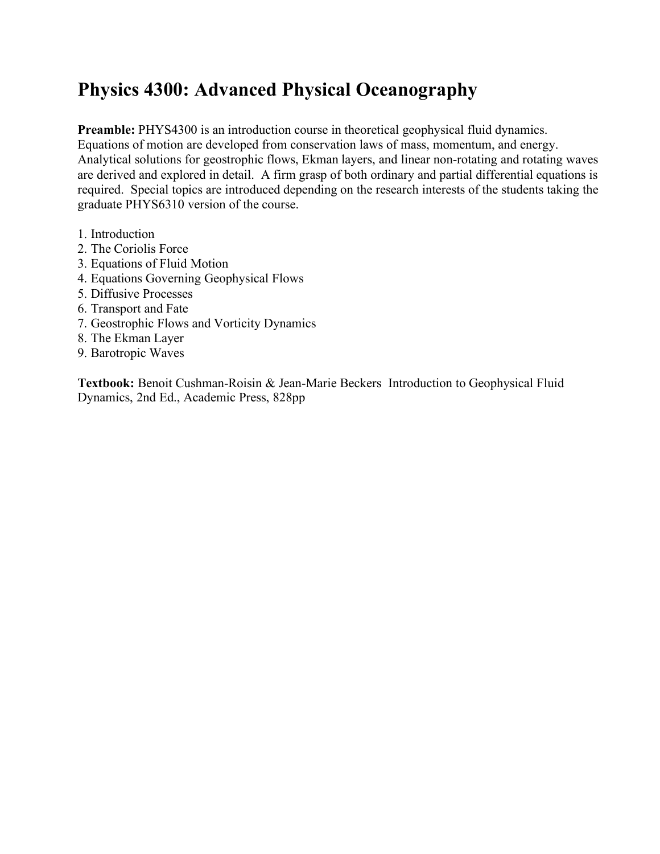# **Physics 4300: Advanced Physical Oceanography**

**Preamble:** PHYS4300 is an introduction course in theoretical geophysical fluid dynamics. Equations of motion are developed from conservation laws of mass, momentum, and energy. Analytical solutions for geostrophic flows, Ekman layers, and linear non-rotating and rotating waves are derived and explored in detail. A firm grasp of both ordinary and partial differential equations is required. Special topics are introduced depending on the research interests of the students taking the graduate PHYS6310 version of the course.

- 1. Introduction
- 2. The Coriolis Force
- 3. Equations of Fluid Motion
- 4. Equations Governing Geophysical Flows
- 5. Diffusive Processes
- 6. Transport and Fate
- 7. Geostrophic Flows and Vorticity Dynamics
- 8. The Ekman Layer
- 9. Barotropic Waves

**Textbook:** Benoit Cushman-Roisin & Jean-Marie Beckers Introduction to Geophysical Fluid Dynamics, 2nd Ed., Academic Press, 828pp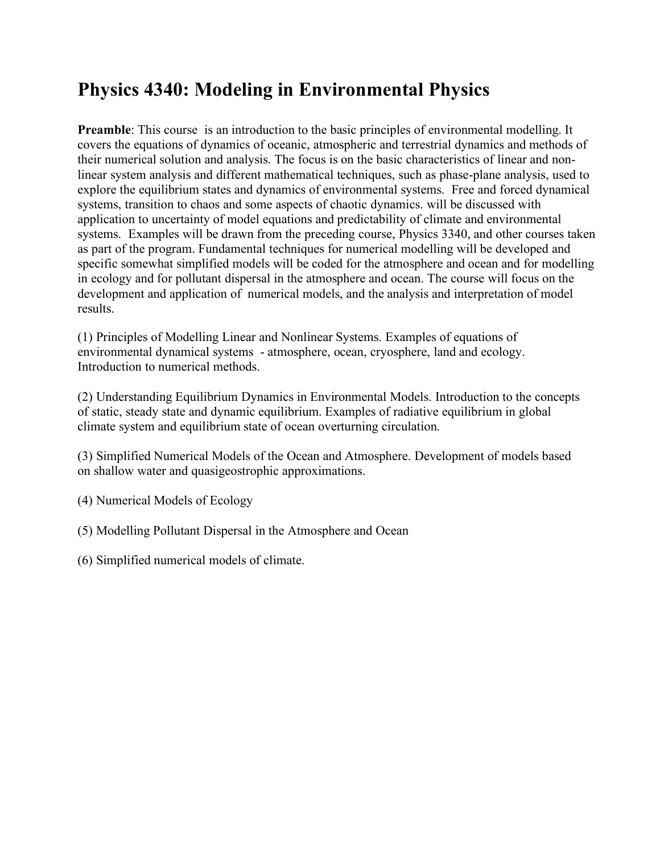# **Physics 4340: Modeling in Environmental Physics**

**Preamble**: This course is an introduction to the basic principles of environmental modelling. It covers the equations of dynamics of oceanic, atmospheric and terrestrial dynamics and methods of their numerical solution and analysis. The focus is on the basic characteristics of linear and nonlinear system analysis and different mathematical techniques, such as phase-plane analysis, used to explore the equilibrium states and dynamics of environmental systems. Free and forced dynamical systems, transition to chaos and some aspects of chaotic dynamics. will be discussed with application to uncertainty of model equations and predictability of climate and environmental systems. Examples will be drawn from the preceding course, Physics 3340, and other courses taken as part of the program. Fundamental techniques for numerical modelling will be developed and specific somewhat simplified models will be coded for the atmosphere and ocean and for modelling in ecology and for pollutant dispersal in the atmosphere and ocean. The course will focus on the development and application of numerical models, and the analysis and interpretation of model results.

(1) Principles of Modelling Linear and Nonlinear Systems. Examples of equations of environmental dynamical systems - atmosphere, ocean, cryosphere, land and ecology. Introduction to numerical methods.

(2) Understanding Equilibrium Dynamics in Environmental Models. Introduction to the concepts of static, steady state and dynamic equilibrium. Examples of radiative equilibrium in global climate system and equilibrium state of ocean overturning circulation.

(3) Simplified Numerical Models of the Ocean and Atmosphere. Development of models based on shallow water and quasigeostrophic approximations.

- (4) Numerical Models of Ecology
- (5) Modelling Pollutant Dispersal in the Atmosphere and Ocean
- (6) Simplified numerical models of climate.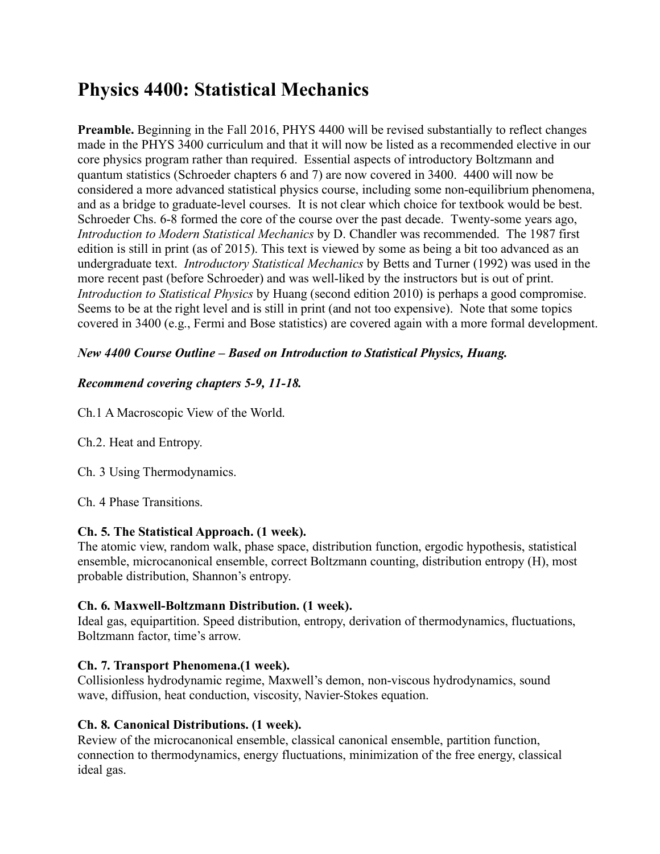# **Physics 4400: Statistical Mechanics**

**Preamble.** Beginning in the Fall 2016, PHYS 4400 will be revised substantially to reflect changes made in the PHYS 3400 curriculum and that it will now be listed as a recommended elective in our core physics program rather than required. Essential aspects of introductory Boltzmann and quantum statistics (Schroeder chapters 6 and 7) are now covered in 3400. 4400 will now be considered a more advanced statistical physics course, including some non-equilibrium phenomena, and as a bridge to graduate-level courses. It is not clear which choice for textbook would be best. Schroeder Chs. 6-8 formed the core of the course over the past decade. Twenty-some years ago, *Introduction to Modern Statistical Mechanics* by D. Chandler was recommended. The 1987 first edition is still in print (as of 2015). This text is viewed by some as being a bit too advanced as an undergraduate text. *Introductory Statistical Mechanics* by Betts and Turner (1992) was used in the more recent past (before Schroeder) and was well-liked by the instructors but is out of print. *Introduction to Statistical Physics* by Huang (second edition 2010) is perhaps a good compromise. Seems to be at the right level and is still in print (and not too expensive). Note that some topics covered in 3400 (e.g., Fermi and Bose statistics) are covered again with a more formal development.

# *New 4400 Course Outline – Based on Introduction to Statistical Physics, Huang.*

## *Recommend covering chapters 5-9, 11-18.*

Ch.1 A Macroscopic View of the World.

Ch.2. Heat and Entropy.

Ch. 3 Using Thermodynamics.

Ch. 4 Phase Transitions.

## **Ch. 5. The Statistical Approach. (1 week).**

The atomic view, random walk, phase space, distribution function, ergodic hypothesis, statistical ensemble, microcanonical ensemble, correct Boltzmann counting, distribution entropy (H), most probable distribution, Shannon's entropy.

## **Ch. 6. Maxwell-Boltzmann Distribution. (1 week).**

Ideal gas, equipartition. Speed distribution, entropy, derivation of thermodynamics, fluctuations, Boltzmann factor, time's arrow.

## **Ch. 7. Transport Phenomena.(1 week).**

Collisionless hydrodynamic regime, Maxwell's demon, non-viscous hydrodynamics, sound wave, diffusion, heat conduction, viscosity, Navier-Stokes equation.

## **Ch. 8. Canonical Distributions. (1 week).**

Review of the microcanonical ensemble, classical canonical ensemble, partition function, connection to thermodynamics, energy fluctuations, minimization of the free energy, classical ideal gas.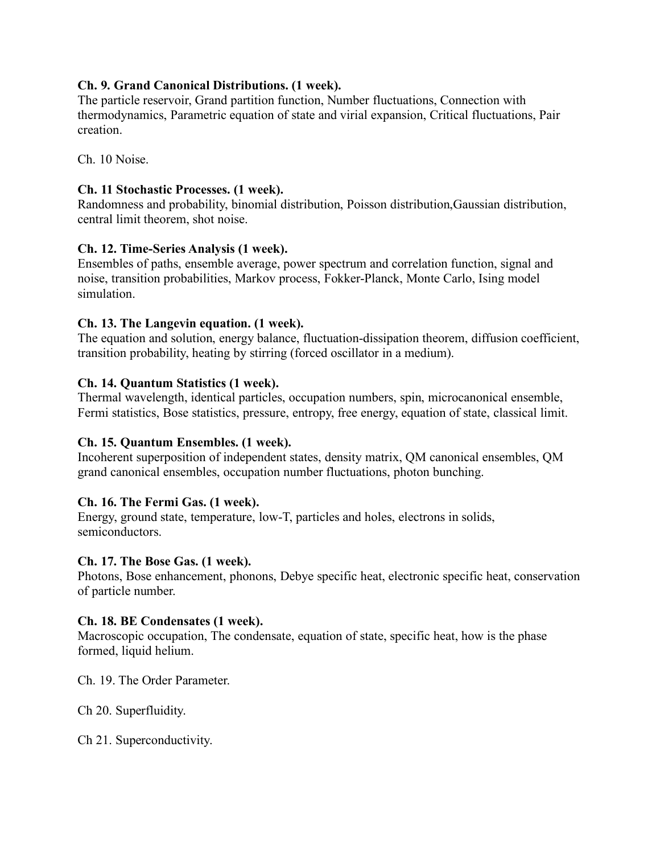## **Ch. 9. Grand Canonical Distributions. (1 week).**

The particle reservoir, Grand partition function, Number fluctuations, Connection with thermodynamics, Parametric equation of state and virial expansion, Critical fluctuations, Pair creation.

Ch. 10 Noise.

## **Ch. 11 Stochastic Processes. (1 week).**

Randomness and probability, binomial distribution, Poisson distribution,Gaussian distribution, central limit theorem, shot noise.

## **Ch. 12. Time-Series Analysis (1 week).**

Ensembles of paths, ensemble average, power spectrum and correlation function, signal and noise, transition probabilities, Markov process, Fokker-Planck, Monte Carlo, Ising model simulation.

## **Ch. 13. The Langevin equation. (1 week).**

The equation and solution, energy balance, fluctuation-dissipation theorem, diffusion coefficient, transition probability, heating by stirring (forced oscillator in a medium).

## **Ch. 14. Quantum Statistics (1 week).**

Thermal wavelength, identical particles, occupation numbers, spin, microcanonical ensemble, Fermi statistics, Bose statistics, pressure, entropy, free energy, equation of state, classical limit.

# **Ch. 15. Quantum Ensembles. (1 week).**

Incoherent superposition of independent states, density matrix, QM canonical ensembles, QM grand canonical ensembles, occupation number fluctuations, photon bunching.

## **Ch. 16. The Fermi Gas. (1 week).**

Energy, ground state, temperature, low-T, particles and holes, electrons in solids, semiconductors.

## **Ch. 17. The Bose Gas. (1 week).**

Photons, Bose enhancement, phonons, Debye specific heat, electronic specific heat, conservation of particle number.

## **Ch. 18. BE Condensates (1 week).**

Macroscopic occupation, The condensate, equation of state, specific heat, how is the phase formed, liquid helium.

Ch. 19. The Order Parameter.

Ch 20. Superfluidity.

Ch 21. Superconductivity.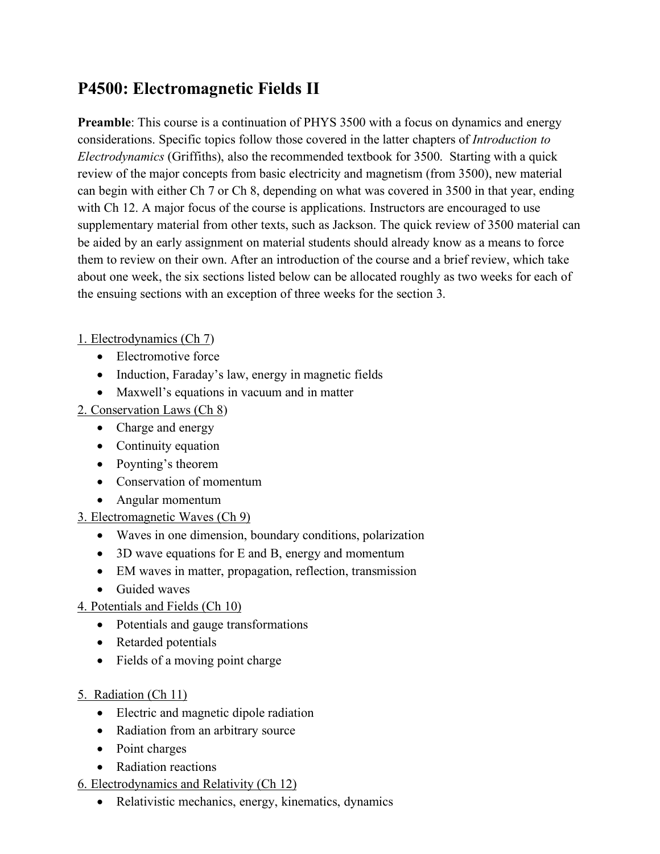# **P4500: Electromagnetic Fields II**

**Preamble**: This course is a continuation of PHYS 3500 with a focus on dynamics and energy considerations. Specific topics follow those covered in the latter chapters of *Introduction to Electrodynamics* (Griffiths), also the recommended textbook for 3500. Starting with a quick review of the major concepts from basic electricity and magnetism (from 3500), new material can begin with either Ch 7 or Ch 8, depending on what was covered in 3500 in that year, ending with Ch 12. A major focus of the course is applications. Instructors are encouraged to use supplementary material from other texts, such as Jackson. The quick review of 3500 material can be aided by an early assignment on material students should already know as a means to force them to review on their own. After an introduction of the course and a brief review, which take about one week, the six sections listed below can be allocated roughly as two weeks for each of the ensuing sections with an exception of three weeks for the section 3.

# 1. Electrodynamics (Ch 7)

- Electromotive force
- Induction, Faraday's law, energy in magnetic fields
- Maxwell's equations in vacuum and in matter

# 2. Conservation Laws (Ch 8)

- Charge and energy
- Continuity equation
- Poynting's theorem
- Conservation of momentum
- Angular momentum
- 3. Electromagnetic Waves (Ch 9)
	- Waves in one dimension, boundary conditions, polarization
	- 3D wave equations for E and B, energy and momentum
	- EM waves in matter, propagation, reflection, transmission
	- Guided waves
- 4. Potentials and Fields (Ch 10)
	- Potentials and gauge transformations
	- Retarded potentials
	- Fields of a moving point charge
- 5. Radiation (Ch 11)
	- Electric and magnetic dipole radiation
	- Radiation from an arbitrary source
	- Point charges
	- Radiation reactions
- 6. Electrodynamics and Relativity (Ch 12)
	- Relativistic mechanics, energy, kinematics, dynamics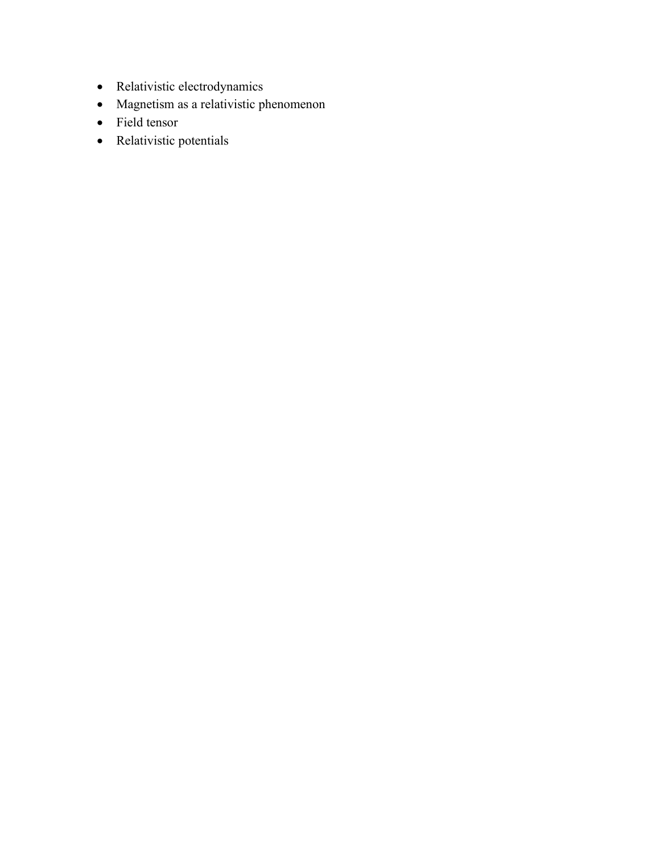- Relativistic electrodynamics
- Magnetism as a relativistic phenomenon
- Field tensor
- Relativistic potentials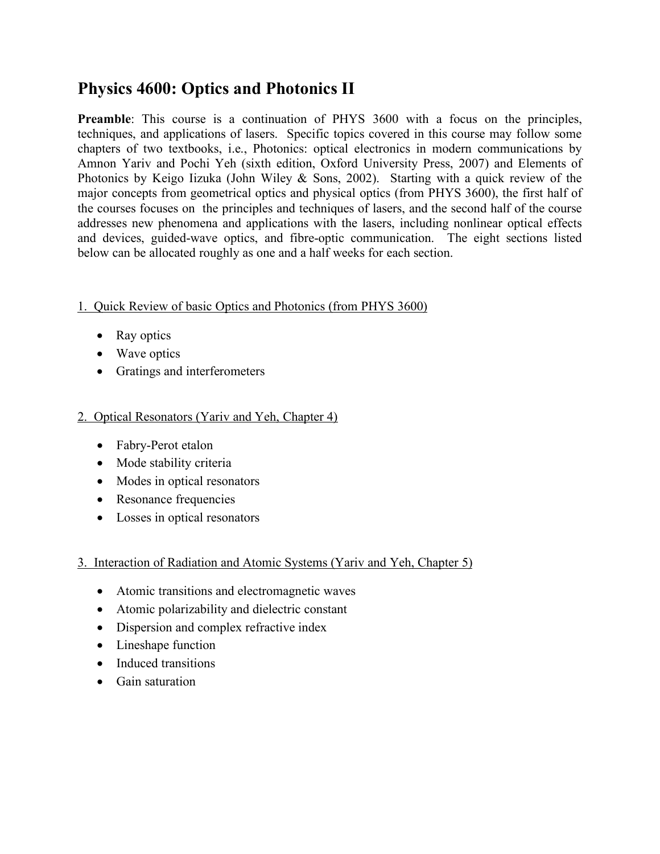# **Physics 4600: Optics and Photonics II**

**Preamble**: This course is a continuation of PHYS 3600 with a focus on the principles, techniques, and applications of lasers. Specific topics covered in this course may follow some chapters of two textbooks, i.e., Photonics: optical electronics in modern communications by Amnon Yariv and Pochi Yeh (sixth edition, Oxford University Press, 2007) and Elements of Photonics by Keigo Iizuka (John Wiley  $\&$  Sons, 2002). Starting with a quick review of the major concepts from geometrical optics and physical optics (from PHYS 3600), the first half of the courses focuses on the principles and techniques of lasers, and the second half of the course addresses new phenomena and applications with the lasers, including nonlinear optical effects and devices, guided-wave optics, and fibre-optic communication. The eight sections listed below can be allocated roughly as one and a half weeks for each section.

## 1. Quick Review of basic Optics and Photonics (from PHYS 3600)

- Ray optics
- Wave optics
- Gratings and interferometers

## 2. Optical Resonators (Yariv and Yeh, Chapter 4)

- Fabry-Perot etalon
- Mode stability criteria
- Modes in optical resonators
- Resonance frequencies
- Losses in optical resonators

# 3. Interaction of Radiation and Atomic Systems (Yariv and Yeh, Chapter 5)

- Atomic transitions and electromagnetic waves
- Atomic polarizability and dielectric constant
- Dispersion and complex refractive index
- Lineshape function
- Induced transitions
- Gain saturation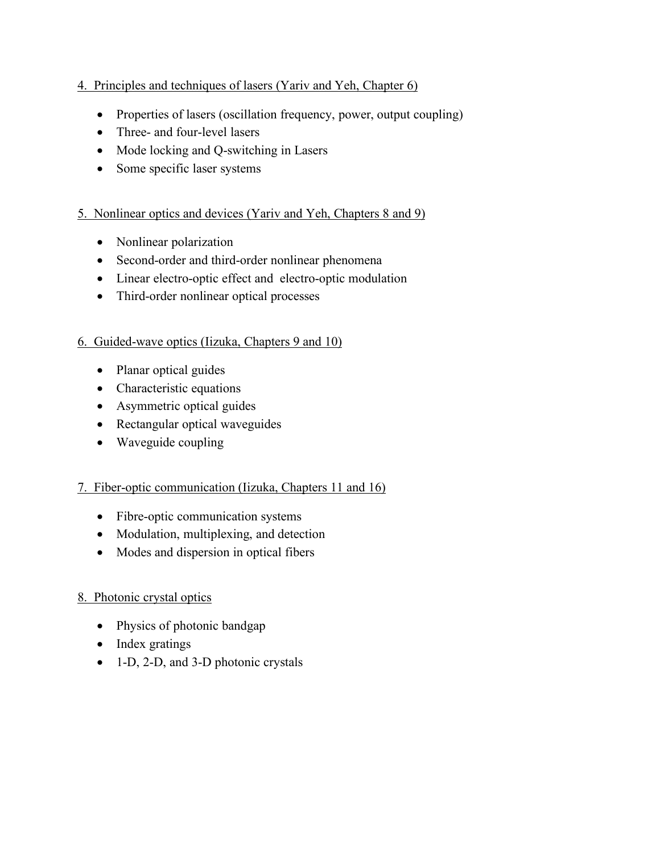## 4. Principles and techniques of lasers (Yariv and Yeh, Chapter 6)

- Properties of lasers (oscillation frequency, power, output coupling)
- Three- and four-level lasers
- Mode locking and Q-switching in Lasers
- Some specific laser systems

## 5. Nonlinear optics and devices (Yariv and Yeh, Chapters 8 and 9)

- Nonlinear polarization
- Second-order and third-order nonlinear phenomena
- Linear electro-optic effect and electro-optic modulation
- Third-order nonlinear optical processes

#### 6. Guided-wave optics (Iizuka, Chapters 9 and 10)

- Planar optical guides
- Characteristic equations
- Asymmetric optical guides
- Rectangular optical waveguides
- Waveguide coupling

## 7. Fiber-optic communication (Iizuka, Chapters 11 and 16)

- Fibre-optic communication systems
- Modulation, multiplexing, and detection
- Modes and dispersion in optical fibers

## 8. Photonic crystal optics

- Physics of photonic bandgap
- Index gratings
- 1-D, 2-D, and 3-D photonic crystals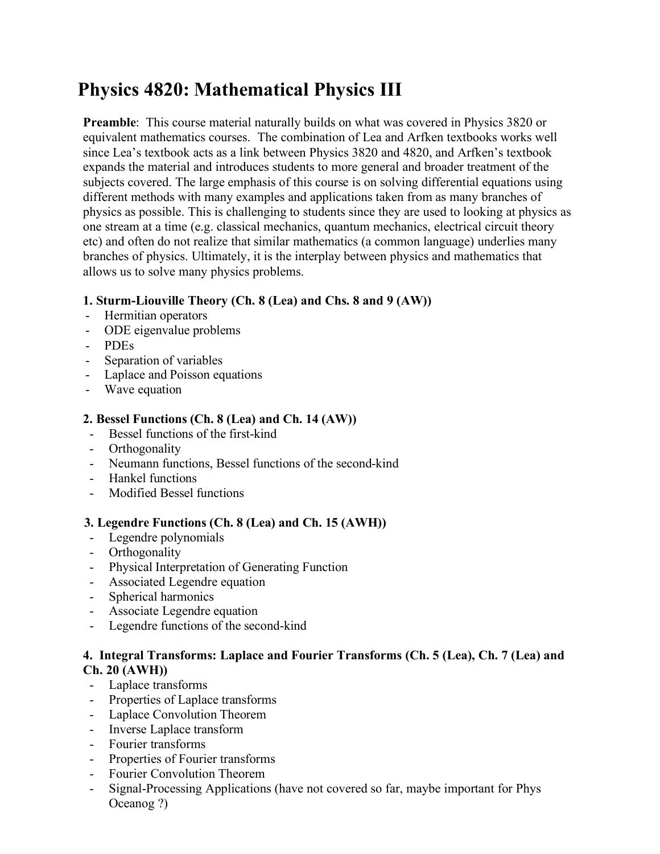# **Physics 4820: Mathematical Physics III**

**Preamble**: This course material naturally builds on what was covered in Physics 3820 or equivalent mathematics courses. The combination of Lea and Arfken textbooks works well since Lea's textbook acts as a link between Physics 3820 and 4820, and Arfken's textbook expands the material and introduces students to more general and broader treatment of the subjects covered. The large emphasis of this course is on solving differential equations using different methods with many examples and applications taken from as many branches of physics as possible. This is challenging to students since they are used to looking at physics as one stream at a time (e.g. classical mechanics, quantum mechanics, electrical circuit theory etc) and often do not realize that similar mathematics (a common language) underlies many branches of physics. Ultimately, it is the interplay between physics and mathematics that allows us to solve many physics problems.

## **1. Sturm-Liouville Theory (Ch. 8 (Lea) and Chs. 8 and 9 (AW))**

- Hermitian operators
- ODE eigenvalue problems
- PDEs
- Separation of variables
- Laplace and Poisson equations
- Wave equation

## **2. Bessel Functions (Ch. 8 (Lea) and Ch. 14 (AW))**

- Bessel functions of the first-kind
- Orthogonality
- Neumann functions, Bessel functions of the second-kind
- Hankel functions
- Modified Bessel functions

## **3. Legendre Functions (Ch. 8 (Lea) and Ch. 15 (AWH))**

- Legendre polynomials
- Orthogonality
- Physical Interpretation of Generating Function
- Associated Legendre equation
- Spherical harmonics
- Associate Legendre equation
- Legendre functions of the second-kind

## **4. Integral Transforms: Laplace and Fourier Transforms (Ch. 5 (Lea), Ch. 7 (Lea) and Ch. 20 (AWH))**

- Laplace transforms
- Properties of Laplace transforms
- Laplace Convolution Theorem
- Inverse Laplace transform
- Fourier transforms
- Properties of Fourier transforms
- Fourier Convolution Theorem
- Signal-Processing Applications (have not covered so far, maybe important for Phys Oceanog ?)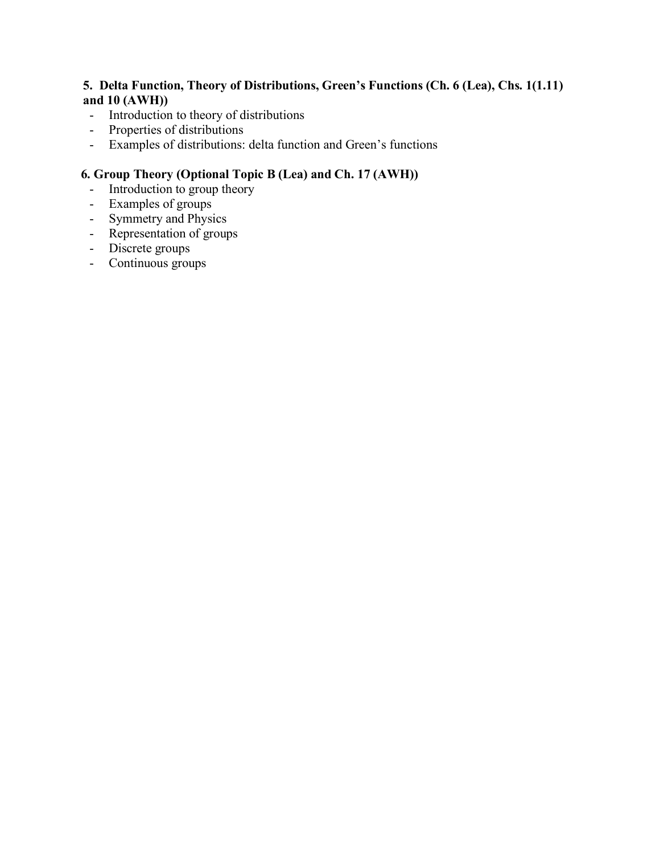## **5. Delta Function, Theory of Distributions, Green's Functions (Ch. 6 (Lea), Chs. 1(1.11) and 10 (AWH))**

- Introduction to theory of distributions
- Properties of distributions
- Examples of distributions: delta function and Green's functions

# **6. Group Theory (Optional Topic B (Lea) and Ch. 17 (AWH))**

- Introduction to group theory
- Examples of groups
- Symmetry and Physics
- Representation of groups
- Discrete groups
- Continuous groups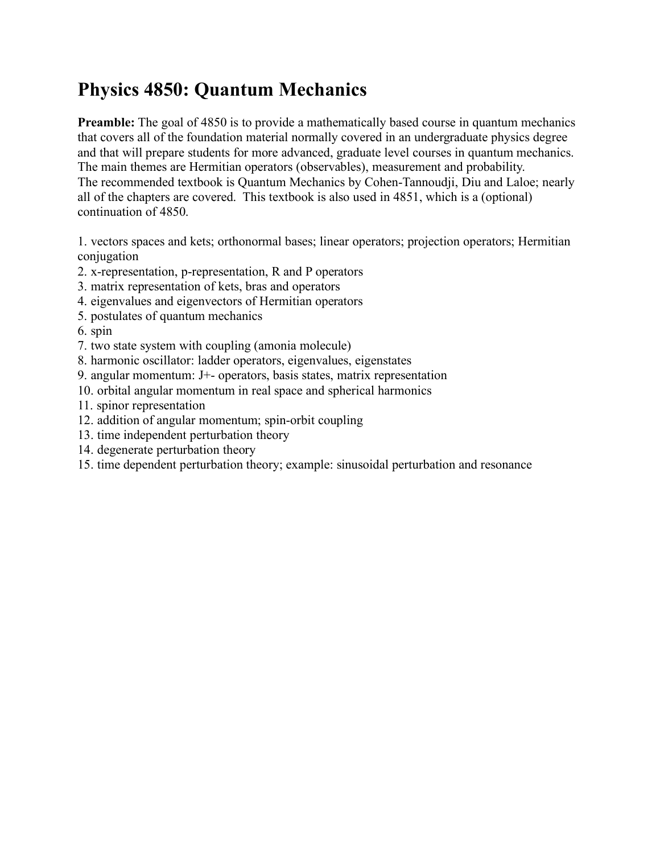# **Physics 4850: Quantum Mechanics**

**Preamble:** The goal of 4850 is to provide a mathematically based course in quantum mechanics that covers all of the foundation material normally covered in an undergraduate physics degree and that will prepare students for more advanced, graduate level courses in quantum mechanics. The main themes are Hermitian operators (observables), measurement and probability. The recommended textbook is Quantum Mechanics by Cohen-Tannoudji, Diu and Laloe; nearly all of the chapters are covered. This textbook is also used in 4851, which is a (optional) continuation of 4850.

1. vectors spaces and kets; orthonormal bases; linear operators; projection operators; Hermitian conjugation

- 2. x-representation, p-representation, R and P operators
- 3. matrix representation of kets, bras and operators
- 4. eigenvalues and eigenvectors of Hermitian operators
- 5. postulates of quantum mechanics
- 6. spin
- 7. two state system with coupling (amonia molecule)
- 8. harmonic oscillator: ladder operators, eigenvalues, eigenstates
- 9. angular momentum: J+- operators, basis states, matrix representation
- 10. orbital angular momentum in real space and spherical harmonics
- 11. spinor representation
- 12. addition of angular momentum; spin-orbit coupling
- 13. time independent perturbation theory
- 14. degenerate perturbation theory
- 15. time dependent perturbation theory; example: sinusoidal perturbation and resonance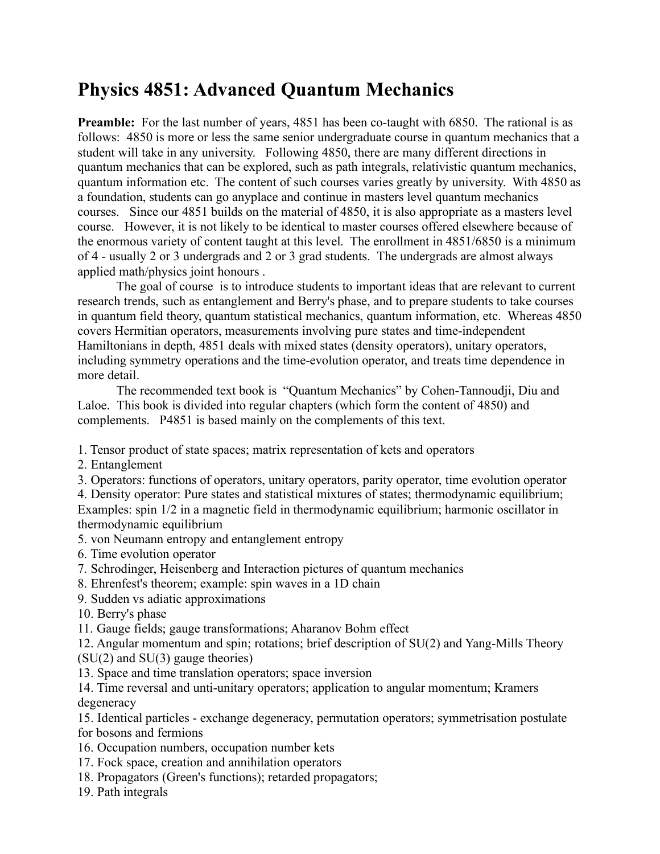# **Physics 4851: Advanced Quantum Mechanics**

**Preamble:** For the last number of years, 4851 has been co-taught with 6850. The rational is as follows: 4850 is more or less the same senior undergraduate course in quantum mechanics that a student will take in any university. Following 4850, there are many different directions in quantum mechanics that can be explored, such as path integrals, relativistic quantum mechanics, quantum information etc. The content of such courses varies greatly by university. With 4850 as a foundation, students can go anyplace and continue in masters level quantum mechanics courses. Since our 4851 builds on the material of 4850, it is also appropriate as a masters level course. However, it is not likely to be identical to master courses offered elsewhere because of the enormous variety of content taught at this level. The enrollment in 4851/6850 is a minimum of 4 - usually 2 or 3 undergrads and 2 or 3 grad students. The undergrads are almost always applied math/physics joint honours .

The goal of course is to introduce students to important ideas that are relevant to current research trends, such as entanglement and Berry's phase, and to prepare students to take courses in quantum field theory, quantum statistical mechanics, quantum information, etc. Whereas 4850 covers Hermitian operators, measurements involving pure states and time-independent Hamiltonians in depth, 4851 deals with mixed states (density operators), unitary operators, including symmetry operations and the time-evolution operator, and treats time dependence in more detail.

The recommended text book is "Quantum Mechanics" by Cohen-Tannoudji, Diu and Laloe. This book is divided into regular chapters (which form the content of 4850) and complements. P4851 is based mainly on the complements of this text.

1. Tensor product of state spaces; matrix representation of kets and operators

- 2. Entanglement
- 3. Operators: functions of operators, unitary operators, parity operator, time evolution operator

4. Density operator: Pure states and statistical mixtures of states; thermodynamic equilibrium; Examples: spin 1/2 in a magnetic field in thermodynamic equilibrium; harmonic oscillator in thermodynamic equilibrium

- 5. von Neumann entropy and entanglement entropy
- 6. Time evolution operator
- 7. Schrodinger, Heisenberg and Interaction pictures of quantum mechanics
- 8. Ehrenfest's theorem; example: spin waves in a 1D chain
- 9. Sudden vs adiatic approximations
- 10. Berry's phase
- 11. Gauge fields; gauge transformations; Aharanov Bohm effect

12. Angular momentum and spin; rotations; brief description of SU(2) and Yang-Mills Theory (SU(2) and SU(3) gauge theories)

13. Space and time translation operators; space inversion

14. Time reversal and unti-unitary operators; application to angular momentum; Kramers degeneracy

15. Identical particles - exchange degeneracy, permutation operators; symmetrisation postulate for bosons and fermions

- 16. Occupation numbers, occupation number kets
- 17. Fock space, creation and annihilation operators
- 18. Propagators (Green's functions); retarded propagators;
- 19. Path integrals